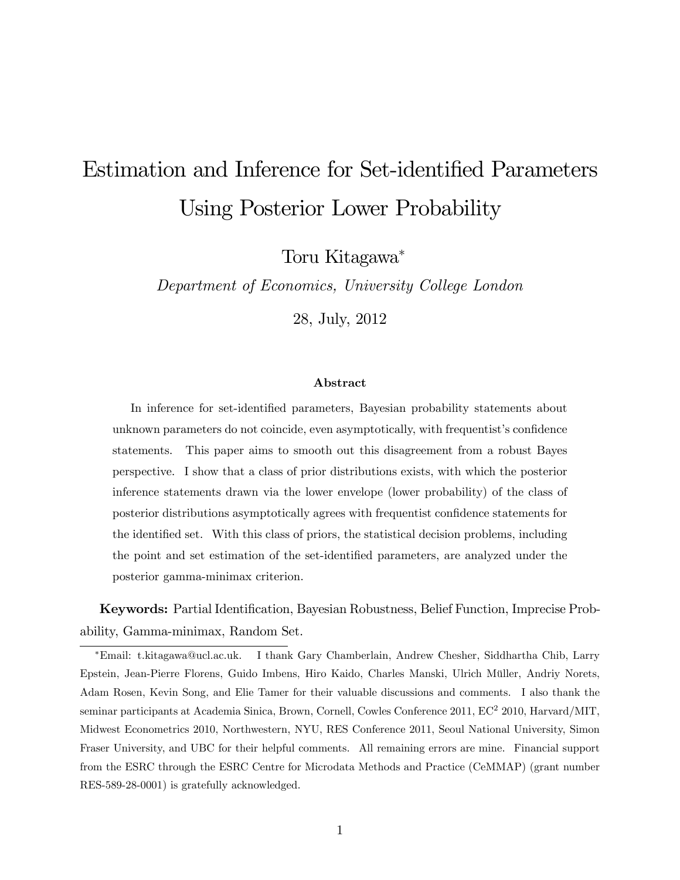# Estimation and Inference for Set-identified Parameters Using Posterior Lower Probability

Toru Kitagawa

Department of Economics, University College London

28, July, 2012

#### Abstract

In inference for set-identified parameters, Bayesian probability statements about unknown parameters do not coincide, even asymptotically, with frequentist's confidence statements. This paper aims to smooth out this disagreement from a robust Bayes perspective. I show that a class of prior distributions exists, with which the posterior inference statements drawn via the lower envelope (lower probability) of the class of posterior distributions asymptotically agrees with frequentist confidence statements for the identified set. With this class of priors, the statistical decision problems, including the point and set estimation of the set-identified parameters, are analyzed under the posterior gamma-minimax criterion.

Keywords: Partial Identification, Bayesian Robustness, Belief Function, Imprecise Probability, Gamma-minimax, Random Set.

Email: t.kitagawa@ucl.ac.uk. I thank Gary Chamberlain, Andrew Chesher, Siddhartha Chib, Larry Epstein, Jean-Pierre Florens, Guido Imbens, Hiro Kaido, Charles Manski, Ulrich Müller, Andriy Norets, Adam Rosen, Kevin Song, and Elie Tamer for their valuable discussions and comments. I also thank the seminar participants at Academia Sinica, Brown, Cornell, Cowles Conference 2011, EC<sup>2</sup> 2010, Harvard/MIT, Midwest Econometrics 2010, Northwestern, NYU, RES Conference 2011, Seoul National University, Simon Fraser University, and UBC for their helpful comments. All remaining errors are mine. Financial support from the ESRC through the ESRC Centre for Microdata Methods and Practice (CeMMAP) (grant number RES-589-28-0001) is gratefully acknowledged.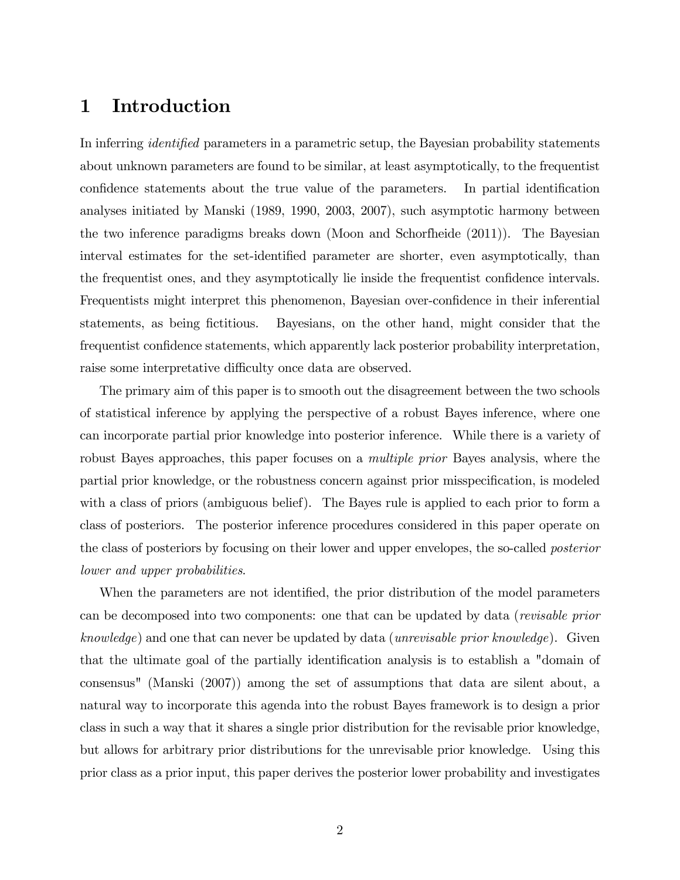# 1 Introduction

In inferring *identified* parameters in a parametric setup, the Bayesian probability statements about unknown parameters are found to be similar, at least asymptotically, to the frequentist confidence statements about the true value of the parameters. In partial identification analyses initiated by Manski (1989, 1990, 2003, 2007), such asymptotic harmony between the two inference paradigms breaks down (Moon and Schorfheide (2011)). The Bayesian interval estimates for the set-identified parameter are shorter, even asymptotically, than the frequentist ones, and they asymptotically lie inside the frequentist confidence intervals. Frequentists might interpret this phenomenon, Bayesian over-confidence in their inferential statements, as being fictitious. Bayesians, on the other hand, might consider that the frequentist confidence statements, which apparently lack posterior probability interpretation, raise some interpretative difficulty once data are observed.

The primary aim of this paper is to smooth out the disagreement between the two schools of statistical inference by applying the perspective of a robust Bayes inference, where one can incorporate partial prior knowledge into posterior inference. While there is a variety of robust Bayes approaches, this paper focuses on a multiple prior Bayes analysis, where the partial prior knowledge, or the robustness concern against prior misspecification, is modeled with a class of priors (ambiguous belief). The Bayes rule is applied to each prior to form a class of posteriors. The posterior inference procedures considered in this paper operate on the class of posteriors by focusing on their lower and upper envelopes, the so-called posterior lower and upper probabilities.

When the parameters are not identified, the prior distribution of the model parameters can be decomposed into two components: one that can be updated by data (revisable prior knowledge) and one that can never be updated by data (unrevisable prior knowledge). Given that the ultimate goal of the partially identification analysis is to establish a "domain of consensus" (Manski (2007)) among the set of assumptions that data are silent about, a natural way to incorporate this agenda into the robust Bayes framework is to design a prior class in such a way that it shares a single prior distribution for the revisable prior knowledge, but allows for arbitrary prior distributions for the unrevisable prior knowledge. Using this prior class as a prior input, this paper derives the posterior lower probability and investigates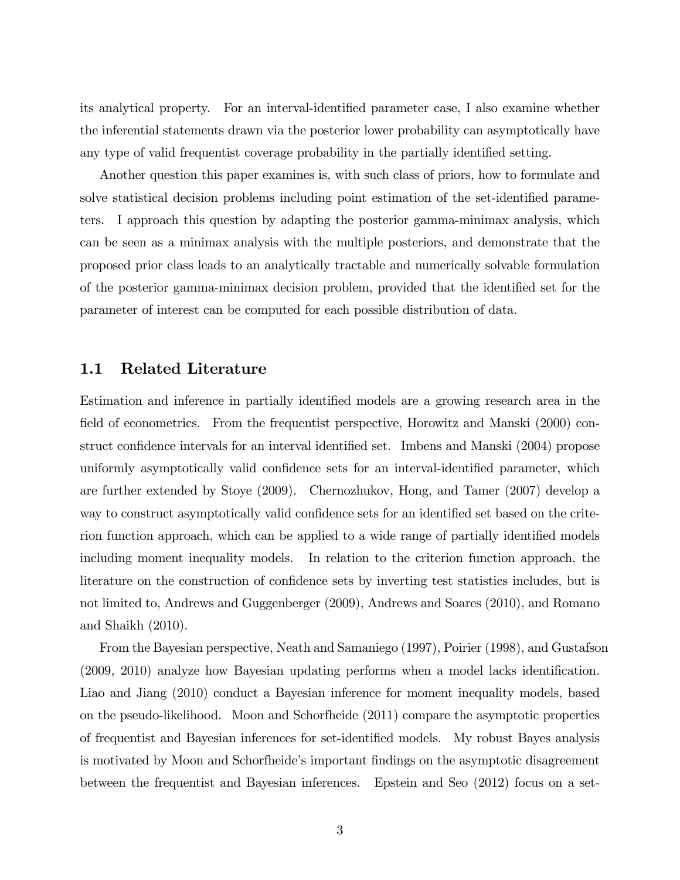its analytical property. For an interval-identified parameter case, I also examine whether the inferential statements drawn via the posterior lower probability can asymptotically have any type of valid frequentist coverage probability in the partially identified setting.

Another question this paper examines is, with such class of priors, how to formulate and solve statistical decision problems including point estimation of the set-identified parameters. I approach this question by adapting the posterior gamma-minimax analysis, which can be seen as a minimax analysis with the multiple posteriors, and demonstrate that the proposed prior class leads to an analytically tractable and numerically solvable formulation of the posterior gamma-minimax decision problem, provided that the identified set for the parameter of interest can be computed for each possible distribution of data.

#### 1.1 Related Literature

Estimation and inference in partially identified models are a growing research area in the field of econometrics. From the frequentist perspective, Horowitz and Manski (2000) construct confidence intervals for an interval identified set. Imbens and Manski (2004) propose uniformly asymptotically valid confidence sets for an interval-identified parameter, which are further extended by Stoye (2009). Chernozhukov, Hong, and Tamer (2007) develop a way to construct asymptotically valid confidence sets for an identified set based on the criterion function approach, which can be applied to a wide range of partially identified models including moment inequality models. In relation to the criterion function approach, the literature on the construction of confidence sets by inverting test statistics includes, but is not limited to, Andrews and Guggenberger (2009), Andrews and Soares (2010), and Romano and Shaikh (2010).

From the Bayesian perspective, Neath and Samaniego (1997), Poirier (1998), and Gustafson  $(2009, 2010)$  analyze how Bayesian updating performs when a model lacks identification. Liao and Jiang (2010) conduct a Bayesian inference for moment inequality models, based on the pseudo-likelihood. Moon and Schorfheide (2011) compare the asymptotic properties of frequentist and Bayesian inferences for set-identified models. My robust Bayes analysis is motivated by Moon and Schorfheide's important findings on the asymptotic disagreement between the frequentist and Bayesian inferences. Epstein and Seo (2012) focus on a set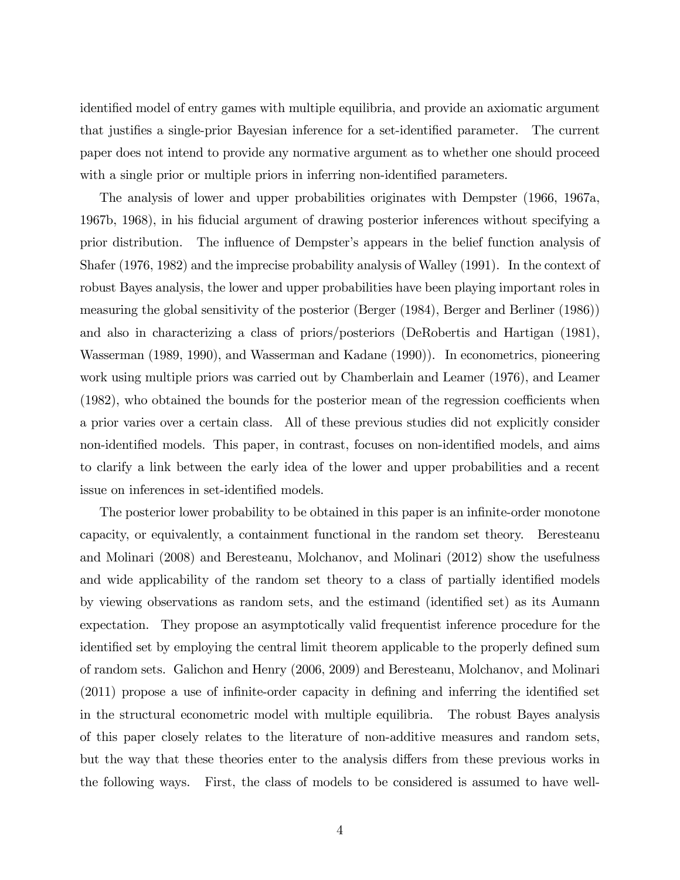identified model of entry games with multiple equilibria, and provide an axiomatic argument that justifies a single-prior Bayesian inference for a set-identified parameter. The current paper does not intend to provide any normative argument as to whether one should proceed with a single prior or multiple priors in inferring non-identified parameters.

The analysis of lower and upper probabilities originates with Dempster (1966, 1967a, 1967b, 1968), in his Öducial argument of drawing posterior inferences without specifying a prior distribution. The influence of Dempster's appears in the belief function analysis of Shafer (1976, 1982) and the imprecise probability analysis of Walley (1991). In the context of robust Bayes analysis, the lower and upper probabilities have been playing important roles in measuring the global sensitivity of the posterior (Berger (1984), Berger and Berliner (1986)) and also in characterizing a class of priors/posteriors (DeRobertis and Hartigan (1981), Wasserman (1989, 1990), and Wasserman and Kadane (1990)). In econometrics, pioneering work using multiple priors was carried out by Chamberlain and Leamer (1976), and Leamer  $(1982)$ , who obtained the bounds for the posterior mean of the regression coefficients when a prior varies over a certain class. All of these previous studies did not explicitly consider non-identified models. This paper, in contrast, focuses on non-identified models, and aims to clarify a link between the early idea of the lower and upper probabilities and a recent issue on inferences in set-identified models.

The posterior lower probability to be obtained in this paper is an infinite-order monotone capacity, or equivalently, a containment functional in the random set theory. Beresteanu and Molinari (2008) and Beresteanu, Molchanov, and Molinari (2012) show the usefulness and wide applicability of the random set theory to a class of partially identified models by viewing observations as random sets, and the estimand (identified set) as its Aumann expectation. They propose an asymptotically valid frequentist inference procedure for the identified set by employing the central limit theorem applicable to the properly defined sum of random sets. Galichon and Henry (2006, 2009) and Beresteanu, Molchanov, and Molinari  $(2011)$  propose a use of infinite-order capacity in defining and inferring the identified set in the structural econometric model with multiple equilibria. The robust Bayes analysis of this paper closely relates to the literature of non-additive measures and random sets, but the way that these theories enter to the analysis differs from these previous works in the following ways. First, the class of models to be considered is assumed to have well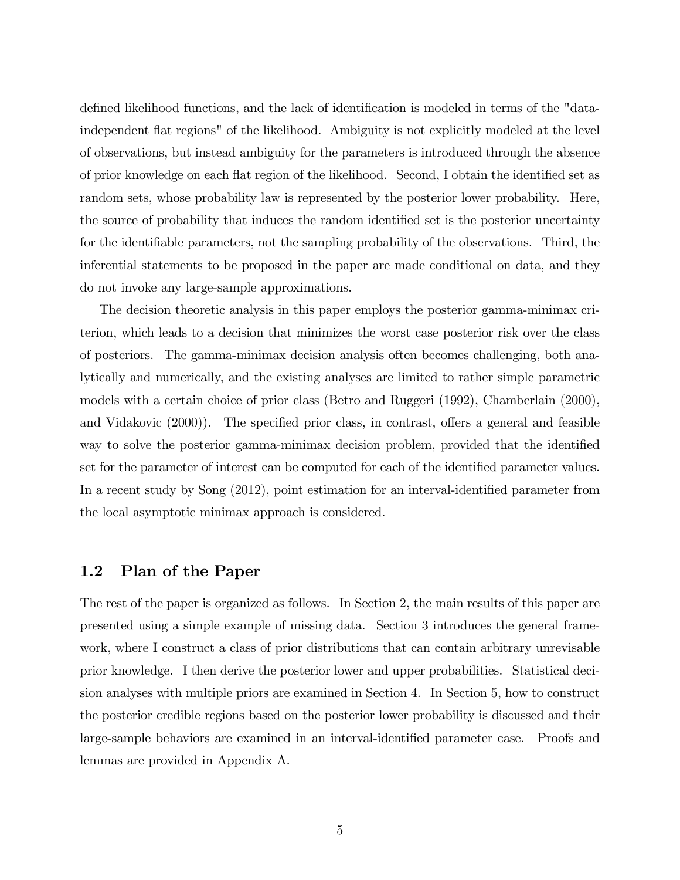defined likelihood functions, and the lack of identification is modeled in terms of the "dataindependent áat regions" of the likelihood. Ambiguity is not explicitly modeled at the level of observations, but instead ambiguity for the parameters is introduced through the absence of prior knowledge on each flat region of the likelihood. Second, I obtain the identified set as random sets, whose probability law is represented by the posterior lower probability. Here, the source of probability that induces the random identified set is the posterior uncertainty for the identifiable parameters, not the sampling probability of the observations. Third, the inferential statements to be proposed in the paper are made conditional on data, and they do not invoke any large-sample approximations.

The decision theoretic analysis in this paper employs the posterior gamma-minimax criterion, which leads to a decision that minimizes the worst case posterior risk over the class of posteriors. The gamma-minimax decision analysis often becomes challenging, both analytically and numerically, and the existing analyses are limited to rather simple parametric models with a certain choice of prior class (Betro and Ruggeri (1992), Chamberlain (2000), and Vidakovic  $(2000)$ ). The specified prior class, in contrast, offers a general and feasible way to solve the posterior gamma-minimax decision problem, provided that the identified set for the parameter of interest can be computed for each of the identified parameter values. In a recent study by Song  $(2012)$ , point estimation for an interval-identified parameter from the local asymptotic minimax approach is considered.

## 1.2 Plan of the Paper

The rest of the paper is organized as follows. In Section 2, the main results of this paper are presented using a simple example of missing data. Section 3 introduces the general framework, where I construct a class of prior distributions that can contain arbitrary unrevisable prior knowledge. I then derive the posterior lower and upper probabilities. Statistical decision analyses with multiple priors are examined in Section 4. In Section 5, how to construct the posterior credible regions based on the posterior lower probability is discussed and their large-sample behaviors are examined in an interval-identified parameter case. Proofs and lemmas are provided in Appendix A.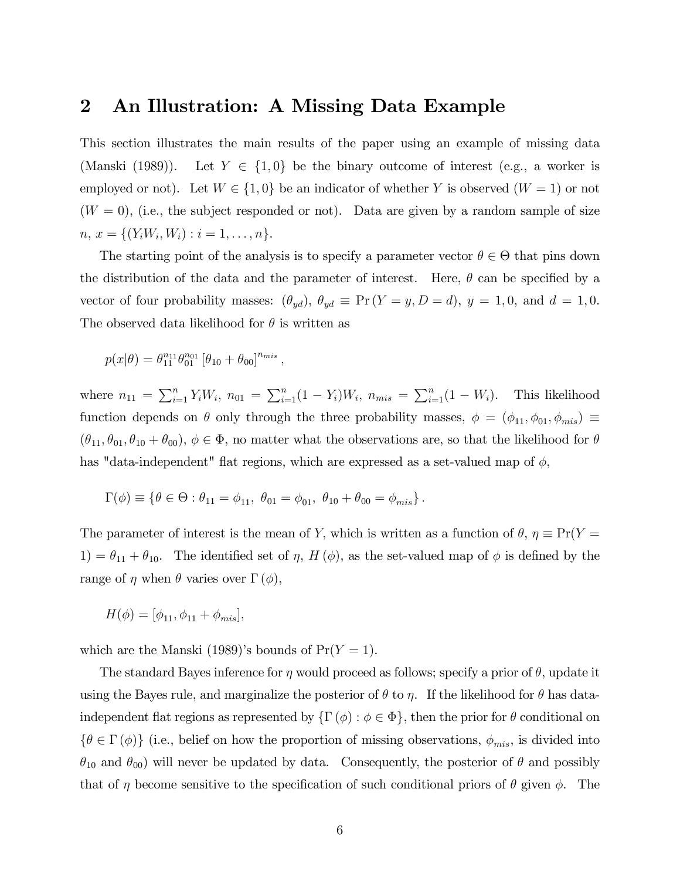# 2 An Illustration: A Missing Data Example

This section illustrates the main results of the paper using an example of missing data (Manski (1989)). Let  $Y \in \{1, 0\}$  be the binary outcome of interest (e.g., a worker is employed or not). Let  $W \in \{1, 0\}$  be an indicator of whether Y is observed  $(W = 1)$  or not  $(W = 0)$ , (i.e., the subject responded or not). Data are given by a random sample of size  $n, x = \{(Y_i W_i, W_i) : i = 1, \ldots, n\}.$ 

The starting point of the analysis is to specify a parameter vector  $\theta \in \Theta$  that pins down the distribution of the data and the parameter of interest. Here,  $\theta$  can be specified by a vector of four probability masses:  $(\theta_{yd})$ ,  $\theta_{yd} \equiv \Pr(Y = y, D = d)$ ,  $y = 1, 0$ , and  $d = 1, 0$ . The observed data likelihood for  $\theta$  is written as

$$
p(x|\theta) = \theta_{11}^{n_{11}} \theta_{01}^{n_{01}} [\theta_{10} + \theta_{00}]^{n_{mis}},
$$

where  $n_{11} = \sum_{i=1}^{n} Y_i W_i$ ,  $n_{01} = \sum_{i=1}^{n} (1 - Y_i) W_i$ ,  $n_{mis} = \sum_{i=1}^{n} (1 - W_i)$ . This likelihood function depends on  $\theta$  only through the three probability masses,  $\phi = (\phi_{11}, \phi_{01}, \phi_{mis}) \equiv$  $(\theta_{11}, \theta_{01}, \theta_{10} + \theta_{00}), \phi \in \Phi$ , no matter what the observations are, so that the likelihood for  $\theta$ has "data-independent" flat regions, which are expressed as a set-valued map of  $\phi$ ,

$$
\Gamma(\phi) \equiv \{ \theta \in \Theta : \theta_{11} = \phi_{11}, \ \theta_{01} = \phi_{01}, \ \theta_{10} + \theta_{00} = \phi_{mis} \}.
$$

The parameter of interest is the mean of Y, which is written as a function of  $\theta$ ,  $\eta \equiv Pr(Y =$ 1) =  $\theta_{11} + \theta_{10}$ . The identified set of  $\eta$ , H( $\phi$ ), as the set-valued map of  $\phi$  is defined by the range of  $\eta$  when  $\theta$  varies over  $\Gamma(\phi)$ ,

$$
H(\phi) = [\phi_{11}, \phi_{11} + \phi_{mis}],
$$

which are the Manski (1989)'s bounds of  $Pr(Y = 1)$ .

The standard Bayes inference for  $\eta$  would proceed as follows; specify a prior of  $\theta$ , update it using the Bayes rule, and marginalize the posterior of  $\theta$  to  $\eta$ . If the likelihood for  $\theta$  has dataindependent flat regions as represented by  $\{\Gamma(\phi): \phi \in \Phi\}$ , then the prior for  $\theta$  conditional on  $\{\theta \in \Gamma(\phi)\}\$  (i.e., belief on how the proportion of missing observations,  $\phi_{mis}$ , is divided into  $\theta_{10}$  and  $\theta_{00}$ ) will never be updated by data. Consequently, the posterior of  $\theta$  and possibly that of  $\eta$  become sensitive to the specification of such conditional priors of  $\theta$  given  $\phi$ . The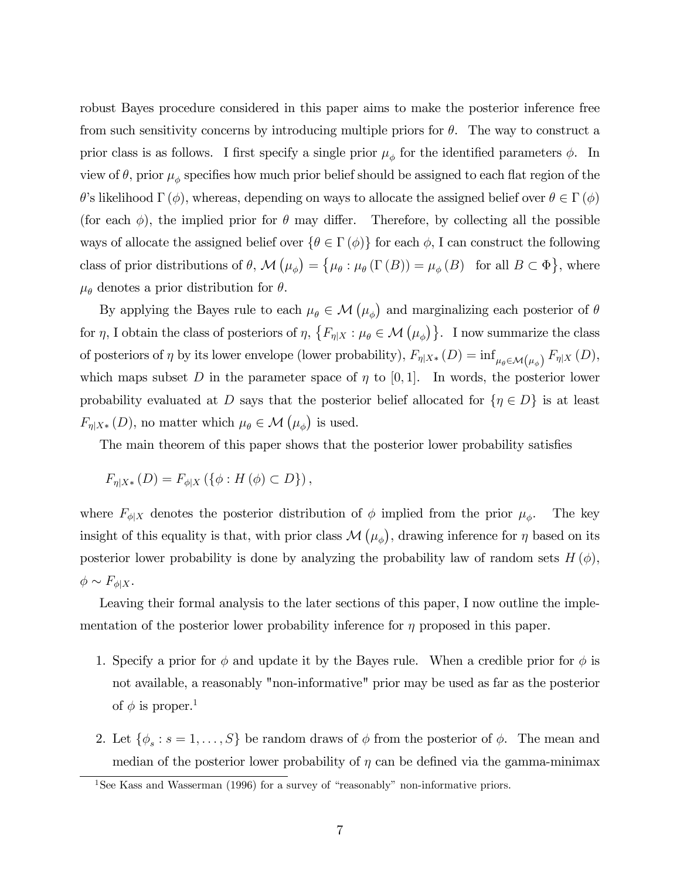robust Bayes procedure considered in this paper aims to make the posterior inference free from such sensitivity concerns by introducing multiple priors for  $\theta$ . The way to construct a prior class is as follows. I first specify a single prior  $\mu_{\phi}$  for the identified parameters  $\phi$ . In view of  $\theta$ , prior  $\mu_{\phi}$  specifies how much prior belief should be assigned to each flat region of the  $\theta$ 's likelihood  $\Gamma(\phi)$ , whereas, depending on ways to allocate the assigned belief over  $\theta \in \Gamma(\phi)$ (for each  $\phi$ ), the implied prior for  $\theta$  may differ. Therefore, by collecting all the possible ways of allocate the assigned belief over  $\{\theta \in \Gamma(\phi)\}\$  for each  $\phi$ , I can construct the following class of prior distributions of  $\theta$ ,  $\mathcal{M}(\mu_{\phi}) = \{ \mu_{\theta} : \mu_{\theta}(\Gamma(B)) = \mu_{\phi}(B) \text{ for all } B \subset \Phi \}$ , where  $\mu_{\theta}$  denotes a prior distribution for  $\theta$ .

By applying the Bayes rule to each  $\mu_{\theta} \in \mathcal{M}(\mu_{\phi})$  and marginalizing each posterior of  $\theta$ for  $\eta$ , I obtain the class of posteriors of  $\eta$ ,  $\{F_{\eta|X} : \mu_{\theta} \in \mathcal{M}(\mu_{\phi})\}$ . I now summarize the class of posteriors of  $\eta$  by its lower envelope (lower probability),  $F_{\eta|X^*}(D) = \inf_{\mu_{\theta} \in \mathcal{M}(\mu_{\phi})} F_{\eta|X}(D)$ , which maps subset D in the parameter space of  $\eta$  to [0,1]. In words, the posterior lower probability evaluated at D says that the posterior belief allocated for  $\{\eta \in D\}$  is at least  $F_{\eta|X^*}(D)$ , no matter which  $\mu_{\theta} \in \mathcal{M}(\mu_{\phi})$  is used.

The main theorem of this paper shows that the posterior lower probability satisfies

$$
F_{\eta|X*}(D) = F_{\phi|X}(\{\phi: H(\phi) \subset D\}),
$$

where  $F_{\phi|X}$  denotes the posterior distribution of  $\phi$  implied from the prior  $\mu_{\phi}$ . . The key insight of this equality is that, with prior class  $\mathcal{M}(\mu_{\phi})$ , drawing inference for  $\eta$  based on its posterior lower probability is done by analyzing the probability law of random sets  $H(\phi)$ ,  $\phi \sim F_{\phi|X}$ .

Leaving their formal analysis to the later sections of this paper, I now outline the implementation of the posterior lower probability inference for  $\eta$  proposed in this paper.

- 1. Specify a prior for  $\phi$  and update it by the Bayes rule. When a credible prior for  $\phi$  is not available, a reasonably "non-informative" prior may be used as far as the posterior of  $\phi$  is proper.<sup>1</sup>
- 2. Let  $\{\phi_s : s = 1, \ldots, S\}$  be random draws of  $\phi$  from the posterior of  $\phi$ . The mean and median of the posterior lower probability of  $\eta$  can be defined via the gamma-minimax

<sup>&</sup>lt;sup>1</sup>See Kass and Wasserman (1996) for a survey of "reasonably" non-informative priors.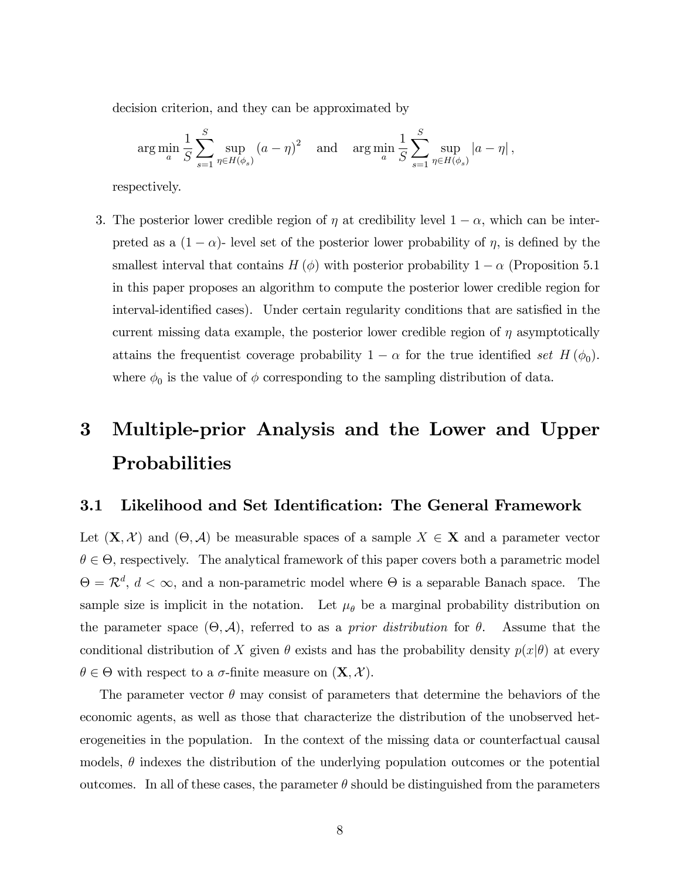decision criterion, and they can be approximated by

$$
\arg\min_{a} \frac{1}{S} \sum_{s=1}^{S} \sup_{\eta \in H(\phi_s)} (a - \eta)^2 \quad \text{and} \quad \arg\min_{a} \frac{1}{S} \sum_{s=1}^{S} \sup_{\eta \in H(\phi_s)} |a - \eta|,
$$

respectively.

3. The posterior lower credible region of  $\eta$  at credibility level  $1 - \alpha$ , which can be interpreted as a  $(1 - \alpha)$ - level set of the posterior lower probability of  $\eta$ , is defined by the smallest interval that contains  $H(\phi)$  with posterior probability  $1 - \alpha$  (Proposition 5.1) in this paper proposes an algorithm to compute the posterior lower credible region for interval-identified cases). Under certain regularity conditions that are satisfied in the current missing data example, the posterior lower credible region of  $\eta$  asymptotically attains the frequentist coverage probability  $1 - \alpha$  for the true identified set  $H(\phi_0)$ . where  $\phi_0$  is the value of  $\phi$  corresponding to the sampling distribution of data.

# 3 Multiple-prior Analysis and the Lower and Upper **Probabilities**

## 3.1 Likelihood and Set Identification: The General Framework

Let  $(X, \mathcal{X})$  and  $(\Theta, \mathcal{A})$  be measurable spaces of a sample  $X \in \mathbf{X}$  and a parameter vector  $\theta \in \Theta$ , respectively. The analytical framework of this paper covers both a parametric model  $\Theta = \mathcal{R}^d$ ,  $d < \infty$ , and a non-parametric model where  $\Theta$  is a separable Banach space. The sample size is implicit in the notation. Let  $\mu_{\theta}$  be a marginal probability distribution on the parameter space  $(\Theta, \mathcal{A})$ , referred to as a *prior distribution* for  $\theta$ . Assume that the conditional distribution of X given  $\theta$  exists and has the probability density  $p(x|\theta)$  at every  $\theta \in \Theta$  with respect to a  $\sigma$ -finite measure on  $(\mathbf{X}, \mathcal{X})$ .

The parameter vector  $\theta$  may consist of parameters that determine the behaviors of the economic agents, as well as those that characterize the distribution of the unobserved heterogeneities in the population. In the context of the missing data or counterfactual causal models,  $\theta$  indexes the distribution of the underlying population outcomes or the potential outcomes. In all of these cases, the parameter  $\theta$  should be distinguished from the parameters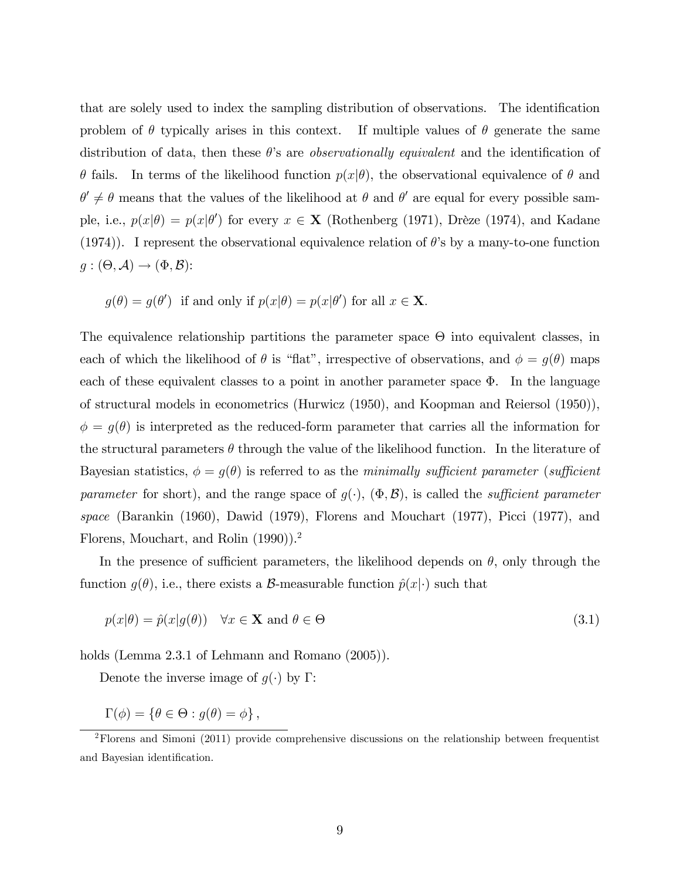that are solely used to index the sampling distribution of observations. The identification problem of  $\theta$  typically arises in this context. If multiple values of  $\theta$  generate the same distribution of data, then these  $\theta$ 's are *observationally equivalent* and the identification of  $\theta$  fails. In terms of the likelihood function  $p(x|\theta)$ , the observational equivalence of  $\theta$  and  $\theta' \neq \theta$  means that the values of the likelihood at  $\theta$  and  $\theta'$  are equal for every possible sample, i.e.,  $p(x|\theta) = p(x|\theta')$  for every  $x \in \mathbf{X}$  (Rothenberg (1971), Drèze (1974), and Kadane (1974)). I represent the observational equivalence relation of  $\theta$ 's by a many-to-one function  $g: (\Theta, \mathcal{A}) \rightarrow (\Phi, \mathcal{B})$ :

$$
g(\theta) = g(\theta')
$$
 if and only if  $p(x|\theta) = p(x|\theta')$  for all  $x \in \mathbf{X}$ .

The equivalence relationship partitions the parameter space  $\Theta$  into equivalent classes, in each of which the likelihood of  $\theta$  is "flat", irrespective of observations, and  $\phi = g(\theta)$  maps each of these equivalent classes to a point in another parameter space  $\Phi$ . In the language of structural models in econometrics (Hurwicz (1950), and Koopman and Reiersol (1950)),  $\phi = g(\theta)$  is interpreted as the reduced-form parameter that carries all the information for the structural parameters  $\theta$  through the value of the likelihood function. In the literature of Bayesian statistics,  $\phi = g(\theta)$  is referred to as the minimally sufficient parameter (sufficient parameter for short), and the range space of  $g(\cdot)$ ,  $(\Phi, \mathcal{B})$ , is called the *sufficient parameter* space (Barankin (1960), Dawid (1979), Florens and Mouchart (1977), Picci (1977), and Florens, Mouchart, and Rolin (1990)).<sup>2</sup>

In the presence of sufficient parameters, the likelihood depends on  $\theta$ , only through the function  $g(\theta)$ , i.e., there exists a B-measurable function  $\hat{p}(x|\cdot)$  such that

$$
p(x|\theta) = \hat{p}(x|g(\theta)) \quad \forall x \in \mathbf{X} \text{ and } \theta \in \Theta
$$
\n(3.1)

holds (Lemma 2.3.1 of Lehmann and Romano  $(2005)$ ).

Denote the inverse image of  $g(\cdot)$  by  $\Gamma$ :

 $\Gamma(\phi) = \{ \theta \in \Theta : g(\theta) = \phi \},\,$ 

<sup>&</sup>lt;sup>2</sup>Florens and Simoni (2011) provide comprehensive discussions on the relationship between frequentist and Bayesian identification.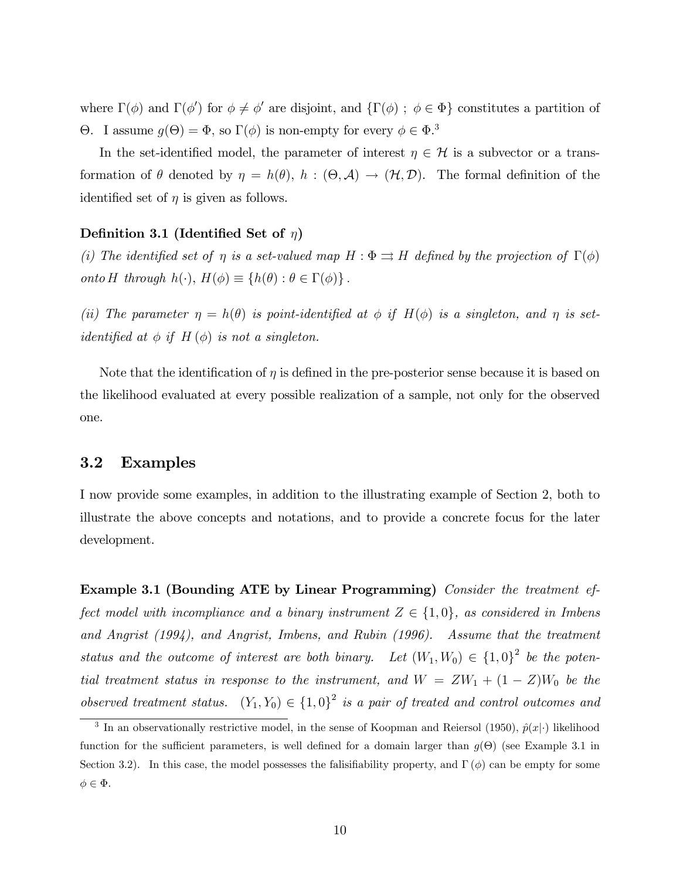where  $\Gamma(\phi)$  and  $\Gamma(\phi')$  for  $\phi \neq \phi'$  are disjoint, and  $\{\Gamma(\phi) ; \phi \in \Phi\}$  constitutes a partition of  $\Theta$ . I assume  $g(\Theta) = \Phi$ , so  $\Gamma(\phi)$  is non-empty for every  $\phi \in \Phi$ .<sup>3</sup>

In the set-identified model, the parameter of interest  $\eta \in \mathcal{H}$  is a subvector or a transformation of  $\theta$  denoted by  $\eta = h(\theta), h : (\Theta, \mathcal{A}) \to (\mathcal{H}, \mathcal{D})$ . The formal definition of the identified set of  $\eta$  is given as follows.

#### Definition 3.1 (Identified Set of  $\eta$ )

(i) The identified set of  $\eta$  is a set-valued map  $H : \Phi \rightrightarrows H$  defined by the projection of  $\Gamma(\phi)$ onto H through  $h(\cdot), H(\phi) \equiv \{h(\theta) : \theta \in \Gamma(\phi)\}\.$ 

(ii) The parameter  $\eta = h(\theta)$  is point-identified at  $\phi$  if  $H(\phi)$  is a singleton, and  $\eta$  is setidentified at  $\phi$  if  $H(\phi)$  is not a singleton.

Note that the identification of  $\eta$  is defined in the pre-posterior sense because it is based on the likelihood evaluated at every possible realization of a sample, not only for the observed one.

#### 3.2 Examples

I now provide some examples, in addition to the illustrating example of Section 2, both to illustrate the above concepts and notations, and to provide a concrete focus for the later development.

Example 3.1 (Bounding ATE by Linear Programming) Consider the treatment effect model with incompliance and a binary instrument  $Z \in \{1, 0\}$ , as considered in Imbens and Angrist (1994), and Angrist, Imbens, and Rubin (1996). Assume that the treatment status and the outcome of interest are both binary. Let  $(W_1, W_0) \in \{1, 0\}^2$  be the potential treatment status in response to the instrument, and  $W = ZW_1 + (1 - Z)W_0$  be the observed treatment status.  $(Y_1, Y_0) \in \{1, 0\}^2$  is a pair of treated and control outcomes and

<sup>&</sup>lt;sup>3</sup> In an observationally restrictive model, in the sense of Koopman and Reiersol (1950),  $\hat{p}(x|\cdot)$  likelihood function for the sufficient parameters, is well defined for a domain larger than  $g(\Theta)$  (see Example 3.1 in Section 3.2). In this case, the model possesses the falisifiability property, and  $\Gamma(\phi)$  can be empty for some  $\phi \in \Phi$ .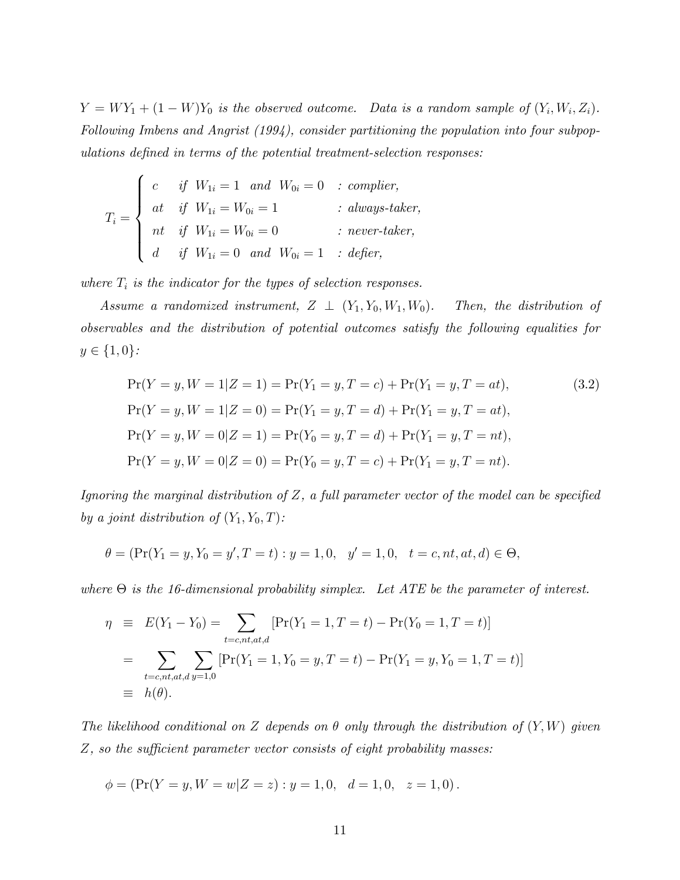$Y = WY_1 + (1 - W)Y_0$  is the observed outcome. Data is a random sample of  $(Y_i, W_i, Z_i)$ . Following Imbens and Angrist (1994), consider partitioning the population into four subpopulations defined in terms of the potential treatment-selection responses:

$$
T_i = \begin{cases} c & \text{if } W_{1i} = 1 \quad and \quad W_{0i} = 0 \quad : \text{ compiler,} \\ at & \text{if } W_{1i} = W_{0i} = 1 \quad & \text{if } \text{always-taker,} \\ nt & \text{if } W_{1i} = W_{0i} = 0 \quad & \text{if } \text{never-taker,} \\ d & \text{if } W_{1i} = 0 \quad and \quad W_{0i} = 1 \quad : \text{define,} \end{cases}
$$

where  $T_i$  is the indicator for the types of selection responses.

Assume a randomized instrument,  $Z \perp (Y_1, Y_0, W_1, W_0)$ . Then, the distribution of observables and the distribution of potential outcomes satisfy the following equalities for  $y \in \{1, 0\}$ :

$$
\Pr(Y = y, W = 1 | Z = 1) = \Pr(Y_1 = y, T = c) + \Pr(Y_1 = y, T = at),
$$
\n
$$
\Pr(Y = y, W = 1 | Z = 0) = \Pr(Y_1 = y, T = d) + \Pr(Y_1 = y, T = at),
$$
\n
$$
\Pr(Y = y, W = 0 | Z = 1) = \Pr(Y_0 = y, T = d) + \Pr(Y_1 = y, T = nt),
$$
\n
$$
\Pr(Y = y, W = 0 | Z = 0) = \Pr(Y_0 = y, T = c) + \Pr(Y_1 = y, T = nt).
$$
\n(3.2)

Ignoring the marginal distribution of  $Z$ , a full parameter vector of the model can be specified by a joint distribution of  $(Y_1, Y_0, T)$ :

$$
\theta = (\Pr(Y_1 = y, Y_0 = y', T = t) : y = 1, 0, y' = 1, 0, t = c, nt, at, d) \in \Theta,
$$

where  $\Theta$  is the 16-dimensional probability simplex. Let ATE be the parameter of interest.

$$
\eta \equiv E(Y_1 - Y_0) = \sum_{t=c, nt, at, d} [\Pr(Y_1 = 1, T = t) - \Pr(Y_0 = 1, T = t)]
$$
  
= 
$$
\sum_{t=c, nt, at, d} \sum_{y=1, 0} [\Pr(Y_1 = 1, Y_0 = y, T = t) - \Pr(Y_1 = y, Y_0 = 1, T = t)]
$$
  

$$
\equiv h(\theta).
$$

The likelihood conditional on Z depends on  $\theta$  only through the distribution of  $(Y, W)$  given  $Z$ , so the sufficient parameter vector consists of eight probability masses:

$$
\phi = (\Pr(Y = y, W = w | Z = z) : y = 1, 0, d = 1, 0, z = 1, 0).
$$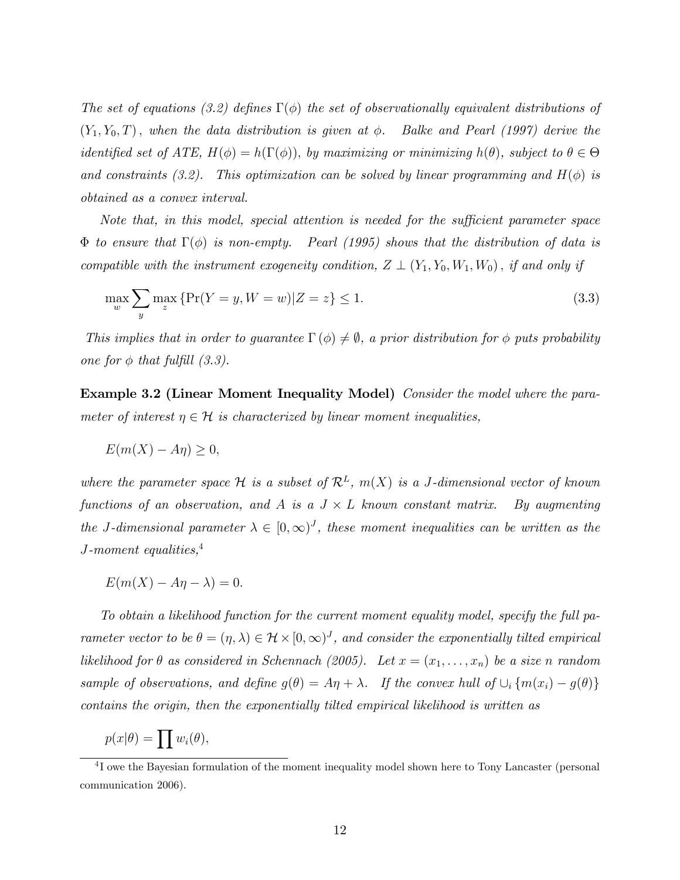The set of equations (3.2) defines  $\Gamma(\phi)$  the set of observationally equivalent distributions of  $(Y_1, Y_0, T)$ , when the data distribution is given at  $\phi$ . Balke and Pearl (1997) derive the identified set of ATE,  $H(\phi) = h(\Gamma(\phi))$ , by maximizing or minimizing  $h(\theta)$ , subject to  $\theta \in \Theta$ and constraints (3.2). This optimization can be solved by linear programming and  $H(\phi)$  is obtained as a convex interval.

Note that, in this model, special attention is needed for the sufficient parameter space  $\Phi$  to ensure that  $\Gamma(\phi)$  is non-empty. Pearl (1995) shows that the distribution of data is compatible with the instrument exogeneity condition,  $Z \perp (Y_1, Y_0, W_1, W_0)$ , if and only if

$$
\max_{w} \sum_{y} \max_{z} \{ \Pr(Y = y, W = w) | Z = z \} \le 1.
$$
\n(3.3)

This implies that in order to guarantee  $\Gamma(\phi) \neq \emptyset$ , a prior distribution for  $\phi$  puts probability one for  $\phi$  that fulfill (3.3).

Example 3.2 (Linear Moment Inequality Model) Consider the model where the parameter of interest  $\eta \in \mathcal{H}$  is characterized by linear moment inequalities,

$$
E(m(X) - A\eta) \ge 0,
$$

where the parameter space H is a subset of  $\mathcal{R}^L$ ,  $m(X)$  is a J-dimensional vector of known functions of an observation, and A is a  $J \times L$  known constant matrix. By augmenting the J-dimensional parameter  $\lambda \in [0,\infty)^J$ , these moment inequalities can be written as the J-moment equalities, $4$ 

$$
E(m(X) - A\eta - \lambda) = 0.
$$

To obtain a likelihood function for the current moment equality model, specify the full parameter vector to be  $\theta = (\eta, \lambda) \in \mathcal{H} \times [0, \infty)^J$ , and consider the exponentially tilted empirical likelihood for  $\theta$  as considered in Schennach (2005). Let  $x = (x_1, \ldots, x_n)$  be a size n random sample of observations, and define  $g(\theta) = A\eta + \lambda$ . If the convex hull of  $\cup_i \{m(x_i) - g(\theta)\}\$ contains the origin, then the exponentially tilted empirical likelihood is written as

 $p(x|\theta) = \prod w_i(\theta),$ 

<sup>&</sup>lt;sup>4</sup>I owe the Bayesian formulation of the moment inequality model shown here to Tony Lancaster (personal communication 2006).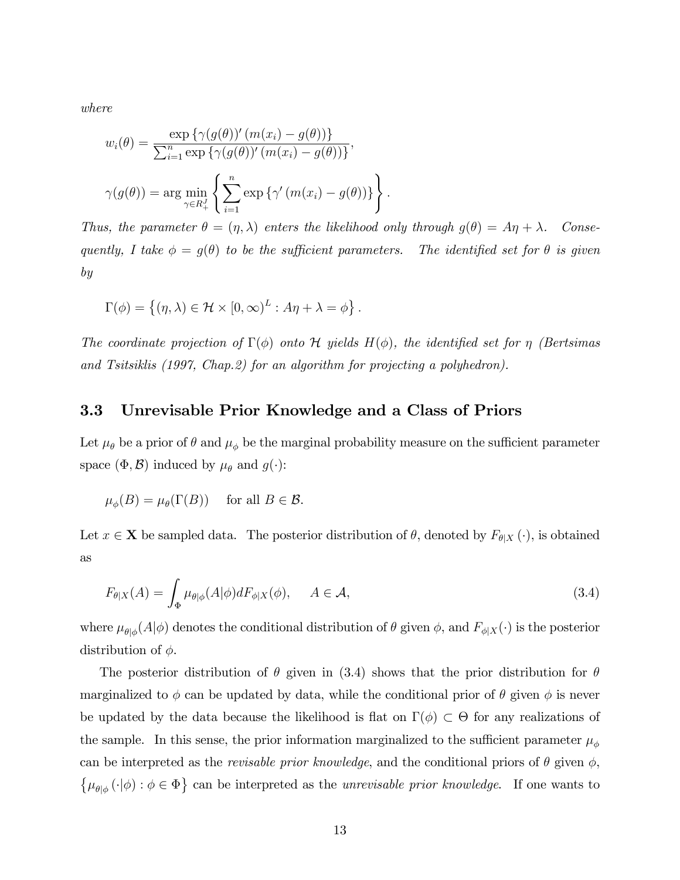where

$$
w_i(\theta) = \frac{\exp\left\{\gamma(g(\theta))'\left(m(x_i) - g(\theta)\right)\right\}}{\sum_{i=1}^n \exp\left\{\gamma(g(\theta))'\left(m(x_i) - g(\theta)\right)\right\}},
$$

$$
\gamma(g(\theta)) = \arg\min_{\gamma \in R_+^J} \left\{\sum_{i=1}^n \exp\left\{\gamma'\left(m(x_i) - g(\theta)\right)\right\}\right\}.
$$

Thus, the parameter  $\theta = (\eta, \lambda)$  enters the likelihood only through  $g(\theta) = A\eta + \lambda$ . Consequently, I take  $\phi = g(\theta)$  to be the sufficient parameters. The identified set for  $\theta$  is given by

$$
\Gamma(\phi) = \left\{ (\eta, \lambda) \in \mathcal{H} \times [0, \infty)^L : A\eta + \lambda = \phi \right\}.
$$

The coordinate projection of  $\Gamma(\phi)$  onto H yields  $H(\phi)$ , the identified set for  $\eta$  (Bertsimas and Tsitsiklis (1997, Chap.2) for an algorithm for projecting a polyhedron).

### 3.3 Unrevisable Prior Knowledge and a Class of Priors

Let  $\mu_{\theta}$  be a prior of  $\theta$  and  $\mu_{\phi}$  be the marginal probability measure on the sufficient parameter space  $(\Phi, \mathcal{B})$  induced by  $\mu_{\theta}$  and  $g(\cdot)$ :

$$
\mu_{\phi}(B) = \mu_{\theta}(\Gamma(B)) \quad \text{ for all } B \in \mathcal{B}.
$$

Let  $x \in \mathbf{X}$  be sampled data. The posterior distribution of  $\theta$ , denoted by  $F_{\theta|X}(\cdot)$ , is obtained as

$$
F_{\theta|X}(A) = \int_{\Phi} \mu_{\theta|\phi}(A|\phi) dF_{\phi|X}(\phi), \quad A \in \mathcal{A}, \tag{3.4}
$$

where  $\mu_{\theta|\phi}(A|\phi)$  denotes the conditional distribution of  $\theta$  given  $\phi$ , and  $F_{\phi|X}(\cdot)$  is the posterior distribution of  $\phi$ .

The posterior distribution of  $\theta$  given in (3.4) shows that the prior distribution for  $\theta$ marginalized to  $\phi$  can be updated by data, while the conditional prior of  $\theta$  given  $\phi$  is never be updated by the data because the likelihood is flat on  $\Gamma(\phi) \subset \Theta$  for any realizations of the sample. In this sense, the prior information marginalized to the sufficient parameter  $\mu_{\phi}$ can be interpreted as the *revisable prior knowledge*, and the conditional priors of  $\theta$  given  $\phi$ ,  $\{\mu_{\theta|\phi}(\cdot|\phi):\phi\in\Phi\}$  can be interpreted as the *unrevisable prior knowledge*. If one wants to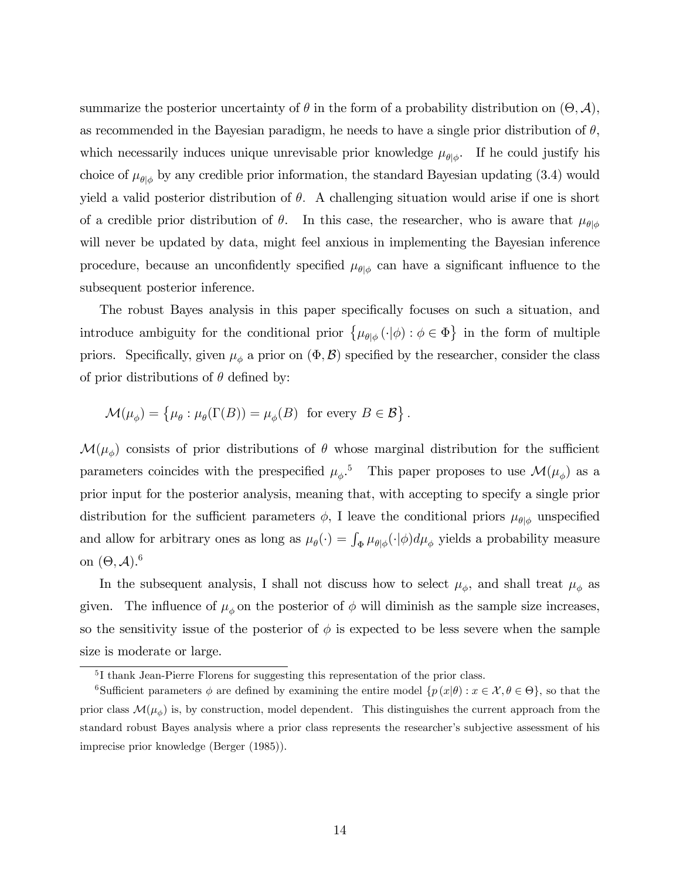summarize the posterior uncertainty of  $\theta$  in the form of a probability distribution on  $(\Theta, \mathcal{A})$ , as recommended in the Bayesian paradigm, he needs to have a single prior distribution of  $\theta$ , which necessarily induces unique unrevisable prior knowledge  $\mu_{\theta|\phi}$ . If he could justify his choice of  $\mu_{\theta|\phi}$  by any credible prior information, the standard Bayesian updating (3.4) would yield a valid posterior distribution of  $\theta$ . A challenging situation would arise if one is short of a credible prior distribution of  $\theta$ . In this case, the researcher, who is aware that  $\mu_{\theta|\phi}$ will never be updated by data, might feel anxious in implementing the Bayesian inference procedure, because an unconfidently specified  $\mu_{\theta|\phi}$  can have a significant influence to the subsequent posterior inference.

The robust Bayes analysis in this paper specifically focuses on such a situation, and introduce ambiguity for the conditional prior  $\{\mu_{\theta|\phi}(\cdot|\phi):\phi\in\Phi\}$  in the form of multiple priors. Specifically, given  $\mu_{\phi}$  a prior on  $(\Phi, \mathcal{B})$  specified by the researcher, consider the class of prior distributions of  $\theta$  defined by:

$$
\mathcal{M}(\mu_{\phi}) = \{ \mu_{\theta} : \mu_{\theta}(\Gamma(B)) = \mu_{\phi}(B) \text{ for every } B \in \mathcal{B} \}.
$$

 $\mathcal{M}(\mu_{\phi})$  consists of prior distributions of  $\theta$  whose marginal distribution for the sufficient parameters coincides with the prespecified  $\mu_{\phi}$ <sup>5</sup>. This paper proposes to use  $\mathcal{M}(\mu_{\phi})$  as a prior input for the posterior analysis, meaning that, with accepting to specify a single prior distribution for the sufficient parameters  $\phi$ , I leave the conditional priors  $\mu_{\theta|\phi}$  unspecified and allow for arbitrary ones as long as  $\mu_{\theta}(\cdot) = \int_{\Phi} \mu_{\theta|\phi}(\cdot|\phi) d\mu_{\phi}$  yields a probability measure on  $(\Theta, \mathcal{A})$ .<sup>6</sup>

In the subsequent analysis, I shall not discuss how to select  $\mu_{\phi}$ , and shall treat  $\mu_{\phi}$  as given. The influence of  $\mu_{\phi}$  on the posterior of  $\phi$  will diminish as the sample size increases, so the sensitivity issue of the posterior of  $\phi$  is expected to be less severe when the sample size is moderate or large.

<sup>5</sup> I thank Jean-Pierre Florens for suggesting this representation of the prior class.

<sup>&</sup>lt;sup>6</sup>Sufficient parameters  $\phi$  are defined by examining the entire model  $\{p(x|\theta): x \in \mathcal{X}, \theta \in \Theta\}$ , so that the prior class  $\mathcal{M}(\mu_{\phi})$  is, by construction, model dependent. This distinguishes the current approach from the standard robust Bayes analysis where a prior class represents the researcher's subjective assessment of his imprecise prior knowledge (Berger (1985)).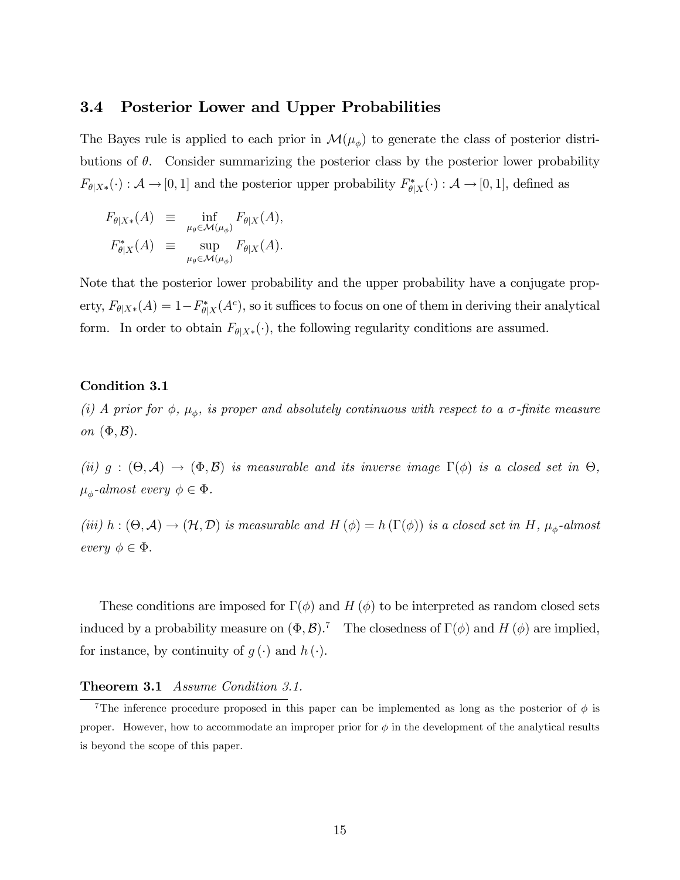#### 3.4 Posterior Lower and Upper Probabilities

The Bayes rule is applied to each prior in  $\mathcal{M}(\mu_{\phi})$  to generate the class of posterior distributions of  $\theta$ . Consider summarizing the posterior class by the posterior lower probability  $F_{\theta|X^*}(\cdot) : \mathcal{A} \to [0,1]$  and the posterior upper probability  $F_{\theta|X}^*(\cdot) : \mathcal{A} \to [0,1]$ , defined as

$$
F_{\theta|X*}(A) \equiv \inf_{\mu_{\theta} \in \mathcal{M}(\mu_{\phi})} F_{\theta|X}(A),
$$
  

$$
F_{\theta|X}^*(A) \equiv \sup_{\mu_{\theta} \in \mathcal{M}(\mu_{\phi})} F_{\theta|X}(A).
$$

Note that the posterior lower probability and the upper probability have a conjugate property,  $F_{\theta|X^*}(A) = 1 - F_{\theta|X}^*(A^c)$ , so it suffices to focus on one of them in deriving their analytical form. In order to obtain  $F_{\theta|X^*}(\cdot)$ , the following regularity conditions are assumed.

#### Condition 3.1

(i) A prior for  $\phi$ ,  $\mu_{\phi}$ , is proper and absolutely continuous with respect to a  $\sigma$ -finite measure on  $(\Phi, \mathcal{B})$ .

(ii)  $g : (\Theta, \mathcal{A}) \to (\Phi, \mathcal{B})$  is measurable and its inverse image  $\Gamma(\phi)$  is a closed set in  $\Theta$ ,  $\mu_{\phi}$ -almost every  $\phi \in \Phi$ .

(iii)  $h: (\Theta, \mathcal{A}) \to (\mathcal{H}, \mathcal{D})$  is measurable and  $H(\phi) = h(\Gamma(\phi))$  is a closed set in H,  $\mu_{\phi}$ -almost every  $\phi \in \Phi$ .

These conditions are imposed for  $\Gamma(\phi)$  and H ( $\phi$ ) to be interpreted as random closed sets induced by a probability measure on  $(\Phi, \mathcal{B})$ .<sup>7</sup> The closedness of  $\Gamma(\phi)$  and H  $(\phi)$  are implied. for instance, by continuity of  $g(\cdot)$  and  $h(\cdot)$ .

#### Theorem 3.1 Assume Condition 3.1.

<sup>&</sup>lt;sup>7</sup>The inference procedure proposed in this paper can be implemented as long as the posterior of  $\phi$  is proper. However, how to accommodate an improper prior for  $\phi$  in the development of the analytical results is beyond the scope of this paper.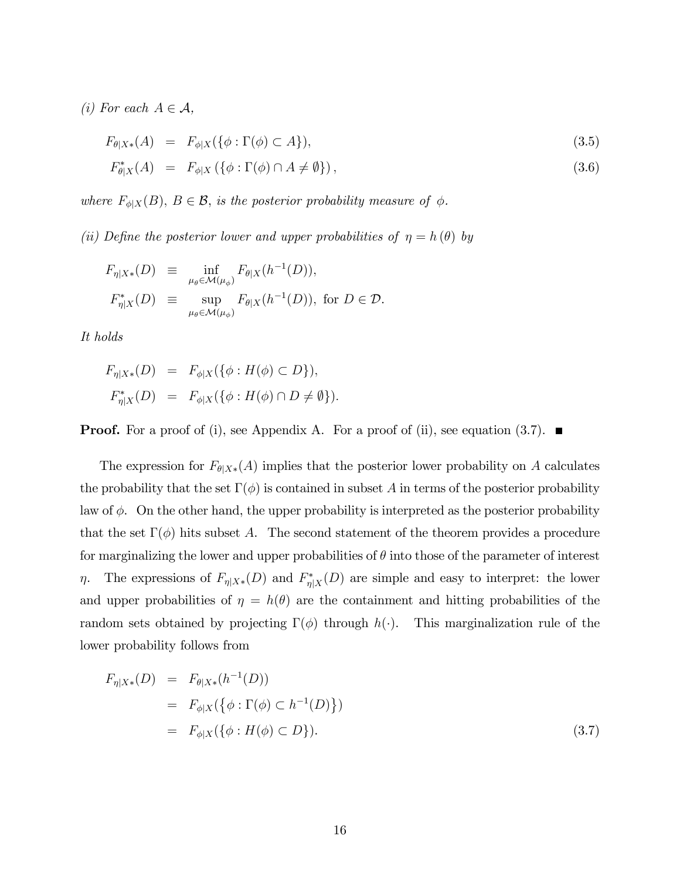(i) For each  $A \in \mathcal{A}$ ,

$$
F_{\theta|X*}(A) = F_{\phi|X}(\{\phi : \Gamma(\phi) \subset A\}),
$$
  
\n
$$
F_{\theta|X}^*(A) = F_{\phi|X}(\{\phi : \Gamma(\phi) \cap A \neq \emptyset\}),
$$
\n(3.6)

where  $F_{\phi|X}(B)$ ,  $B \in \mathcal{B}$ , is the posterior probability measure of  $\phi$ .

(ii) Define the posterior lower and upper probabilities of  $\eta = h(\theta)$  by

$$
F_{\eta|X^*}(D) \equiv \inf_{\mu_{\theta} \in \mathcal{M}(\mu_{\phi})} F_{\theta|X}(h^{-1}(D)),
$$
  

$$
F_{\eta|X}^*(D) \equiv \sup_{\mu_{\theta} \in \mathcal{M}(\mu_{\phi})} F_{\theta|X}(h^{-1}(D)), \text{ for } D \in \mathcal{D}.
$$

It holds

$$
F_{\eta|X*}(D) = F_{\phi|X}(\{\phi : H(\phi) \subset D\}),
$$
  

$$
F_{\eta|X}^*(D) = F_{\phi|X}(\{\phi : H(\phi) \cap D \neq \emptyset\}).
$$

**Proof.** For a proof of (i), see Appendix A. For a proof of (ii), see equation (3.7).

The expression for  $F_{\theta|X*}(A)$  implies that the posterior lower probability on A calculates the probability that the set  $\Gamma(\phi)$  is contained in subset A in terms of the posterior probability law of  $\phi$ . On the other hand, the upper probability is interpreted as the posterior probability that the set  $\Gamma(\phi)$  hits subset A. The second statement of the theorem provides a procedure for marginalizing the lower and upper probabilities of  $\theta$  into those of the parameter of interest  $\eta$ . The expressions of  $F_{\eta|X^*}(D)$  and  $F_{\eta|X}^*(D)$  are simple and easy to interpret: the lower and upper probabilities of  $\eta = h(\theta)$  are the containment and hitting probabilities of the random sets obtained by projecting  $\Gamma(\phi)$  through  $h(\cdot)$ . This marginalization rule of the lower probability follows from

$$
F_{\eta|X*}(D) = F_{\theta|X*}(h^{-1}(D))
$$
  
=  $F_{\phi|X}(\{\phi : \Gamma(\phi) \subset h^{-1}(D)\})$   
=  $F_{\phi|X}(\{\phi : H(\phi) \subset D\}).$  (3.7)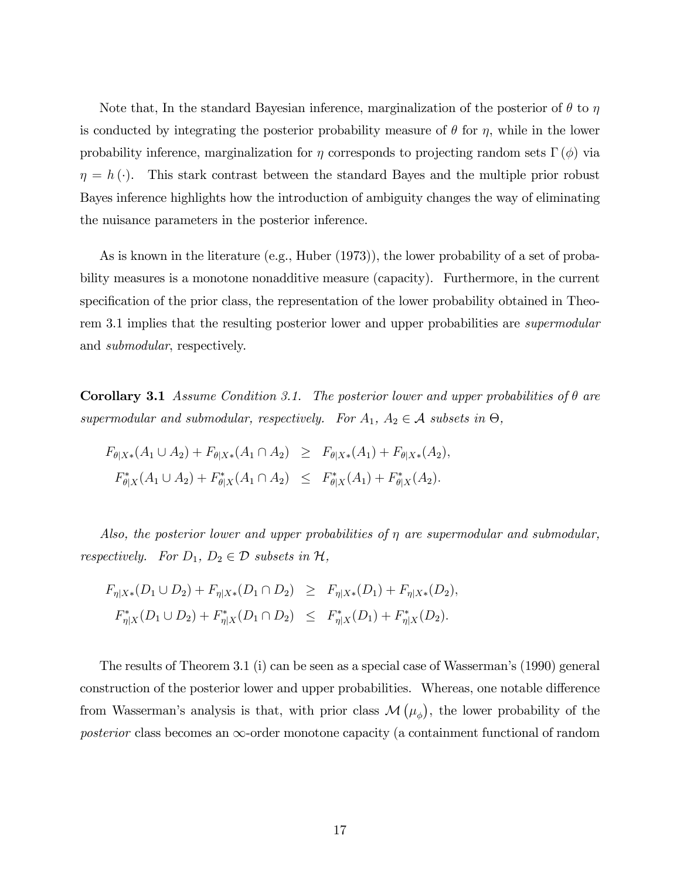Note that, In the standard Bayesian inference, marginalization of the posterior of  $\theta$  to  $\eta$ is conducted by integrating the posterior probability measure of  $\theta$  for  $\eta$ , while in the lower probability inference, marginalization for  $\eta$  corresponds to projecting random sets  $\Gamma(\phi)$  via  $\eta = h(\cdot)$ . This stark contrast between the standard Bayes and the multiple prior robust Bayes inference highlights how the introduction of ambiguity changes the way of eliminating the nuisance parameters in the posterior inference.

As is known in the literature (e.g., Huber (1973)), the lower probability of a set of probability measures is a monotone nonadditive measure (capacity). Furthermore, in the current specification of the prior class, the representation of the lower probability obtained in Theorem 3.1 implies that the resulting posterior lower and upper probabilities are *supermodular* and submodular, respectively.

**Corollary 3.1** Assume Condition 3.1. The posterior lower and upper probabilities of  $\theta$  are supermodular and submodular, respectively. For  $A_1, A_2 \in \mathcal{A}$  subsets in  $\Theta$ ,

$$
F_{\theta|X*}(A_1 \cup A_2) + F_{\theta|X*}(A_1 \cap A_2) \geq F_{\theta|X*}(A_1) + F_{\theta|X*}(A_2),
$$
  

$$
F_{\theta|X}^*(A_1 \cup A_2) + F_{\theta|X}^*(A_1 \cap A_2) \leq F_{\theta|X}^*(A_1) + F_{\theta|X}^*(A_2).
$$

Also, the posterior lower and upper probabilities of  $\eta$  are supermodular and submodular, respectively. For  $D_1$ ,  $D_2 \in \mathcal{D}$  subsets in  $\mathcal{H}$ ,

$$
F_{\eta|X*}(D_1 \cup D_2) + F_{\eta|X*}(D_1 \cap D_2) \ge F_{\eta|X*}(D_1) + F_{\eta|X*}(D_2),
$$
  

$$
F_{\eta|X}^*(D_1 \cup D_2) + F_{\eta|X}^*(D_1 \cap D_2) \le F_{\eta|X}^*(D_1) + F_{\eta|X}^*(D_2).
$$

The results of Theorem 3.1 (i) can be seen as a special case of Wassermanís (1990) general construction of the posterior lower and upper probabilities. Whereas, one notable difference from Wasserman's analysis is that, with prior class  $\mathcal{M}(\mu_{\phi})$ , the lower probability of the posterior class becomes an  $\infty$ -order monotone capacity (a containment functional of random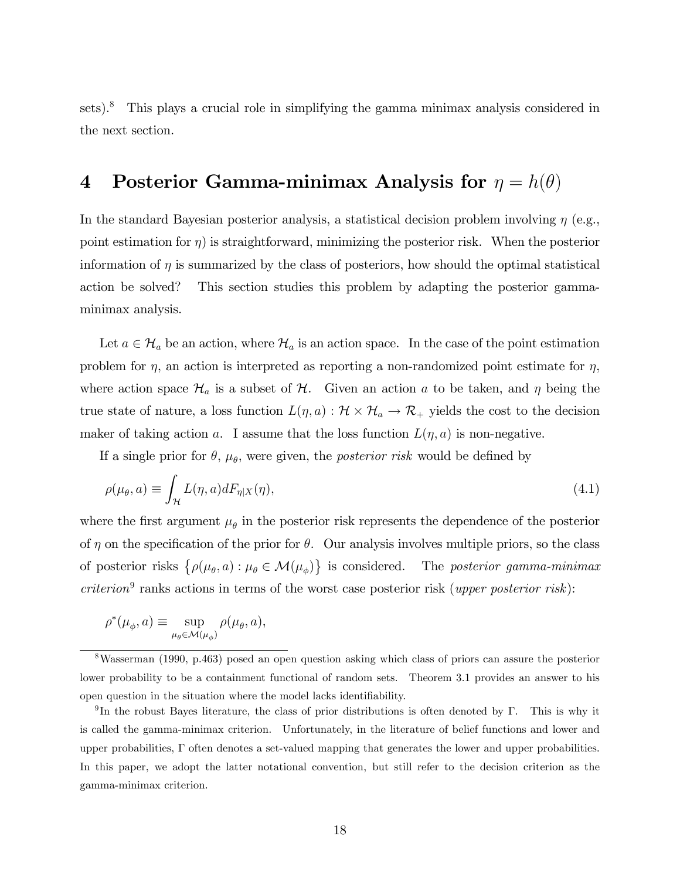sets).<sup>8</sup> This plays a crucial role in simplifying the gamma minimax analysis considered in the next section.

# 4 Posterior Gamma-minimax Analysis for  $\eta = h(\theta)$

In the standard Bayesian posterior analysis, a statistical decision problem involving  $\eta$  (e.g., point estimation for  $\eta$ ) is straightforward, minimizing the posterior risk. When the posterior information of  $\eta$  is summarized by the class of posteriors, how should the optimal statistical action be solved? This section studies this problem by adapting the posterior gammaminimax analysis.

Let  $a \in \mathcal{H}_a$  be an action, where  $\mathcal{H}_a$  is an action space. In the case of the point estimation problem for  $\eta$ , an action is interpreted as reporting a non-randomized point estimate for  $\eta$ , where action space  $\mathcal{H}_a$  is a subset of  $\mathcal{H}$ . Given an action a to be taken, and  $\eta$  being the true state of nature, a loss function  $L(\eta, a) : \mathcal{H} \times \mathcal{H}_a \to \mathcal{R}_+$  yields the cost to the decision maker of taking action a. I assume that the loss function  $L(\eta, a)$  is non-negative.

If a single prior for  $\theta$ ,  $\mu_{\theta}$ , were given, the *posterior risk* would be defined by

$$
\rho(\mu_{\theta}, a) \equiv \int_{\mathcal{H}} L(\eta, a) dF_{\eta|X}(\eta), \qquad (4.1)
$$

where the first argument  $\mu_{\theta}$  in the posterior risk represents the dependence of the posterior of  $\eta$  on the specification of the prior for  $\theta$ . Our analysis involves multiple priors, so the class of posterior risks  $\{\rho(\mu_{\theta}, a) : \mu_{\theta} \in \mathcal{M}(\mu_{\phi})\}$  is considered. The posterior gamma-minimax  $criterion<sup>9</sup>$  ranks actions in terms of the worst case posterior risk (upper posterior risk):

$$
\rho^*(\mu_{\phi}, a) \equiv \sup_{\mu_{\theta} \in \mathcal{M}(\mu_{\phi})} \rho(\mu_{\theta}, a),
$$

<sup>8</sup>Wasserman (1990, p.463) posed an open question asking which class of priors can assure the posterior lower probability to be a containment functional of random sets. Theorem 3.1 provides an answer to his open question in the situation where the model lacks identifiability.

<sup>&</sup>lt;sup>9</sup>In the robust Bayes literature, the class of prior distributions is often denoted by  $\Gamma$ . This is why it is called the gamma-minimax criterion. Unfortunately, in the literature of belief functions and lower and upper probabilities,  $\Gamma$  often denotes a set-valued mapping that generates the lower and upper probabilities. In this paper, we adopt the latter notational convention, but still refer to the decision criterion as the gamma-minimax criterion.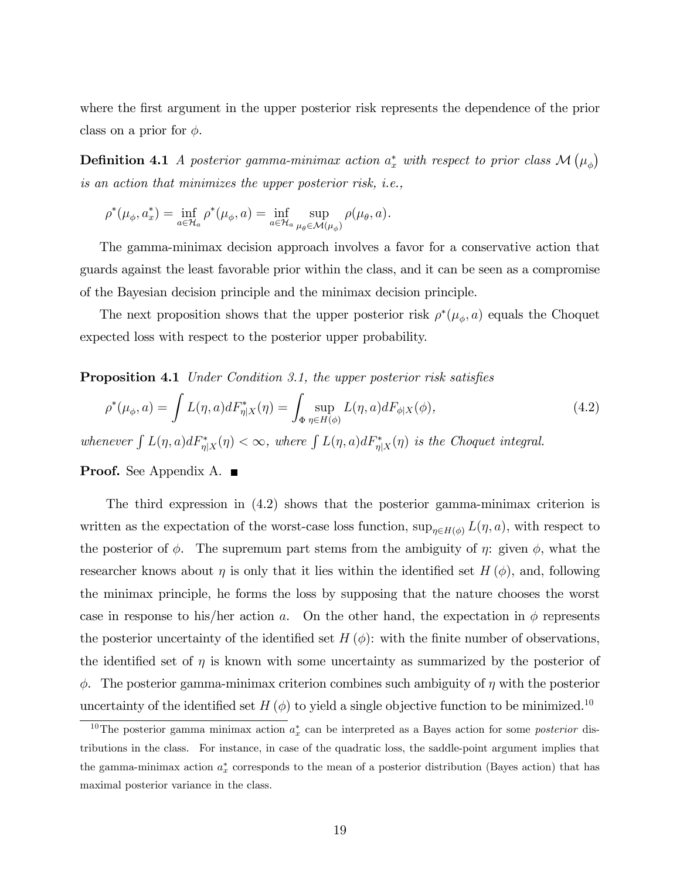where the first argument in the upper posterior risk represents the dependence of the prior class on a prior for  $\phi$ .

**Definition 4.1** A posterior gamma-minimax action  $a_x^*$  with respect to prior class  $\mathcal{M}(\mu_{\phi})$ is an action that minimizes the upper posterior risk, i.e.,

$$
\rho^*(\mu_{\phi}, a_x^*) = \inf_{a \in \mathcal{H}_a} \rho^*(\mu_{\phi}, a) = \inf_{a \in \mathcal{H}_a} \sup_{\mu_{\theta} \in \mathcal{M}(\mu_{\phi})} \rho(\mu_{\theta}, a).
$$

The gamma-minimax decision approach involves a favor for a conservative action that guards against the least favorable prior within the class, and it can be seen as a compromise of the Bayesian decision principle and the minimax decision principle.

The next proposition shows that the upper posterior risk  $\rho^*(\mu_\phi, a)$  equals the Choquet expected loss with respect to the posterior upper probability.

**Proposition 4.1** Under Condition 3.1, the upper posterior risk satisfies

$$
\rho^*(\mu_\phi, a) = \int L(\eta, a) dF_{\eta|X}^*(\eta) = \int_{\Phi} \sup_{\eta \in H(\phi)} L(\eta, a) dF_{\phi|X}(\phi), \tag{4.2}
$$

whenever  $\int L(\eta, a)dF_{\eta|X}^*(\eta) < \infty$ , where  $\int L(\eta, a)dF_{\eta|X}^*(\eta)$  is the Choquet integral.

**Proof.** See Appendix A.  $\blacksquare$ 

The third expression in (4.2) shows that the posterior gamma-minimax criterion is written as the expectation of the worst-case loss function,  $\sup_{\eta \in H(\phi)} L(\eta, a)$ , with respect to the posterior of  $\phi$ . The supremum part stems from the ambiguity of  $\eta$ : given  $\phi$ , what the researcher knows about  $\eta$  is only that it lies within the identified set  $H(\phi)$ , and, following the minimax principle, he forms the loss by supposing that the nature chooses the worst case in response to his/her action a. On the other hand, the expectation in  $\phi$  represents the posterior uncertainty of the identified set  $H(\phi)$ : with the finite number of observations, the identified set of  $\eta$  is known with some uncertainty as summarized by the posterior of  $\phi$ . The posterior gamma-minimax criterion combines such ambiguity of  $\eta$  with the posterior uncertainty of the identified set  $H(\phi)$  to yield a single objective function to be minimized.<sup>10</sup>

<sup>&</sup>lt;sup>10</sup>The posterior gamma minimax action  $a_x^*$  can be interpreted as a Bayes action for some *posterior* distributions in the class. For instance, in case of the quadratic loss, the saddle-point argument implies that the gamma-minimax action  $a_x^*$  corresponds to the mean of a posterior distribution (Bayes action) that has maximal posterior variance in the class.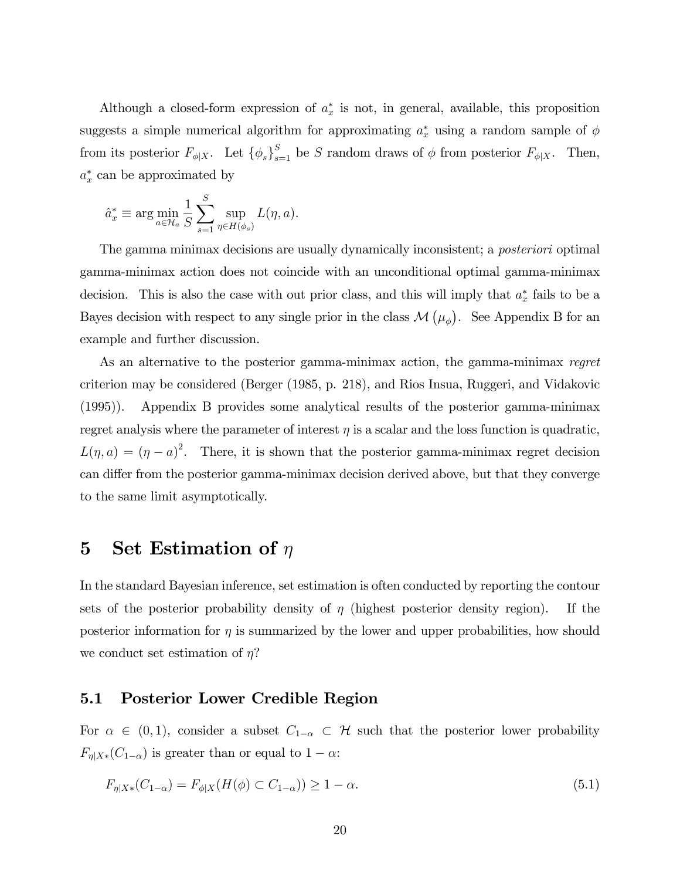Although a closed-form expression of  $a_x^*$  is not, in general, available, this proposition suggests a simple numerical algorithm for approximating  $a_x^*$  using a random sample of  $\phi$ from its posterior  $F_{\phi|X}$ . Let  ${\lbrace \phi_s \rbrace}_{s=1}^S$  be S random draws of  $\phi$  from posterior  $F_{\phi|X}$ . Then,  $a_x^*$  can be approximated by

$$
\hat{a}_x^* \equiv \arg\min_{a \in \mathcal{H}_a} \frac{1}{S} \sum_{s=1}^S \sup_{\eta \in H(\phi_s)} L(\eta, a).
$$

The gamma minimax decisions are usually dynamically inconsistent; a *posteriori* optimal gamma-minimax action does not coincide with an unconditional optimal gamma-minimax decision. This is also the case with out prior class, and this will imply that  $a_x^*$  fails to be a Bayes decision with respect to any single prior in the class  $\mathcal{M}(\mu_{\phi})$ . See Appendix B for an example and further discussion.

As an alternative to the posterior gamma-minimax action, the gamma-minimax regret criterion may be considered (Berger (1985, p. 218), and Rios Insua, Ruggeri, and Vidakovic (1995)). Appendix B provides some analytical results of the posterior gamma-minimax regret analysis where the parameter of interest  $\eta$  is a scalar and the loss function is quadratic,  $L(\eta, a) = (\eta - a)^2$ . There, it is shown that the posterior gamma-minimax regret decision can differ from the posterior gamma-minimax decision derived above, but that they converge to the same limit asymptotically.

# 5 Set Estimation of  $\eta$

In the standard Bayesian inference, set estimation is often conducted by reporting the contour sets of the posterior probability density of  $\eta$  (highest posterior density region). If the posterior information for  $\eta$  is summarized by the lower and upper probabilities, how should we conduct set estimation of  $\eta$ ?

## 5.1 Posterior Lower Credible Region

For  $\alpha \in (0, 1)$ , consider a subset  $C_{1-\alpha} \subset \mathcal{H}$  such that the posterior lower probability  $F_{\eta|X*}(C_{1-\alpha})$  is greater than or equal to  $1-\alpha$ :

$$
F_{\eta|X*}(C_{1-\alpha}) = F_{\phi|X}(H(\phi) \subset C_{1-\alpha}) \ge 1 - \alpha. \tag{5.1}
$$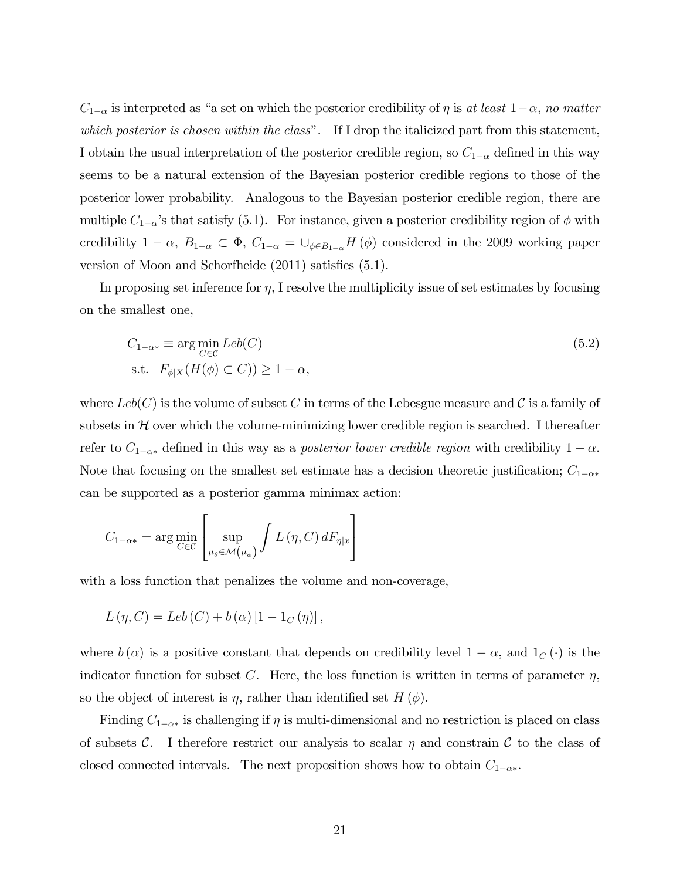$C_{1-\alpha}$  is interpreted as "a set on which the posterior credibility of  $\eta$  is at least  $1-\alpha$ , no matter which posterior is chosen within the class". If I drop the italicized part from this statement, I obtain the usual interpretation of the posterior credible region, so  $C_{1-\alpha}$  defined in this way seems to be a natural extension of the Bayesian posterior credible regions to those of the posterior lower probability. Analogous to the Bayesian posterior credible region, there are multiple  $C_{1-\alpha}$ 's that satisfy (5.1). For instance, given a posterior credibility region of  $\phi$  with credibility  $1 - \alpha$ ,  $B_{1-\alpha} \subset \Phi$ ,  $C_{1-\alpha} = \bigcup_{\phi \in B_{1-\alpha}} H(\phi)$  considered in the 2009 working paper version of Moon and Schorfheide  $(2011)$  satisfies  $(5.1)$ .

In proposing set inference for  $\eta$ , I resolve the multiplicity issue of set estimates by focusing on the smallest one,

$$
C_{1-\alpha*} \equiv \arg\min_{C \in \mathcal{C}} Leb(C)
$$
  
s.t.  $F_{\phi|X}(H(\phi) \subset C)) \ge 1 - \alpha$ , (5.2)

where  $Leb(C)$  is the volume of subset C in terms of the Lebesgue measure and C is a family of subsets in  $H$  over which the volume-minimizing lower credible region is searched. I thereafter refer to  $C_{1-\alpha*}$  defined in this way as a *posterior lower credible region* with credibility  $1-\alpha$ . Note that focusing on the smallest set estimate has a decision theoretic justification;  $C_{1-\alpha*}$ can be supported as a posterior gamma minimax action:

$$
C_{1-\alpha*} = \arg\min_{C \in \mathcal{C}} \left[ \sup_{\mu_{\theta} \in \mathcal{M}\left(\mu_{\phi}\right)} \int L\left(\eta, C\right) dF_{\eta|x}\right]
$$

with a loss function that penalizes the volume and non-coverage,

$$
L(\eta, C) = Leb(C) + b(\alpha) [1 - 1_C(\eta)],
$$

where  $b(\alpha)$  is a positive constant that depends on credibility level  $1 - \alpha$ , and  $1_C(\cdot)$  is the indicator function for subset C. Here, the loss function is written in terms of parameter  $\eta$ , so the object of interest is  $\eta$ , rather than identified set  $H(\phi)$ .

Finding  $C_{1-\alpha*}$  is challenging if  $\eta$  is multi-dimensional and no restriction is placed on class of subsets C. I therefore restrict our analysis to scalar  $\eta$  and constrain C to the class of closed connected intervals. The next proposition shows how to obtain  $C_{1-\alpha*}$ .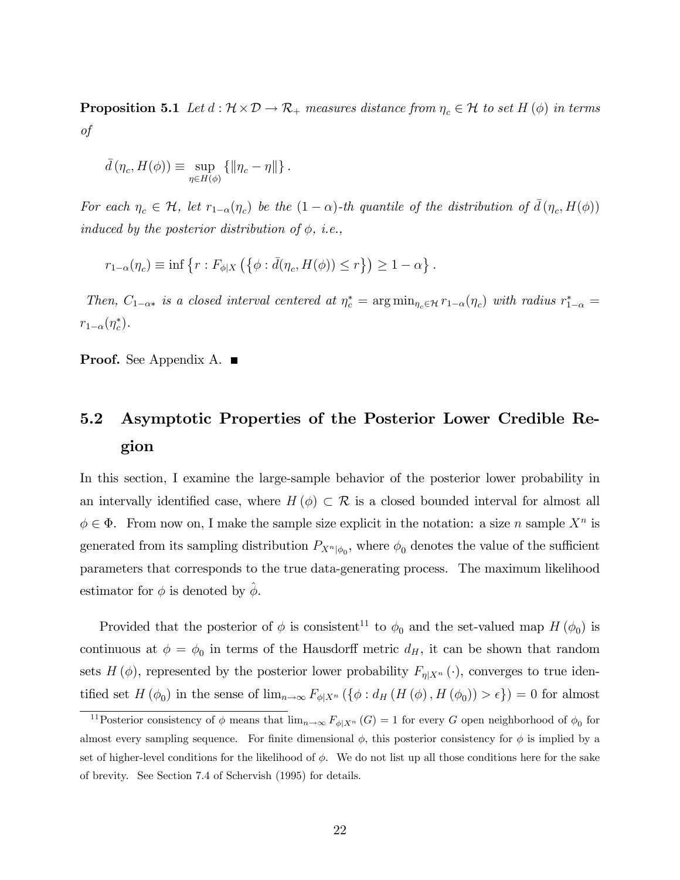**Proposition 5.1** Let  $d : \mathcal{H} \times \mathcal{D} \to \mathcal{R}_+$  measures distance from  $\eta_c \in \mathcal{H}$  to set  $H(\phi)$  in terms of

$$
\bar{d}(\eta_c, H(\phi)) \equiv \sup_{\eta \in H(\phi)} \{ ||\eta_c - \eta|| \} .
$$

For each  $\eta_c \in \mathcal{H}$ , let  $r_{1-\alpha}(\eta_c)$  be the  $(1-\alpha)$ -th quantile of the distribution of  $\bar{d}(\eta_c, H(\phi))$ induced by the posterior distribution of  $\phi$ , i.e.,

$$
r_{1-\alpha}(\eta_c) \equiv \inf \left\{ r: F_{\phi|X}\left( \left\{ \phi: \bar{d}(\eta_c, H(\phi)) \leq r \right\} \right) \geq 1-\alpha \right\}.
$$

Then,  $C_{1-\alpha*}$  is a closed interval centered at  $\eta_c^* = \arg\min_{\eta_c \in \mathcal{H}} r_{1-\alpha}(\eta_c)$  with radius  $r_{1-\alpha}^* =$  $r_{1-\alpha}(\eta_c^*).$ 

**Proof.** See Appendix A. ■

# 5.2 Asymptotic Properties of the Posterior Lower Credible Region

In this section, I examine the large-sample behavior of the posterior lower probability in an intervally identified case, where  $H(\phi) \subset \mathcal{R}$  is a closed bounded interval for almost all  $\phi \in \Phi$ . From now on, I make the sample size explicit in the notation: a size n sample  $X^n$  is generated from its sampling distribution  $P_{X^n|\phi_0}$ , where  $\phi_0$  denotes the value of the sufficient parameters that corresponds to the true data-generating process. The maximum likelihood estimator for  $\phi$  is denoted by  $\phi$ .

Provided that the posterior of  $\phi$  is consistent<sup>11</sup> to  $\phi_0$  and the set-valued map  $H(\phi_0)$  is continuous at  $\phi = \phi_0$  in terms of the Hausdorff metric  $d_H$ , it can be shown that random sets  $H(\phi)$ , represented by the posterior lower probability  $F_{\eta|X^n}(\cdot)$ , converges to true identified set  $H(\phi_0)$  in the sense of  $\lim_{n\to\infty} F_{\phi|X^n} (\{\phi : d_H(H(\phi), H(\phi_0)) > \epsilon\}) = 0$  for almost

<sup>&</sup>lt;sup>11</sup>Posterior consistency of  $\phi$  means that  $\lim_{n\to\infty} F_{\phi|X^n}(G) = 1$  for every G open neighborhood of  $\phi_0$  for almost every sampling sequence. For finite dimensional  $\phi$ , this posterior consistency for  $\phi$  is implied by a set of higher-level conditions for the likelihood of  $\phi$ . We do not list up all those conditions here for the sake of brevity. See Section 7.4 of Schervish (1995) for details.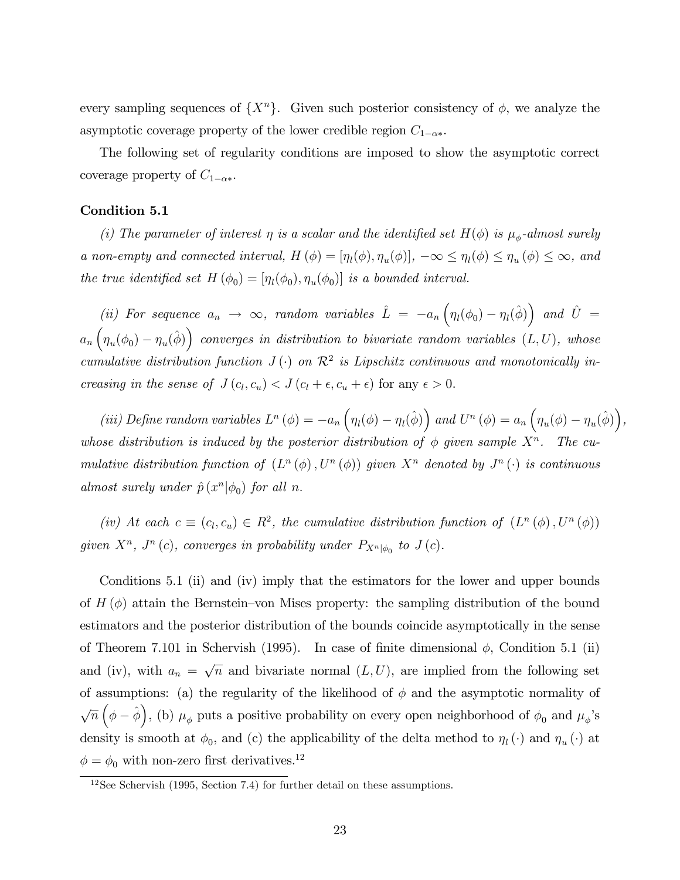every sampling sequences of  $\{X^n\}$ . Given such posterior consistency of  $\phi$ , we analyze the asymptotic coverage property of the lower credible region  $C_{1-\alpha*}$ .

The following set of regularity conditions are imposed to show the asymptotic correct coverage property of  $C_{1-\alpha*}$ .

#### Condition 5.1

(i) The parameter of interest  $\eta$  is a scalar and the identified set  $H(\phi)$  is  $\mu_{\phi}$ -almost surely a non-empty and connected interval,  $H(\phi) = [\eta_l(\phi), \eta_u(\phi)]$ ,  $-\infty \le \eta_l(\phi) \le \eta_u(\phi) \le \infty$ , and the true identified set  $H(\phi_0) = [\eta_l(\phi_0), \eta_u(\phi_0)]$  is a bounded interval.

(ii) For sequence  $a_n \to \infty$ , random variables  $\hat{L} = -a_n \left( \eta_l(\phi_0) - \eta_l(\hat{\phi}) \right)$  and  $\hat{U} =$  $a_n\left(\eta_u(\phi_0)-\eta_u(\hat{\phi})\right)$  converges in distribution to bivariate random variables  $(L, U)$ , whose cumulative distribution function  $J(\cdot)$  on  $\mathcal{R}^2$  is Lipschitz continuous and monotonically increasing in the sense of  $J(c_l, c_u) < J(c_l + \epsilon, c_u + \epsilon)$  for any  $\epsilon > 0$ .

(iii) Define random variables  $L^n(\phi) = -a_n \left( \eta_l(\phi) - \eta_l(\hat{\phi}) \right)$  and  $U^n(\phi) = a_n \left( \eta_u(\phi) - \eta_u(\hat{\phi}) \right)$ , whose distribution is induced by the posterior distribution of  $\phi$  given sample  $X^n$ . The cumulative distribution function of  $(L^n(\phi), U^n(\phi))$  given  $X^n$  denoted by  $J^n(\cdot)$  is continuous almost surely under  $\hat{p}(x^n | \phi_0)$  for all n.

(iv) At each  $c \equiv (c_l, c_u) \in R^2$ , the cumulative distribution function of  $(L^n(\phi), U^n(\phi))$ given  $X^n$ ,  $J^n(c)$ , converges in probability under  $P_{X^n|\phi_0}$  to  $J(c)$ .

Conditions 5.1 (ii) and (iv) imply that the estimators for the lower and upper bounds of  $H(\phi)$  attain the Bernstein–von Mises property: the sampling distribution of the bound estimators and the posterior distribution of the bounds coincide asymptotically in the sense of Theorem 7.101 in Schervish (1995). In case of finite dimensional  $\phi$ , Condition 5.1 (ii) and (iv), with  $a_n = \sqrt{n}$  and bivariate normal  $(L, U)$ , are implied from the following set of assumptions: (a) the regularity of the likelihood of  $\phi$  and the asymptotic normality of  $\sqrt{n} (\phi - \hat{\phi})$ , (b)  $\mu_{\phi}$  puts a positive probability on every open neighborhood of  $\phi_0$  and  $\mu_{\phi}$ 's density is smooth at  $\phi_0$ , and (c) the applicability of the delta method to  $\eta_l(\cdot)$  and  $\eta_u(\cdot)$  at  $\phi = \phi_0$  with non-zero first derivatives.<sup>12</sup>

 $12$ See Schervish (1995, Section 7.4) for further detail on these assumptions.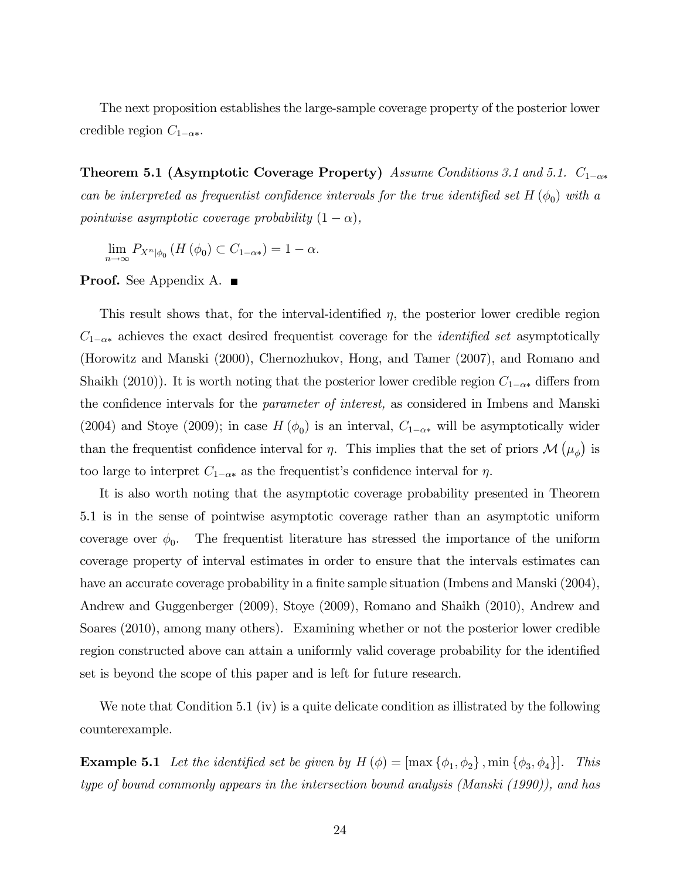The next proposition establishes the large-sample coverage property of the posterior lower credible region  $C_{1-\alpha*}$ .

**Theorem 5.1 (Asymptotic Coverage Property)** Assume Conditions 3.1 and 5.1.  $C_{1-\alpha*}$ can be interpreted as frequentist confidence intervals for the true identified set  $H(\phi_0)$  with a pointwise asymptotic coverage probability  $(1 - \alpha)$ ,

 $\lim_{n\to\infty} P_{X^n|\phi_0} (H(\phi_0) \subset C_{1-\alpha*}) = 1-\alpha.$ 

**Proof.** See Appendix A. ■

This result shows that, for the interval-identified  $\eta$ , the posterior lower credible region  $C_{1-\alpha*}$  achieves the exact desired frequentist coverage for the *identified set* asymptotically (Horowitz and Manski (2000), Chernozhukov, Hong, and Tamer (2007), and Romano and Shaikh (2010)). It is worth noting that the posterior lower credible region  $C_{1-\alpha*}$  differs from the confidence intervals for the *parameter of interest*, as considered in Imbens and Manski (2004) and Stoye (2009); in case  $H(\phi_0)$  is an interval,  $C_{1-\alpha*}$  will be asymptotically wider than the frequentist confidence interval for  $\eta$ . This implies that the set of priors  $\mathcal{M}(\mu_{\phi})$  is too large to interpret  $C_{1-\alpha*}$  as the frequentist's confidence interval for  $\eta$ .

It is also worth noting that the asymptotic coverage probability presented in Theorem 5.1 is in the sense of pointwise asymptotic coverage rather than an asymptotic uniform coverage over  $\phi_0$ . The frequentist literature has stressed the importance of the uniform coverage property of interval estimates in order to ensure that the intervals estimates can have an accurate coverage probability in a finite sample situation (Imbens and Manski (2004), Andrew and Guggenberger (2009), Stoye (2009), Romano and Shaikh (2010), Andrew and Soares (2010), among many others). Examining whether or not the posterior lower credible region constructed above can attain a uniformly valid coverage probability for the identified set is beyond the scope of this paper and is left for future research.

We note that Condition 5.1 (iv) is a quite delicate condition as illistrated by the following counterexample.

**Example 5.1** Let the identified set be given by  $H(\phi) = [\max{\phi_1, \phi_2}, \min{\phi_3, \phi_4}]$ . This type of bound commonly appears in the intersection bound analysis (Manski (1990)), and has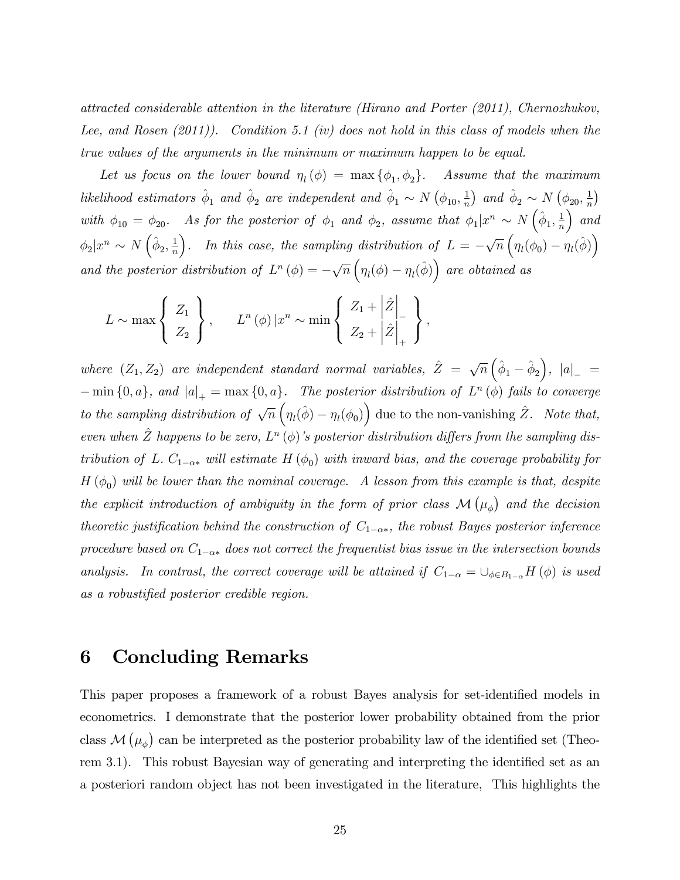attracted considerable attention in the literature (Hirano and Porter (2011), Chernozhukov, Lee, and Rosen (2011)). Condition 5.1 (iv) does not hold in this class of models when the true values of the arguments in the minimum or maximum happen to be equal.

Let us focus on the lower bound  $\eta_l(\phi) = \max{\{\phi_1, \phi_2\}}$ . Assume that the maximum likelihood estimators  $\hat{\phi}_1$  and  $\hat{\phi}_2$  are independent and  $\hat{\phi}_1 \sim N(\phi_{10}, \frac{1}{n})$  $\frac{1}{n}$  and  $\hat{\phi}_2 \sim N(\phi_{20}, \frac{1}{n})$  $\frac{1}{n}$ with  $\phi_{10} = \phi_{20}$ . As for the posterior of  $\phi_1$  and  $\phi_2$ , assume that  $\phi_1 | x^n \sim N(\hat{\phi}_1, \frac{1}{n})$ n  $\big)$  and  $\phi_2 | x^n \sim N\left(\hat{\phi}_2, \frac{1}{n}\right)$ n ). In this case, the sampling distribution of  $L = -\sqrt{n} \left( \eta_l(\phi_0) - \eta_l(\hat{\phi}) \right)$ and the posterior distribution of  $L^n(\phi) = -\sqrt{n} \left( \eta_l(\phi) - \eta_l(\hat{\phi}) \right)$  are obtained as

$$
L \sim \max \left\{ \begin{array}{c} Z_1 \\ Z_2 \end{array} \right\}, \qquad L^n(\phi) \left| x^n \sim \min \left\{ \begin{array}{c} Z_1 + \left| \hat{Z} \right|_+ \\ Z_2 + \left| \hat{Z} \right|_+ \end{array} \right\},
$$

where  $(Z_1, Z_2)$  are independent standard normal variables,  $\hat{Z} = \sqrt{n} \left( \hat{\phi}_1 - \hat{\phi}_2 \right)$  $\Big), |a|_-\ =$  $-\min\{0, a\}$ , and  $|a|_+ = \max\{0, a\}$ . The posterior distribution of  $L^n(\phi)$  fails to converge to the sampling distribution of  $\sqrt{n} \left( \eta_l(\hat{\phi}) - \eta_l(\phi_0) \right)$  due to the non-vanishing  $\hat{Z}$ . Note that, even when  $\hat{Z}$  happens to be zero,  $L^n(\phi)$ 's posterior distribution differs from the sampling distribution of L.  $C_{1-\alpha*}$  will estimate  $H(\phi_0)$  with inward bias, and the coverage probability for  $H(\phi_0)$  will be lower than the nominal coverage. A lesson from this example is that, despite the explicit introduction of ambiguity in the form of prior class  $\mathcal{M}(\mu_{\phi})$  and the decision theoretic justification behind the construction of  $C_{1-\alpha*}$ , the robust Bayes posterior inference procedure based on  $C_{1-\alpha*}$  does not correct the frequentist bias issue in the intersection bounds analysis. In contrast, the correct coverage will be attained if  $C_{1-\alpha} = \bigcup_{\phi \in B_{1-\alpha}} H(\phi)$  is used as a robustified posterior credible region.

## 6 Concluding Remarks

This paper proposes a framework of a robust Bayes analysis for set-identified models in econometrics. I demonstrate that the posterior lower probability obtained from the prior class  $\mathcal{M}(\mu_{\phi})$  can be interpreted as the posterior probability law of the identified set (Theorem 3.1). This robust Bayesian way of generating and interpreting the identified set as an a posteriori random object has not been investigated in the literature, This highlights the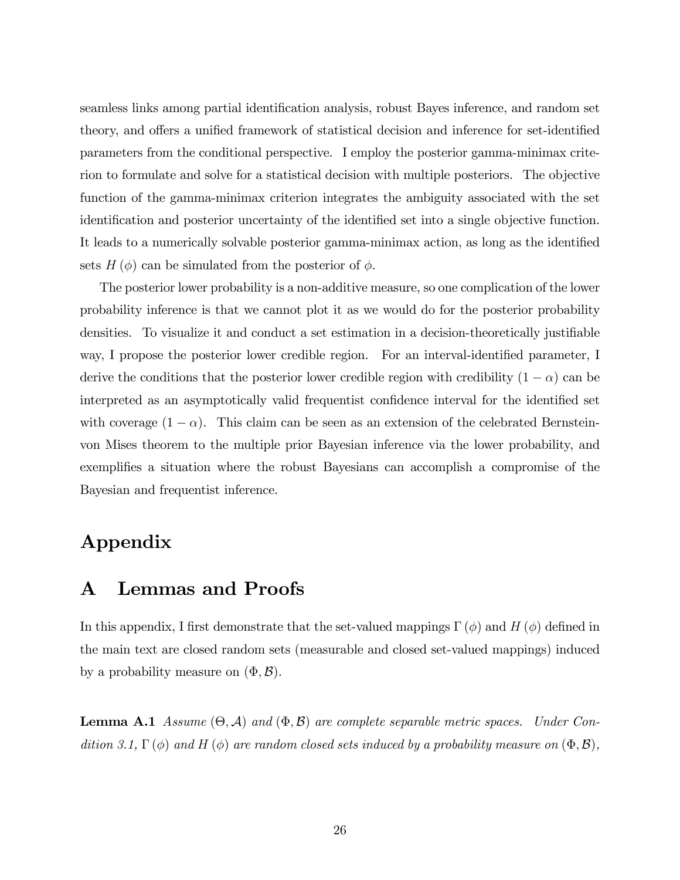seamless links among partial identification analysis, robust Bayes inference, and random set theory, and offers a unified framework of statistical decision and inference for set-identified parameters from the conditional perspective. I employ the posterior gamma-minimax criterion to formulate and solve for a statistical decision with multiple posteriors. The objective function of the gamma-minimax criterion integrates the ambiguity associated with the set identification and posterior uncertainty of the identified set into a single objective function. It leads to a numerically solvable posterior gamma-minimax action, as long as the identified sets  $H(\phi)$  can be simulated from the posterior of  $\phi$ .

The posterior lower probability is a non-additive measure, so one complication of the lower probability inference is that we cannot plot it as we would do for the posterior probability densities. To visualize it and conduct a set estimation in a decision-theoretically justifiable way, I propose the posterior lower credible region. For an interval-identified parameter, I derive the conditions that the posterior lower credible region with credibility  $(1 - \alpha)$  can be interpreted as an asymptotically valid frequentist confidence interval for the identified set with coverage  $(1 - \alpha)$ . This claim can be seen as an extension of the celebrated Bernsteinvon Mises theorem to the multiple prior Bayesian inference via the lower probability, and exemplifies a situation where the robust Bayesians can accomplish a compromise of the Bayesian and frequentist inference.

# Appendix

## A Lemmas and Proofs

In this appendix, I first demonstrate that the set-valued mappings  $\Gamma(\phi)$  and H  $(\phi)$  defined in the main text are closed random sets (measurable and closed set-valued mappings) induced by a probability measure on  $(\Phi, \mathcal{B})$ .

**Lemma A.1** Assume  $(\Theta, \mathcal{A})$  and  $(\Phi, \mathcal{B})$  are complete separable metric spaces. Under Condition 3.1,  $\Gamma(\phi)$  and H  $(\phi)$  are random closed sets induced by a probability measure on  $(\Phi, \mathcal{B})$ ,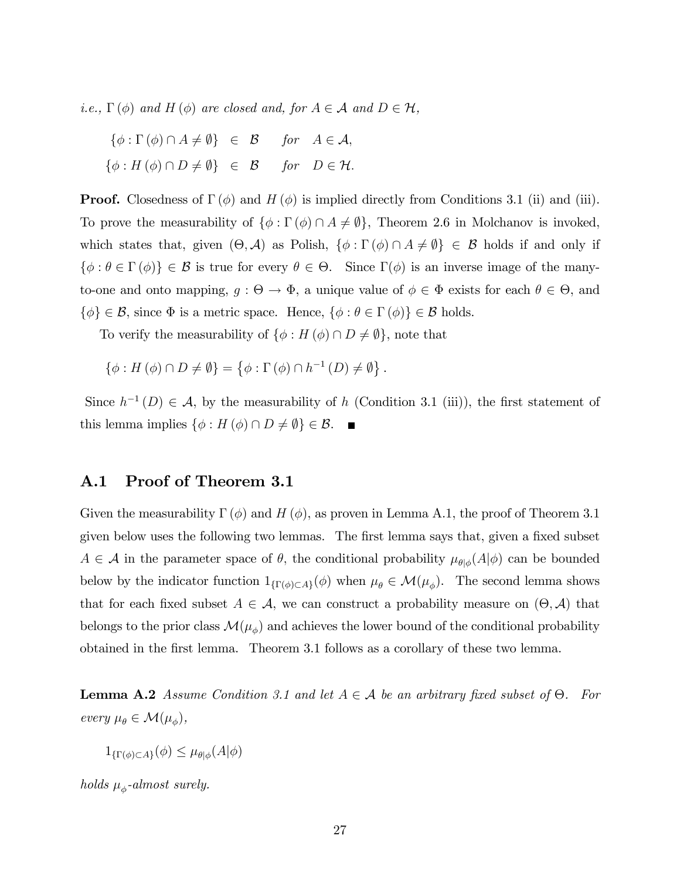*i.e.*,  $\Gamma(\phi)$  and  $H(\phi)$  are closed and, for  $A \in \mathcal{A}$  and  $D \in \mathcal{H}$ ,

$$
\{\phi : \Gamma(\phi) \cap A \neq \emptyset\} \in \mathcal{B} \quad \text{for} \quad A \in \mathcal{A},
$$
  

$$
\{\phi : H(\phi) \cap D \neq \emptyset\} \in \mathcal{B} \quad \text{for} \quad D \in \mathcal{H}.
$$

**Proof.** Closedness of  $\Gamma(\phi)$  and  $H(\phi)$  is implied directly from Conditions 3.1 (ii) and (iii). To prove the measurability of  $\{\phi : \Gamma(\phi) \cap A \neq \emptyset\}$ , Theorem 2.6 in Molchanov is invoked, which states that, given  $(\Theta, \mathcal{A})$  as Polish,  $\{\phi : \Gamma(\phi) \cap A \neq \emptyset\} \in \mathcal{B}$  holds if and only if  $\{\phi : \theta \in \Gamma(\phi)\}\in \mathcal{B}$  is true for every  $\theta \in \Theta$ . Since  $\Gamma(\phi)$  is an inverse image of the manyto-one and onto mapping,  $g : \Theta \to \Phi$ , a unique value of  $\phi \in \Phi$  exists for each  $\theta \in \Theta$ , and  $\{\phi\} \in \mathcal{B}$ , since  $\Phi$  is a metric space. Hence,  $\{\phi : \theta \in \Gamma(\phi)\} \in \mathcal{B}$  holds.

To verify the measurability of  $\{\phi : H(\phi) \cap D \neq \emptyset\}$ , note that

$$
\{\phi: H(\phi) \cap D \neq \emptyset\} = \left\{\phi: \Gamma(\phi) \cap h^{-1}(D) \neq \emptyset\right\}.
$$

Since  $h^{-1}(D) \in \mathcal{A}$ , by the measurability of h (Condition 3.1 (iii)), the first statement of this lemma implies  $\{\phi : H(\phi) \cap D \neq \emptyset\} \in \mathcal{B}$ .

## A.1 Proof of Theorem 3.1

Given the measurability  $\Gamma(\phi)$  and  $H(\phi)$ , as proven in Lemma A.1, the proof of Theorem 3.1 given below uses the following two lemmas. The first lemma says that, given a fixed subset  $A \in \mathcal{A}$  in the parameter space of  $\theta$ , the conditional probability  $\mu_{\theta|\phi}(A|\phi)$  can be bounded below by the indicator function  $1_{\{\Gamma(\phi)\subset A\}}(\phi)$  when  $\mu_{\theta} \in \mathcal{M}(\mu_{\phi})$ . The second lemma shows that for each fixed subset  $A \in \mathcal{A}$ , we can construct a probability measure on  $(\Theta, \mathcal{A})$  that belongs to the prior class  $\mathcal{M}(\mu_{\phi})$  and achieves the lower bound of the conditional probability obtained in the Örst lemma. Theorem 3.1 follows as a corollary of these two lemma.

**Lemma A.2** Assume Condition 3.1 and let  $A \in \mathcal{A}$  be an arbitrary fixed subset of  $\Theta$ . For every  $\mu_{\theta} \in \mathcal{M}(\mu_{\phi}),$ 

 $1_{\{\Gamma(\phi)\subset A\}}(\phi) \leq \mu_{\theta|\phi}(A|\phi)$ 

holds  $\mu_{\phi}$ -almost surely.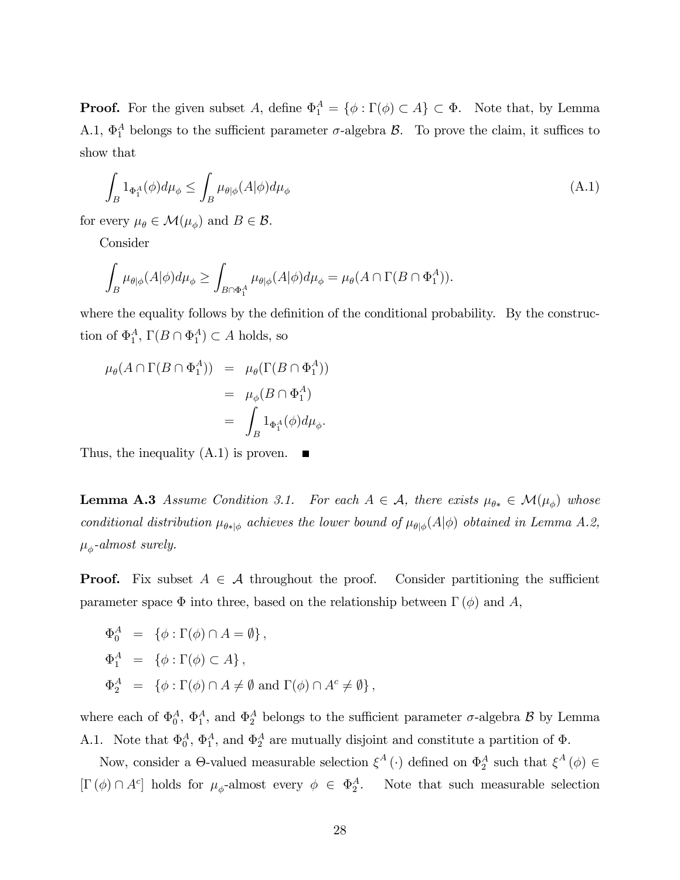**Proof.** For the given subset A, define  $\Phi_1^A = \{ \phi : \Gamma(\phi) \subset A \} \subset \Phi$ . Note that, by Lemma A.1,  $\Phi_1^A$  belongs to the sufficient parameter  $\sigma$ -algebra  $\mathcal{B}$ . To prove the claim, it suffices to show that

$$
\int_{B} 1_{\Phi_1^A}(\phi) d\mu_{\phi} \le \int_{B} \mu_{\theta|\phi}(A|\phi) d\mu_{\phi}
$$
\n(A.1)

for every  $\mu_{\theta} \in \mathcal{M}(\mu_{\phi})$  and  $B \in \mathcal{B}$ .

Consider

$$
\int_B \mu_{\theta|\phi}(A|\phi) d\mu_{\phi} \ge \int_{B \cap \Phi_1^A} \mu_{\theta|\phi}(A|\phi) d\mu_{\phi} = \mu_{\theta}(A \cap \Gamma(B \cap \Phi_1^A)).
$$

where the equality follows by the definition of the conditional probability. By the construction of  $\Phi_1^A$ ,  $\Gamma(B \cap \Phi_1^A) \subset A$  holds, so

$$
\mu_{\theta}(A \cap \Gamma(B \cap \Phi_1^A)) = \mu_{\theta}(\Gamma(B \cap \Phi_1^A))
$$
  
=  $\mu_{\phi}(B \cap \Phi_1^A)$   
=  $\int_B 1_{\Phi_1^A}(\phi) d\mu_{\phi}$ .

Thus, the inequality  $(A.1)$  is proven.  $\blacksquare$ 

**Lemma A.3** Assume Condition 3.1. For each  $A \in \mathcal{A}$ , there exists  $\mu_{\theta^*} \in \mathcal{M}(\mu_\phi)$  whose conditional distribution  $\mu_{\theta *|\phi}$  achieves the lower bound of  $\mu_{\theta|\phi}(A|\phi)$  obtained in Lemma A.2,  $\mu_{\phi}$ -almost surely.

**Proof.** Fix subset  $A \in \mathcal{A}$  throughout the proof. Consider partitioning the sufficient parameter space  $\Phi$  into three, based on the relationship between  $\Gamma(\phi)$  and A,

$$
\begin{array}{rcl}\n\Phi_0^A & = & \{ \phi : \Gamma(\phi) \cap A = \emptyset \}, \\
\Phi_1^A & = & \{ \phi : \Gamma(\phi) \subset A \}, \\
\Phi_2^A & = & \{ \phi : \Gamma(\phi) \cap A \neq \emptyset \text{ and } \Gamma(\phi) \cap A^c \neq \emptyset \},\n\end{array}
$$

where each of  $\Phi_0^A$ ,  $\Phi_1^A$ , and  $\Phi_2^A$  belongs to the sufficient parameter  $\sigma$ -algebra  $\mathcal B$  by Lemma A.1. Note that  $\Phi_0^A$ ,  $\Phi_1^A$ , and  $\Phi_2^A$  are mutually disjoint and constitute a partition of  $\Phi$ .

Now, consider a  $\Theta$ -valued measurable selection  $\xi^A(\cdot)$  defined on  $\Phi_2^A$  such that  $\xi^A(\phi) \in$  $[\Gamma(\phi) \cap A^c]$  holds for  $\mu_{\phi}$ -almost every  $\phi \in \Phi_2^A$ . Note that such measurable selection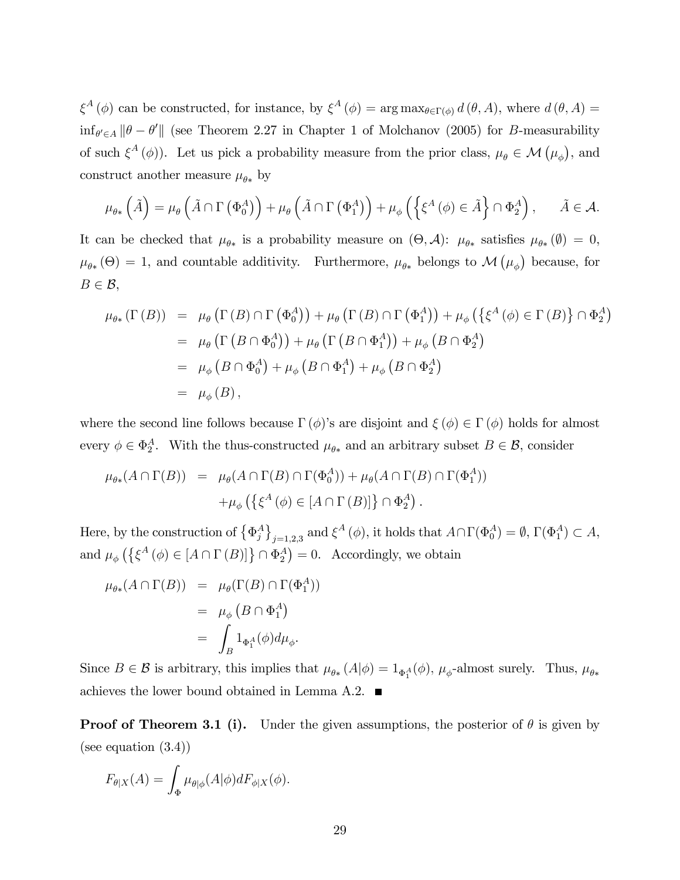$\xi^A(\phi)$  can be constructed, for instance, by  $\xi^A(\phi) = \arg \max_{\theta \in \Gamma(\phi)} d(\theta, A)$ , where  $d(\theta, A) =$  $\inf_{\theta' \in A} ||\theta - \theta'||$  (see Theorem 2.27 in Chapter 1 of Molchanov (2005) for B-measurability of such  $\xi^A(\phi)$ ). Let us pick a probability measure from the prior class,  $\mu_\theta \in \mathcal{M}(\mu_\phi)$ , and construct another measure  $\mu_{\theta*}$  by

$$
\mu_{\theta*}\left(\tilde{A}\right) = \mu_{\theta}\left(\tilde{A} \cap \Gamma\left(\Phi_0^A\right)\right) + \mu_{\theta}\left(\tilde{A} \cap \Gamma\left(\Phi_1^A\right)\right) + \mu_{\phi}\left(\left\{\xi^A\left(\phi\right) \in \tilde{A}\right\} \cap \Phi_2^A\right), \quad \tilde{A} \in \mathcal{A}.
$$

It can be checked that  $\mu_{\theta^*}$  is a probability measure on  $(\Theta, \mathcal{A})$ :  $\mu_{\theta^*}$  satisfies  $\mu_{\theta^*}(\emptyset) = 0$ ,  $\mu_{\theta*}(\Theta) = 1$ , and countable additivity. Furthermore,  $\mu_{\theta*}$  belongs to  $\mathcal{M}(\mu_{\phi})$  because, for  $B \in \mathcal{B}$ ,

$$
\mu_{\theta*}(\Gamma(B)) = \mu_{\theta}(\Gamma(B) \cap \Gamma(\Phi_0^A)) + \mu_{\theta}(\Gamma(B) \cap \Gamma(\Phi_1^A)) + \mu_{\phi}(\{\xi^A(\phi) \in \Gamma(B)\} \cap \Phi_2^A)
$$
  
\n
$$
= \mu_{\theta}(\Gamma(B \cap \Phi_0^A)) + \mu_{\theta}(\Gamma(B \cap \Phi_1^A)) + \mu_{\phi}(B \cap \Phi_2^A)
$$
  
\n
$$
= \mu_{\phi}(B \cap \Phi_0^A) + \mu_{\phi}(B \cap \Phi_1^A) + \mu_{\phi}(B \cap \Phi_2^A)
$$
  
\n
$$
= \mu_{\phi}(B),
$$

where the second line follows because  $\Gamma(\phi)$ 's are disjoint and  $\xi(\phi) \in \Gamma(\phi)$  holds for almost every  $\phi \in \Phi_2^A$ . With the thus-constructed  $\mu_{\theta*}$  and an arbitrary subset  $B \in \mathcal{B}$ , consider

$$
\mu_{\theta*}(A \cap \Gamma(B)) = \mu_{\theta}(A \cap \Gamma(B) \cap \Gamma(\Phi_0^A)) + \mu_{\theta}(A \cap \Gamma(B) \cap \Gamma(\Phi_1^A))
$$
  
 
$$
+ \mu_{\phi}(\{\xi^A(\phi) \in [A \cap \Gamma(B)]\} \cap \Phi_2^A).
$$

Here, by the construction of  $\{\Phi_j^A\}_{j=1,2,3}$  and  $\xi^A(\phi)$ , it holds that  $A\cap\Gamma(\Phi_0^A)=\emptyset$ ,  $\Gamma(\Phi_1^A)\subset A$ , and  $\mu_{\phi}\left(\left\{\xi^A\left(\phi\right) \in [A \cap \Gamma\left(B\right)]\right\} \cap \Phi_2^A\right) = 0$ . Accordingly, we obtain

$$
\mu_{\theta*}(A \cap \Gamma(B)) = \mu_{\theta}(\Gamma(B) \cap \Gamma(\Phi_1^A))
$$
  
=  $\mu_{\phi}(B \cap \Phi_1^A)$   
=  $\int_B 1_{\Phi_1^A}(\phi) d\mu_{\phi}.$ 

Since  $B \in \mathcal{B}$  is arbitrary, this implies that  $\mu_{\theta*}(A|\phi) = 1_{\Phi_1^A}(\phi)$ ,  $\mu_{\phi}$ -almost surely. Thus,  $\mu_{\theta*}$ achieves the lower bound obtained in Lemma A.2.  $\blacksquare$ 

**Proof of Theorem 3.1 (i).** Under the given assumptions, the posterior of  $\theta$  is given by (see equation (3.4))

$$
F_{\theta|X}(A) = \int_{\Phi} \mu_{\theta|\phi}(A|\phi) dF_{\phi|X}(\phi).
$$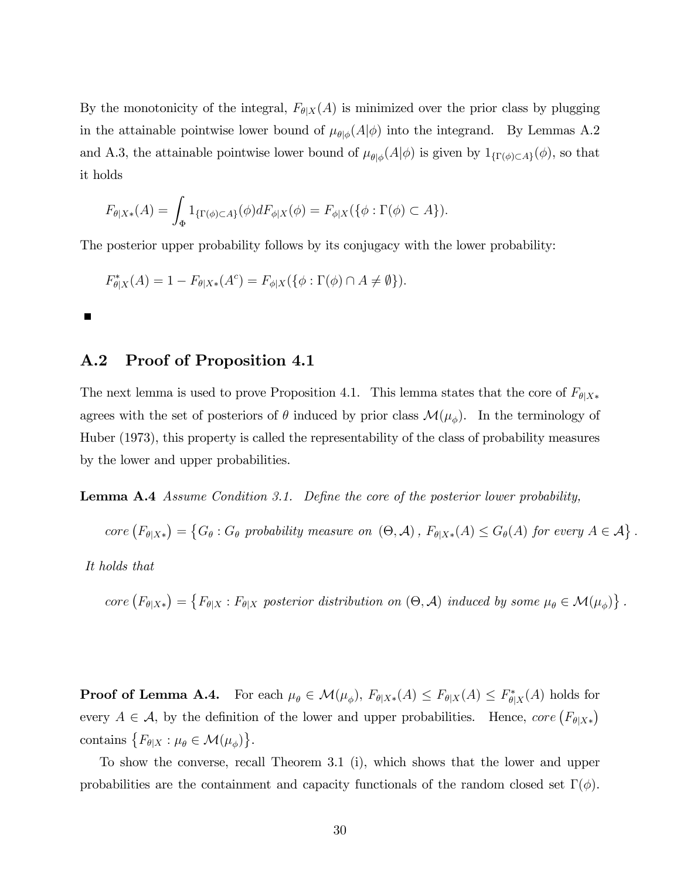By the monotonicity of the integral,  $F_{\theta|X}(A)$  is minimized over the prior class by plugging in the attainable pointwise lower bound of  $\mu_{\theta|\phi}(A|\phi)$  into the integrand. By Lemmas A.2 and A.3, the attainable pointwise lower bound of  $\mu_{\theta|\phi}(A|\phi)$  is given by  $1_{\{\Gamma(\phi)\subset A\}}(\phi)$ , so that it holds

$$
F_{\theta|X*}(A) = \int_{\Phi} 1_{\{\Gamma(\phi) \subset A\}}(\phi) dF_{\phi|X}(\phi) = F_{\phi|X}(\{\phi : \Gamma(\phi) \subset A\}).
$$

The posterior upper probability follows by its conjugacy with the lower probability:

$$
F_{\theta|X}^*(A) = 1 - F_{\theta|X*}(A^c) = F_{\phi|X}(\{\phi : \Gamma(\phi) \cap A \neq \emptyset\}).
$$

 $\blacksquare$ 

## A.2 Proof of Proposition 4.1

The next lemma is used to prove Proposition 4.1. This lemma states that the core of  $F_{\theta|X*}$ agrees with the set of posteriors of  $\theta$  induced by prior class  $\mathcal{M}(\mu_{\phi})$ . In the terminology of Huber (1973), this property is called the representability of the class of probability measures by the lower and upper probabilities.

**Lemma A.4** Assume Condition 3.1. Define the core of the posterior lower probability,

 $\text{core}\left(F_{\theta|X*}\right) = \left\{G_{\theta}: G_{\theta} \text{ probability measure on } (\Theta, \mathcal{A}), F_{\theta|X*}(A) \leq G_{\theta}(A) \text{ for every } A \in \mathcal{A}\right\}.$ 

It holds that

 $\text{core}\left(F_{\theta|X*}\right) = \left\{F_{\theta|X} : F_{\theta|X} \text{ posterior distribution on } (\Theta, \mathcal{A}) \text{ induced by some } \mu_{\theta} \in \mathcal{M}(\mu_{\phi})\right\}.$ 

**Proof of Lemma A.4.** For each  $\mu_{\theta} \in \mathcal{M}(\mu_{\phi}), F_{\theta|X*}(A) \leq F_{\theta|X}(A) \leq F_{\theta|X}(A)$  holds for every  $A \in \mathcal{A}$ , by the definition of the lower and upper probabilities. Hence, core  $(F_{\theta|X*})$ contains  $\{F_{\theta|X} : \mu_{\theta} \in \mathcal{M}(\mu_{\phi})\}.$ 

To show the converse, recall Theorem 3.1 (i), which shows that the lower and upper probabilities are the containment and capacity functionals of the random closed set  $\Gamma(\phi)$ .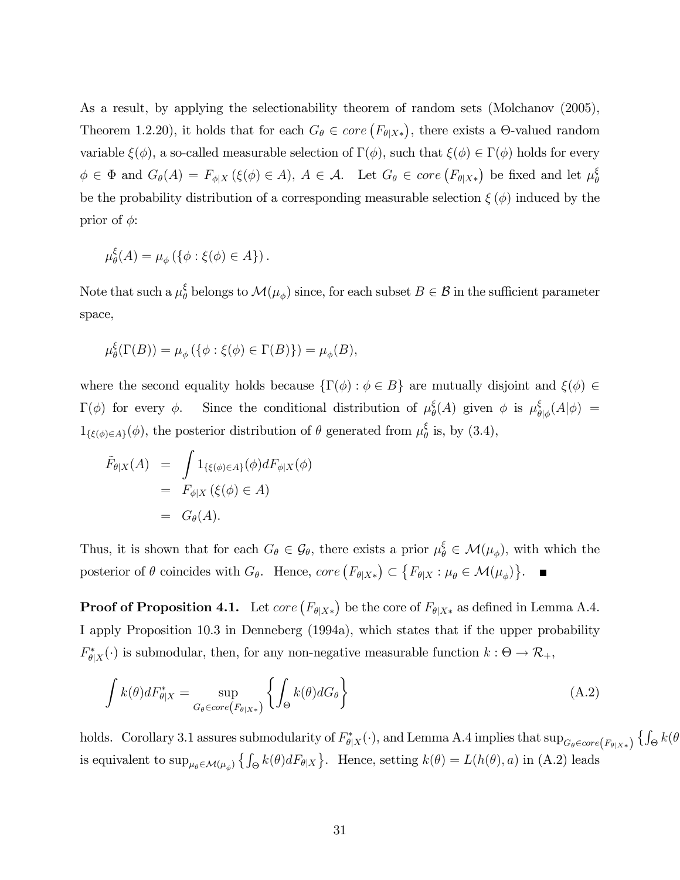As a result, by applying the selectionability theorem of random sets (Molchanov (2005), Theorem 1.2.20), it holds that for each  $G_{\theta} \in core(F_{\theta|X*})$ , there exists a  $\Theta$ -valued random variable  $\xi(\phi)$ , a so-called measurable selection of  $\Gamma(\phi)$ , such that  $\xi(\phi) \in \Gamma(\phi)$  holds for every  $\phi \in \Phi$  and  $G_{\theta}(A) = F_{\phi|X} (\xi(\phi) \in A), A \in \mathcal{A}$ . Let  $G_{\theta} \in core (F_{\theta|X*})$  be fixed and let  $\mu_{\theta}^{\xi}$  $\theta$ be the probability distribution of a corresponding measurable selection  $\xi(\phi)$  induced by the prior of  $\phi$ :

$$
\mu_{\theta}^{\xi}(A) = \mu_{\phi}\left(\{\phi : \xi(\phi) \in A\}\right).
$$

Note that such a  $\mu_{\theta}^{\xi}$  $\phi^{\xi}$  belongs to  $\mathcal{M}(\mu_{\phi})$  since, for each subset  $B \in \mathcal{B}$  in the sufficient parameter space,

$$
\mu_{\theta}^{\xi}(\Gamma(B)) = \mu_{\phi}(\{\phi : \xi(\phi) \in \Gamma(B)\}) = \mu_{\phi}(B),
$$

where the second equality holds because  $\{\Gamma(\phi) : \phi \in B\}$  are mutually disjoint and  $\xi(\phi) \in$  $\Gamma(\phi)$  for every  $\phi$ . Since the conditional distribution of  $\mu_{\theta}^{\xi}$  $\mathcal{E}_{\theta}^{\xi}(A)$  given  $\phi$  is  $\mu_{\theta}^{\xi}$  $\frac{\xi}{\theta|\phi}(A|\phi) =$  $1_{\{\xi(\phi)\in A\}}(\phi)$ , the posterior distribution of  $\theta$  generated from  $\mu_{\theta}^{\xi}$  $\frac{\xi}{\theta}$  is, by  $(3.4)$ ,

$$
\tilde{F}_{\theta|X}(A) = \int 1_{\{\xi(\phi)\in A\}}(\phi) dF_{\phi|X}(\phi)
$$
  
=  $F_{\phi|X}(\xi(\phi) \in A)$   
=  $G_{\theta}(A)$ .

Thus, it is shown that for each  $G_{\theta} \in \mathcal{G}_{\theta}$ , there exists a prior  $\mu_{\theta}^{\xi} \in \mathcal{M}(\mu_{\phi})$ , with which the posterior of  $\theta$  coincides with  $G_{\theta}$ . Hence, core  $(F_{\theta|X^*}) \subset \{F_{\theta|X} : \mu_{\theta} \in \mathcal{M}(\mu_{\phi})\}$ .

**Proof of Proposition 4.1.** Let  $core\left(F_{\theta|X*}\right)$  be the core of  $F_{\theta|X*}$  as defined in Lemma A.4. I apply Proposition 10.3 in Denneberg (1994a), which states that if the upper probability  $F_{\theta|X}^*(\cdot)$  is submodular, then, for any non-negative measurable function  $k: \Theta \to \mathcal{R}_+,$ 

$$
\int k(\theta)dF_{\theta|X}^* = \sup_{G_{\theta}\in core\left(F_{\theta|X*}\right)} \left\{ \int_{\Theta} k(\theta)dG_{\theta} \right\} \tag{A.2}
$$

holds. Corollary 3.1 assures submodularity of  $F_{\theta|X}^*(\cdot)$ , and Lemma A.4 implies that  $\sup_{G_\theta \in core(F_{\theta|X*})} \{ \int_{\Theta} k(\theta) \}$ is equivalent to  $\sup_{\mu_{\theta} \in \mathcal{M}(\mu_{\phi})} \left\{ \int_{\Theta} k(\theta) dF_{\theta|X} \right\}$ . Hence, setting  $k(\theta) = L(h(\theta), a)$  in (A.2) leads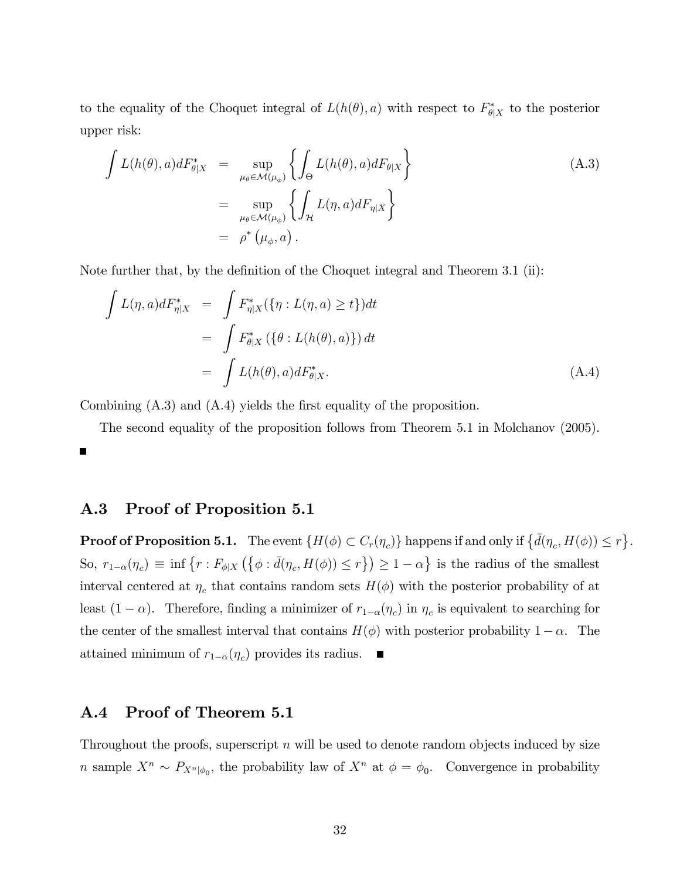to the equality of the Choquet integral of  $L(h(\theta), a)$  with respect to  $F_{\theta|X}^*$  to the posterior upper risk:

$$
\int L(h(\theta),a)dF_{\theta|X}^* = \sup_{\mu_{\theta}\in\mathcal{M}(\mu_{\phi})}\left\{\int_{\Theta} L(h(\theta),a)dF_{\theta|X}\right\}
$$
\n
$$
= \sup_{\mu_{\theta}\in\mathcal{M}(\mu_{\phi})}\left\{\int_{\mathcal{H}} L(\eta,a)dF_{\eta|X}\right\}
$$
\n
$$
= \rho^*\left(\mu_{\phi},a\right).
$$
\n(A.3)

Note further that, by the definition of the Choquet integral and Theorem 3.1 (ii):

$$
\int L(\eta, a)dF_{\eta|X}^* = \int F_{\eta|X}^*(\{\eta : L(\eta, a) \ge t\})dt
$$

$$
= \int F_{\theta|X}^*(\{\theta : L(h(\theta), a)\})dt
$$

$$
= \int L(h(\theta), a)dF_{\theta|X}^*.
$$
(A.4)

Combining  $(A.3)$  and  $(A.4)$  yields the first equality of the proposition.

The second equality of the proposition follows from Theorem 5.1 in Molchanov (2005).

## A.3 Proof of Proposition 5.1

**Proof of Proposition 5.1.** The event  $\{H(\phi) \subset C_r(\eta_c)\}\$  happens if and only if  $\{\bar{d}(\eta_c, H(\phi)) \leq r\}$ . So,  $r_{1-\alpha}(\eta_c) \equiv \inf \{ r : F_{\phi|X} (\{\phi : \bar{d}(\eta_c, H(\phi)) \le r \}) \ge 1 - \alpha \}$  is the radius of the smallest interval centered at  $\eta_c$  that contains random sets  $H(\phi)$  with the posterior probability of at least  $(1 - \alpha)$ . Therefore, finding a minimizer of  $r_{1-\alpha}(\eta_c)$  in  $\eta_c$  is equivalent to searching for the center of the smallest interval that contains  $H(\phi)$  with posterior probability  $1 - \alpha$ . The attained minimum of  $r_{1-\alpha}(\eta_c)$  provides its radius.

## A.4 Proof of Theorem 5.1

Throughout the proofs, superscript  $n$  will be used to denote random objects induced by size *n* sample  $X^n \sim P_{X^n|\phi_0}$ , the probability law of  $X^n$  at  $\phi = \phi_0$ . Convergence in probability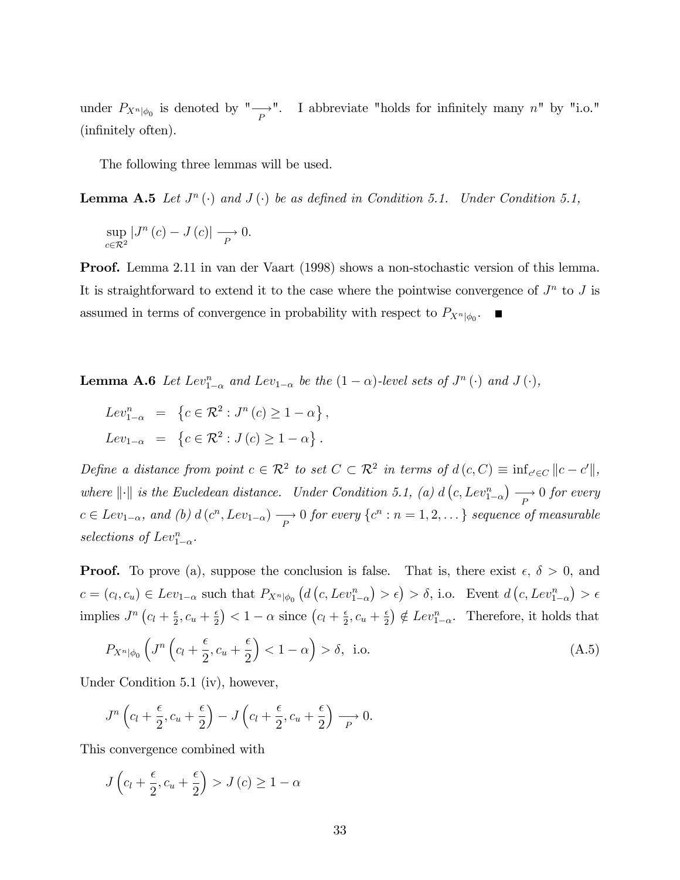under  $P_{X^n|\phi_0}$  is denoted by " $\longrightarrow$ ". I abbreviate "holds for infinitely many  $n$ " by "i.o." (infinitely often).

The following three lemmas will be used.

**Lemma A.5** Let  $J^n(\cdot)$  and  $J(\cdot)$  be as defined in Condition 5.1. Under Condition 5.1,

$$
\sup_{c \in \mathcal{R}^2} |J^n(c) - J(c)| \longrightarrow 0.
$$

Proof. Lemma 2.11 in van der Vaart (1998) shows a non-stochastic version of this lemma. It is straightforward to extend it to the case where the pointwise convergence of  $J^n$  to  $J$  is assumed in terms of convergence in probability with respect to  $P_{X^n|\phi_0}$ .

**Lemma A.6** Let  $Lev_{1-\alpha}^n$  and  $Lev_{1-\alpha}$  be the  $(1-\alpha)$ -level sets of  $J^n(\cdot)$  and  $J(\cdot)$ ,

$$
Lev_{1-\alpha}^{n} = \left\{ c \in \mathcal{R}^{2} : J^{n}(c) \ge 1 - \alpha \right\},
$$
  

$$
Lev_{1-\alpha} = \left\{ c \in \mathcal{R}^{2} : J(c) \ge 1 - \alpha \right\}.
$$

Define a distance from point  $c \in \mathcal{R}^2$  to set  $C \subset \mathcal{R}^2$  in terms of  $d(c, C) \equiv \inf_{c' \in C} ||c - c'||$ , where  $\|\cdot\|$  is the Eucledean distance. Under Condition 5.1, (a) d  $(c, Lev_{1-\alpha}^n) \longrightarrow 0$  for every  $c \in Lev_{1-\alpha}$ , and (b)  $d(c^n, Lev_{1-\alpha}) \longrightarrow 0$  for every  $\{c^n : n = 1, 2, \dots\}$  sequence of measurable selections of  $Lev_{1-\alpha}^n$ .

**Proof.** To prove (a), suppose the conclusion is false. That is, there exist  $\epsilon$ ,  $\delta > 0$ , and  $c = (c_l, c_u) \in Lev_{1-\alpha}$  such that  $P_{X^n|\phi_0} (d(c, Lev_{1-\alpha}^n) > \epsilon) > \delta$ , i.o. Event  $d(c, Lev_{1-\alpha}^n) > \epsilon$ implies  $J^n\left(c_l + \frac{\epsilon}{2}\right)$  $\frac{\epsilon}{2}, c_u + \frac{\epsilon}{2}$  $\left(\frac{\epsilon}{2}\right)$  < 1 –  $\alpha$  since  $\left(c_l + \frac{\epsilon}{2}\right)$  $\frac{\epsilon}{2}, c_u + \frac{\epsilon}{2}$  $\frac{\epsilon}{2}$ )  $\notin Lev_{1-\alpha}^n$ . Therefore, it holds that

$$
P_{X^n|\phi_0} \left( J^n \left( c_l + \frac{\epsilon}{2}, c_u + \frac{\epsilon}{2} \right) < 1 - \alpha \right) > \delta, \text{ i.o.} \tag{A.5}
$$

Under Condition 5.1 (iv), however,

$$
J^{n}\left(c_{l}+\frac{\epsilon}{2},c_{u}+\frac{\epsilon}{2}\right)-J\left(c_{l}+\frac{\epsilon}{2},c_{u}+\frac{\epsilon}{2}\right)\longrightarrow 0.
$$

This convergence combined with

$$
J\left(c_l + \frac{\epsilon}{2}, c_u + \frac{\epsilon}{2}\right) > J\left(c\right) \ge 1 - \alpha
$$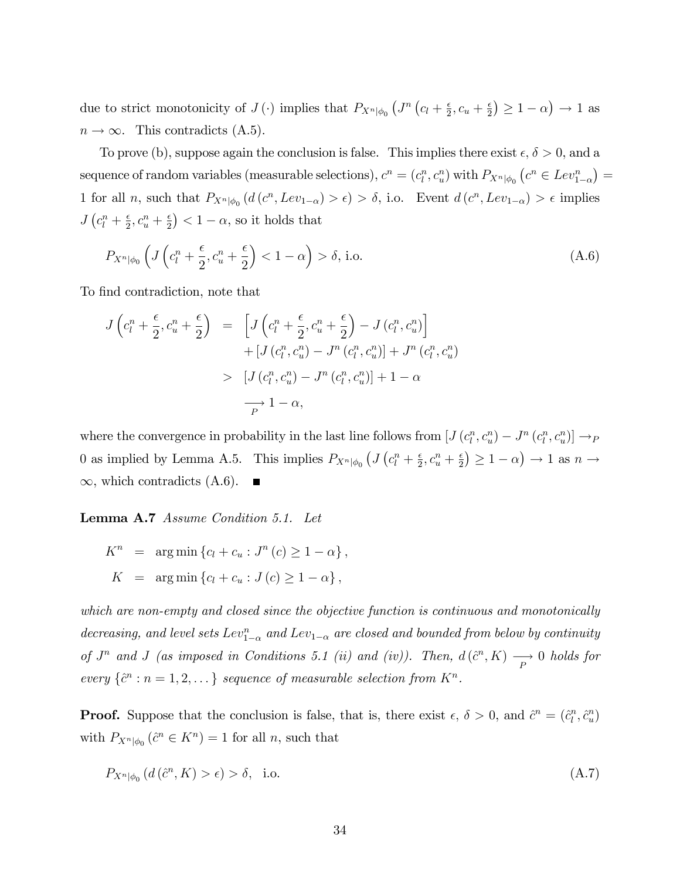due to strict monotonicity of  $J(\cdot)$  implies that  $P_{X^n|\phi_0} (J^n (c_l + \frac{\epsilon}{2}))$  $\frac{\epsilon}{2}, c_u + \frac{\epsilon}{2}$  $\left(\frac{\epsilon}{2}\right) \geq 1 - \alpha$   $\rightarrow$  1 as  $n \to \infty$ . This contradicts (A.5).

To prove (b), suppose again the conclusion is false. This implies there exist  $\epsilon, \delta > 0$ , and a sequence of random variables (measurable selections),  $c^n = (c_l^n, c_u^n)$  with  $P_{X^n|\phi_0}$   $(c^n \in Lev_{1-\alpha}^n)$ 1 for all *n*, such that  $P_{X^n|\phi_0}(d(c^n, Lev_{1-\alpha}) > \epsilon) > \delta$ , i.o. Event  $d(c^n, Lev_{1-\alpha}) > \epsilon$  implies  $J\left(c_l^n+\frac{\epsilon}{2}\right)$  $\frac{\epsilon}{2}, c_u^n + \frac{\epsilon}{2}$  $\left(\frac{\epsilon}{2}\right)$  < 1 –  $\alpha$ , so it holds that

$$
P_{X^n|\phi_0} \left( J\left(c_l^n + \frac{\epsilon}{2}, c_u^n + \frac{\epsilon}{2}\right) < 1 - \alpha \right) > \delta \text{, i.o.} \tag{A.6}
$$

To find contradiction, note that

$$
J\left(c_l^n + \frac{\epsilon}{2}, c_u^n + \frac{\epsilon}{2}\right) = \left[J\left(c_l^n + \frac{\epsilon}{2}, c_u^n + \frac{\epsilon}{2}\right) - J\left(c_l^n, c_u^n\right)\right] + \left[J\left(c_l^n, c_u^n\right) - J^n\left(c_l^n, c_u^n\right)\right] + J^n\left(c_l^n, c_u^n\right) > \left[J\left(c_l^n, c_u^n\right) - J^n\left(c_l^n, c_u^n\right)\right] + 1 - \alpha \longrightarrow 1 - \alpha,
$$

where the convergence in probability in the last line follows from  $[J(c_l^n, c_u^n) - J^n(c_l^n, c_u^n)] \to_{P}$ 0 as implied by Lemma A.5. This implies  $P_{X^n|\phi_0} (J(c_i^n + \frac{\epsilon}{2}))$  $\frac{\epsilon}{2}, c_u^n + \frac{\epsilon}{2}$  $\left(\frac{\epsilon}{2}\right) \geq 1 - \alpha$   $\rightarrow$  1 as  $n \rightarrow$  $\infty$ , which contradicts (A.6).

Lemma A.7 Assume Condition 5.1. Let

 $K^{n}$  =  $\arg \min \{c_{l} + c_{u} : J^{n}(c) \geq 1 - \alpha \},$  $K = \arg \min \{c_l + c_u : J(c) \geq 1 - \alpha \},$ 

which are non-empty and closed since the objective function is continuous and monotonically decreasing, and level sets  $Lev_{1-\alpha}^n$  and  $Lev_{1-\alpha}$  are closed and bounded from below by continuity of  $J^n$  and  $J$  (as imposed in Conditions 5.1 (ii) and (iv)). Then,  $d(\hat{c}^n, K) \longrightarrow 0$  holds for every  $\{\hat{c}^n : n = 1, 2, \dots\}$  sequence of measurable selection from  $K^n$ .

**Proof.** Suppose that the conclusion is false, that is, there exist  $\epsilon$ ,  $\delta > 0$ , and  $\hat{c}^n = (\hat{c}_l^n, \hat{c}_u^n)$ with  $P_{X^n|\phi_0}(\hat{c}^n \in K^n) = 1$  for all n, such that

$$
P_{X^n|\phi_0} \left( d\left(\hat{c}^n, K\right) > \epsilon \right) > \delta, \quad \text{i.o.} \tag{A.7}
$$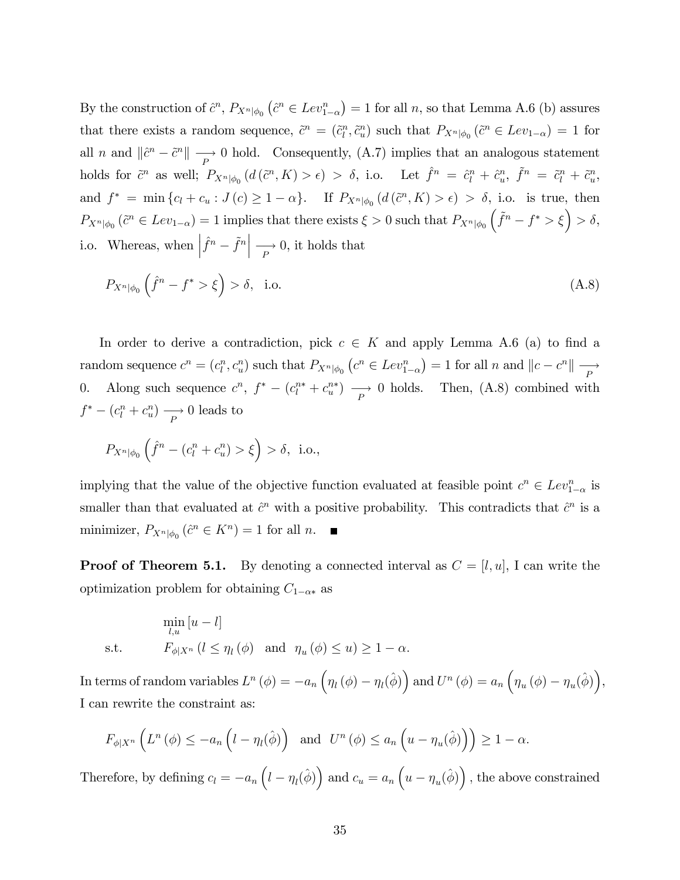By the construction of  $\hat{c}^n$ ,  $P_{X^n|\phi_0}(\hat{c}^n \in Lev_{1-\alpha}^n) = 1$  for all n, so that Lemma A.6 (b) assures that there exists a random sequence,  $\tilde{c}^n = (\tilde{c}_l^n, \tilde{c}_u^n)$  such that  $P_{X^n|\phi_0}(\tilde{c}^n \in Lev_{1-\alpha}) = 1$  for all n and  $\|\hat{c}^n - \tilde{c}^n\| \longrightarrow 0$  hold. Consequently, (A.7) implies that an analogous statement holds for  $\tilde{c}^n$  as well;  $P_{X^n|\phi_0}(d(\tilde{c}^n, K) > \epsilon) > \delta$ , i.o. Let  $\hat{f}^n = \hat{c}_l^n + \hat{c}_u^n$ ,  $\tilde{f}^n = \tilde{c}_l^n + \tilde{c}_u^n$ , and  $f^* = \min\{c_l + c_u : J(c) \geq 1 - \alpha\}$ . If  $P_{X^n|\phi_0}(d(\tilde{c}^n, K) > \epsilon) > \delta$ , i.o. is true, then  $P_{X^n|\phi_0}(\tilde{c}^n \in Lev_{1-\alpha}) = 1$  implies that there exists  $\xi > 0$  such that  $P_{X^n|\phi_0}(\tilde{f}^n - f^* > \xi) > \delta$ , i.o. Whereas, when  $\left| \hat{f}^n - \tilde{f}^n \right| \longrightarrow 0$ , it holds that

$$
P_{X^n|\phi_0}\left(\hat{f}^n - f^* > \xi\right) > \delta, \quad \text{i.o.} \tag{A.8}
$$

In order to derive a contradiction, pick  $c \in K$  and apply Lemma A.6 (a) to find a random sequence  $c^n = (c_l^n, c_u^n)$  such that  $P_{X^n|\phi_0} (c^n \in Lev_{1-\alpha}^n) = 1$  for all  $n$  and  $||c - c^n|| \xrightarrow{P}$ 0. Along such sequence  $c^n$ ,  $f^* - (c_l^{n*} + c_u^{n*}) \longrightarrow 0$  holds. Then, (A.8) combined with  $f^* - (c_l^n + c_u^n) \longrightarrow 0$  leads to

$$
P_{X^n|\phi_0}(\hat{f}^n - (c_l^n + c_u^n) > \xi) > \delta, \text{ i.o.},
$$

implying that the value of the objective function evaluated at feasible point  $c^n \in Lev_{1-\alpha}^n$  is smaller than that evaluated at  $\hat{c}^n$  with a positive probability. This contradicts that  $\hat{c}^n$  is a minimizer,  $P_{X^n|\phi_0}(\hat{c}^n \in K^n) = 1$  for all n.

**Proof of Theorem 5.1.** By denoting a connected interval as  $C = [l, u]$ , I can write the optimization problem for obtaining  $C_{1-\alpha*}$  as

$$
\min_{l,u} [u-l]
$$
\ns.t.

\n
$$
F_{\phi|X^n} (l \leq \eta_l(\phi) \quad \text{and} \quad \eta_u(\phi) \leq u) \geq 1 - \alpha.
$$

In terms of random variables  $L^n(\phi) = -a_n \left( \eta_l(\phi) - \eta_l(\hat{\phi}) \right)$  and  $U^n(\phi) = a_n \left( \eta_u(\phi) - \eta_u(\hat{\phi}) \right)$ , I can rewrite the constraint as:

$$
F_{\phi|X^n}\left(L^n\left(\phi\right)\leq -a_n\left(l-\eta_l(\hat{\phi})\right)\quad\text{and}\quad U^n\left(\phi\right)\leq a_n\left(u-\eta_u(\hat{\phi})\right)\right)\geq 1-\alpha.
$$

Therefore, by defining  $c_l = -a_n \left( l - \eta_l(\hat{\phi}) \right)$  and  $c_u = a_n \left( u - \eta_u(\hat{\phi}) \right)$ , the above constrained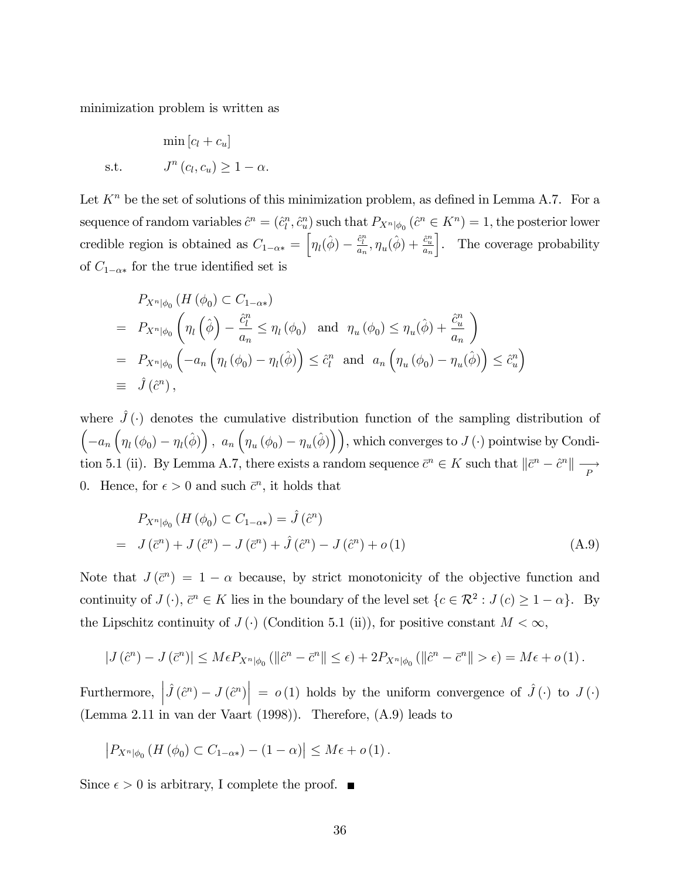minimization problem is written as

$$
\min [c_l + c_u]
$$
  
s.t. 
$$
J^n(c_l, c_u) \ge 1 - \alpha.
$$

Let  $K<sup>n</sup>$  be the set of solutions of this minimization problem, as defined in Lemma A.7. For a sequence of random variables  $\hat{c}^n = (\hat{c}_l^n, \hat{c}_u^n)$  such that  $P_{X^n|\phi_0}$   $(\hat{c}^n \in K^n) = 1$ , the posterior lower credible region is obtained as  $C_{1-\alpha*} = \left[\eta_l(\hat{\phi}) - \frac{\hat{c}_l^n}{a_n}, \eta_u(\hat{\phi}) + \frac{\hat{c}_u^n}{a_n}\right]$ . The coverage probability of  $C_{1-\alpha*}$  for the true identified set is

$$
P_{X^{n}|\phi_0} (H (\phi_0) \subset C_{1-\alpha *})
$$
  
=  $P_{X^{n}|\phi_0} \left( \eta_l \left( \hat{\phi} \right) - \frac{\hat{c}_l^n}{a_n} \leq \eta_l (\phi_0) \text{ and } \eta_u (\phi_0) \leq \eta_u(\hat{\phi}) + \frac{\hat{c}_u^n}{a_n} \right)$   
=  $P_{X^{n}|\phi_0} \left( -a_n \left( \eta_l (\phi_0) - \eta_l(\hat{\phi}) \right) \leq \hat{c}_l^n \text{ and } a_n \left( \eta_u (\phi_0) - \eta_u(\hat{\phi}) \right) \leq \hat{c}_u^n \right)$   
\equiv  $\hat{J}(\hat{c}^n)$ ,

where  $\hat{J}(\cdot)$  denotes the cumulative distribution function of the sampling distribution of  $\left(-a_n\left(\eta_l\left(\phi_0\right)-\eta_l\left(\hat{\phi}\right)\right), a_n\left(\eta_u\left(\phi_0\right)-\eta_u\left(\hat{\phi}\right)\right)\right)$ , which converges to  $J\left(\cdot\right)$  pointwise by Condition 5.1 (ii). By Lemma A.7, there exists a random sequence  $\bar{c}^n \in K$  such that  $\|\bar{c}^n - \hat{c}^n\| \longrightarrow$ 0. Hence, for  $\epsilon > 0$  and such  $\bar{c}^n$ , it holds that

$$
P_{X^n|\phi_0} (H (\phi_0) \subset C_{1-\alpha*}) = \hat{J} (\hat{c}^n)
$$
  
=  $J (\bar{c}^n) + J (\hat{c}^n) - J (\bar{c}^n) + \hat{J} (\hat{c}^n) - J (\hat{c}^n) + o(1)$  (A.9)

Note that  $J(\bar{c}^n) = 1 - \alpha$  because, by strict monotonicity of the objective function and continuity of  $J(\cdot)$ ,  $\bar{c}^n \in K$  lies in the boundary of the level set  $\{c \in \mathcal{R}^2 : J(c) \geq 1 - \alpha\}$ . By the Lipschitz continuity of  $J(\cdot)$  (Condition 5.1 (ii)), for positive constant  $M < \infty$ ,

$$
|J(\hat{c}^n) - J(\bar{c}^n)| \leq M \epsilon P_{X^n|\phi_0} \left( \|\hat{c}^n - \bar{c}^n\| \leq \epsilon \right) + 2P_{X^n|\phi_0} \left( \|\hat{c}^n - \bar{c}^n\| > \epsilon \right) = M \epsilon + o(1).
$$

Furthermore,  $|\hat{J}(\hat{c}^n) - J(\hat{c}^n)| = o(1)$  holds by the uniform convergence of  $\hat{J}(\cdot)$  to  $J(\cdot)$ (Lemma 2.11 in van der Vaart (1998)). Therefore, (A.9) leads to

$$
\left|P_{X^{n}\left|\phi_{0}\right.}\left(H\left(\phi_{0}\right)\subset C_{1-\alpha*}\right)-\left(1-\alpha\right)\right|\leq M\epsilon+o\left(1\right).
$$

Since  $\epsilon > 0$  is arbitrary, I complete the proof.  $\blacksquare$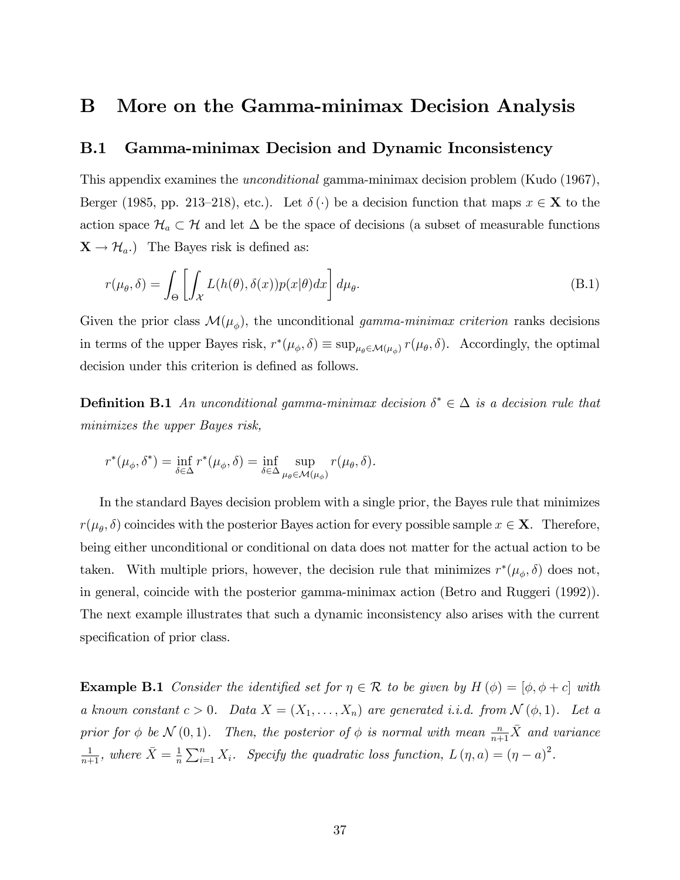## B More on the Gamma-minimax Decision Analysis

## B.1 Gamma-minimax Decision and Dynamic Inconsistency

This appendix examines the unconditional gamma-minimax decision problem (Kudo (1967), Berger (1985, pp. 213–218), etc.). Let  $\delta(\cdot)$  be a decision function that maps  $x \in \mathbf{X}$  to the action space  $\mathcal{H}_a \subset \mathcal{H}$  and let  $\Delta$  be the space of decisions (a subset of measurable functions  $\mathbf{X} \rightarrow \mathcal{H}_a$ .) The Bayes risk is defined as:

$$
r(\mu_{\theta}, \delta) = \int_{\Theta} \left[ \int_{\mathcal{X}} L(h(\theta), \delta(x)) p(x|\theta) dx \right] d\mu_{\theta}.
$$
 (B.1)

Given the prior class  $\mathcal{M}(\mu_{\phi})$ , the unconditional gamma-minimax criterion ranks decisions in terms of the upper Bayes risk,  $r^*(\mu_\phi, \delta) \equiv \sup_{\mu_\theta \in \mathcal{M}(\mu_\phi)} r(\mu_\theta, \delta)$ . Accordingly, the optimal decision under this criterion is defined as follows.

**Definition B.1** An unconditional gamma-minimax decision  $\delta^* \in \Delta$  is a decision rule that minimizes the upper Bayes risk,

$$
r^*(\mu_\phi, \delta^*) = \inf_{\delta \in \Delta} r^*(\mu_\phi, \delta) = \inf_{\delta \in \Delta} \sup_{\mu_\theta \in \mathcal{M}(\mu_\phi)} r(\mu_\theta, \delta).
$$

In the standard Bayes decision problem with a single prior, the Bayes rule that minimizes  $r(\mu_{\theta}, \delta)$  coincides with the posterior Bayes action for every possible sample  $x \in \mathbf{X}$ . Therefore, being either unconditional or conditional on data does not matter for the actual action to be taken. With multiple priors, however, the decision rule that minimizes  $r^*(\mu_\phi, \delta)$  does not, in general, coincide with the posterior gamma-minimax action (Betro and Ruggeri (1992)). The next example illustrates that such a dynamic inconsistency also arises with the current specification of prior class.

**Example B.1** Consider the identified set for  $\eta \in \mathcal{R}$  to be given by  $H(\phi) = [\phi, \phi + c]$  with a known constant  $c > 0$ . Data  $X = (X_1, \ldots, X_n)$  are generated i.i.d. from  $\mathcal{N}(\phi, 1)$ . Let a prior for  $\phi$  be  $\mathcal{N}(0,1)$ . Then, the posterior of  $\phi$  is normal with mean  $\frac{n}{n+1}\overline{X}$  and variance  $\frac{1}{n+1}$ , where  $\bar{X} = \frac{1}{n}$  $\frac{1}{n}\sum_{i=1}^{n} X_i$ . Specify the quadratic loss function,  $L(\eta, a) = (\eta - a)^2$ .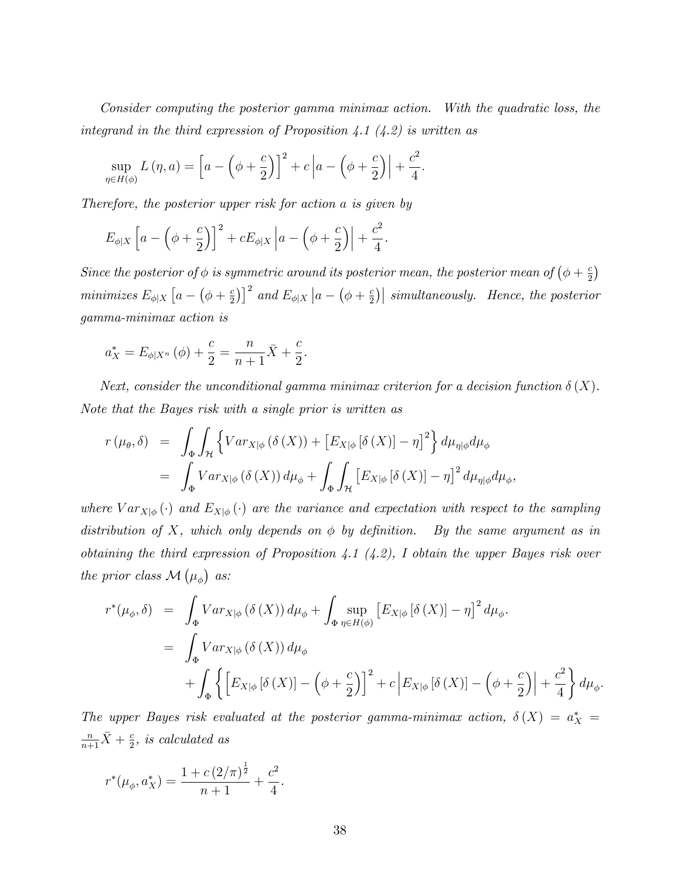Consider computing the posterior gamma minimax action. With the quadratic loss, the integrand in the third expression of Proposition 4.1  $(4.2)$  is written as

$$
\sup_{\eta \in H(\phi)} L(\eta, a) = \left[ a - \left( \phi + \frac{c}{2} \right) \right]^2 + c \left| a - \left( \phi + \frac{c}{2} \right) \right| + \frac{c^2}{4}.
$$

Therefore, the posterior upper risk for action a is given by

$$
E_{\phi|X}\left[a-\left(\phi+\frac{c}{2}\right)\right]^2+cE_{\phi|X}\left|a-\left(\phi+\frac{c}{2}\right)\right|+\frac{c^2}{4}.
$$

Since the posterior of  $\phi$  is symmetric around its posterior mean, the posterior mean of  $(\phi + \frac{c}{2})$  $\frac{c}{2}$ minimizes  $E_{\phi|X}$   $\left[a - \left(\phi + \frac{c}{2}\right)\right]$  $\left[\frac{c}{2}\right]\right]^2$  and  $E_{\phi|X}\left|a-\left(\phi+\frac{c}{2}\right)\right|$  $\binom{c}{2}$  simultaneously. Hence, the posterior gamma-minimax action is

$$
a_X^* = E_{\phi|X^n}(\phi) + \frac{c}{2} = \frac{n}{n+1}\bar{X} + \frac{c}{2}.
$$

Next, consider the unconditional gamma minimax criterion for a decision function  $\delta(X)$ . Note that the Bayes risk with a single prior is written as

$$
r(\mu_{\theta}, \delta) = \int_{\Phi} \int_{\mathcal{H}} \left\{ Var_{X|\phi} (\delta(X)) + \left[ E_{X|\phi} [\delta(X)] - \eta \right]^2 \right\} d\mu_{\eta|\phi} d\mu_{\phi}
$$
  
= 
$$
\int_{\Phi} Var_{X|\phi} (\delta(X)) d\mu_{\phi} + \int_{\Phi} \int_{\mathcal{H}} \left[ E_{X|\phi} [\delta(X)] - \eta \right]^2 d\mu_{\eta|\phi} d\mu_{\phi},
$$

where  $Var_{X|\phi}(\cdot)$  and  $E_{X|\phi}(\cdot)$  are the variance and expectation with respect to the sampling distribution of X, which only depends on  $\phi$  by definition. By the same argument as in obtaining the third expression of Proposition 4.1  $(4.2)$ , I obtain the upper Bayes risk over the prior class  $\mathcal{M}(\mu_{\phi})$  as:

$$
r^*(\mu_{\phi}, \delta) = \int_{\Phi} Var_{X|\phi} (\delta(X)) d\mu_{\phi} + \int_{\Phi} \sup_{\eta \in H(\phi)} [E_{X|\phi} [\delta(X)] - \eta]^2 d\mu_{\phi}.
$$
  

$$
= \int_{\Phi} Var_{X|\phi} (\delta(X)) d\mu_{\phi}
$$
  

$$
+ \int_{\Phi} \left\{ \left[ E_{X|\phi} [\delta(X)] - (\phi + \frac{c}{2}) \right]^2 + c \left| E_{X|\phi} [\delta(X)] - (\phi + \frac{c}{2}) \right| + \frac{c^2}{4} \right\} d\mu_{\phi}.
$$

The upper Bayes risk evaluated at the posterior gamma-minimax action,  $\delta(X) = a_X^* =$  $\frac{n}{n+1}\overline{X}+\frac{c}{2}$  $\frac{c}{2}$ , is calculated as

$$
r^*(\mu_{\phi}, a_X^*) = \frac{1 + c(2/\pi)^{\frac{1}{2}}}{n+1} + \frac{c^2}{4}.
$$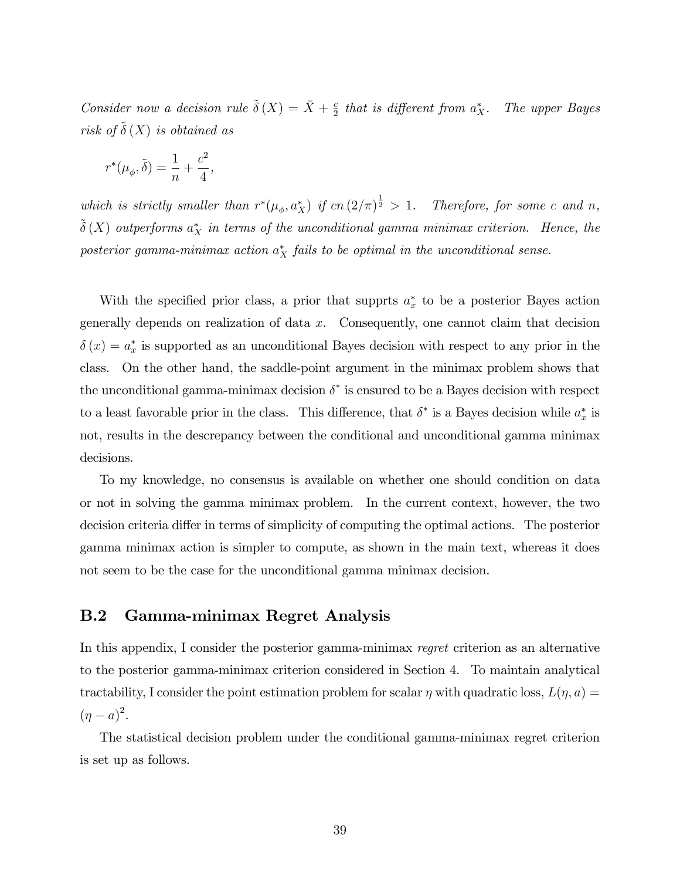Consider now a decision rule  $\tilde{\delta}(X) = \bar{X} + \frac{c}{2}$  $\frac{c}{2}$  that is different from  $a_X^*$ . The upper Bayes risk of  $\tilde{\delta}(X)$  is obtained as

$$
r^*(\mu_\phi,\tilde{\delta})=\frac{1}{n}+\frac{c^2}{4},
$$

which is strictly smaller than  $r^*(\mu_\phi, a_X^*)$  if  $cn\left(\frac{2}{\pi}\right)^{\frac{1}{2}} > 1$ . Therefore, for some c and n,  $\tilde{\delta}(X)$  outperforms  $a_X^*$  in terms of the unconditional gamma minimax criterion. Hence, the posterior gamma-minimax action  $a_X^*$  fails to be optimal in the unconditional sense.

With the specified prior class, a prior that supprts  $a_x^*$  to be a posterior Bayes action generally depends on realization of data  $x$ . Consequently, one cannot claim that decision  $\delta(x) = a_x^*$  is supported as an unconditional Bayes decision with respect to any prior in the class. On the other hand, the saddle-point argument in the minimax problem shows that the unconditional gamma-minimax decision  $\delta^*$  is ensured to be a Bayes decision with respect to a least favorable prior in the class. This difference, that  $\delta^*$  is a Bayes decision while  $a_x^*$  is not, results in the descrepancy between the conditional and unconditional gamma minimax decisions.

To my knowledge, no consensus is available on whether one should condition on data or not in solving the gamma minimax problem. In the current context, however, the two decision criteria differ in terms of simplicity of computing the optimal actions. The posterior gamma minimax action is simpler to compute, as shown in the main text, whereas it does not seem to be the case for the unconditional gamma minimax decision.

## B.2 Gamma-minimax Regret Analysis

In this appendix, I consider the posterior gamma-minimax regret criterion as an alternative to the posterior gamma-minimax criterion considered in Section 4. To maintain analytical tractability, I consider the point estimation problem for scalar  $\eta$  with quadratic loss,  $L(\eta, a) =$  $(\eta - a)^2$ .

The statistical decision problem under the conditional gamma-minimax regret criterion is set up as follows.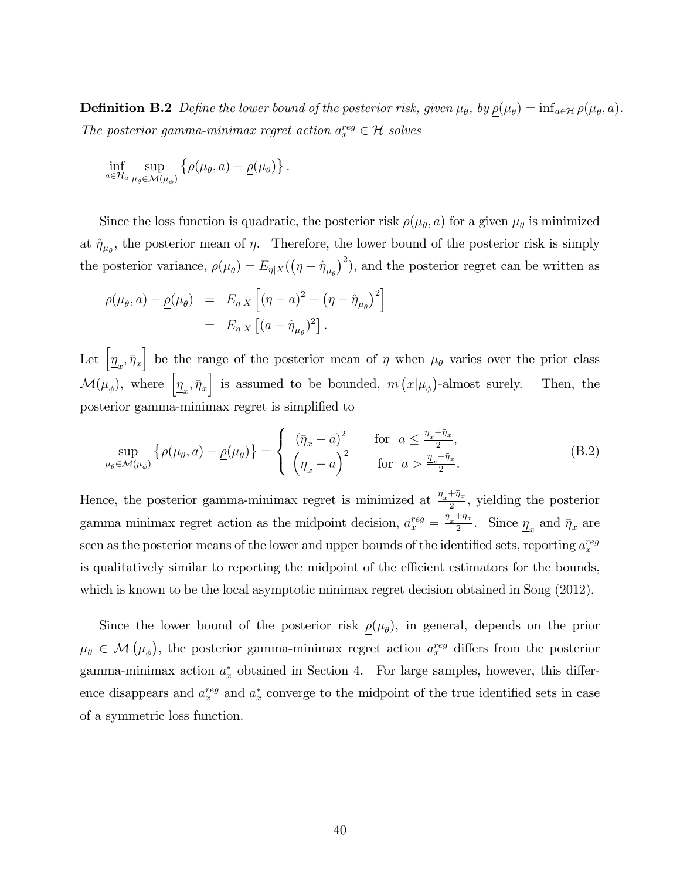**Definition B.2** Define the lower bound of the posterior risk, given  $\mu_{\theta}$ , by  $\underline{\rho}(\mu_{\theta}) = \inf_{a \in \mathcal{H}} \rho(\mu_{\theta}, a)$ . The posterior gamma-minimax regret action  $a_x^{reg} \in \mathcal{H}$  solves

$$
\inf_{a\in\mathcal{H}_a}\sup_{\mu_\theta\in\mathcal{M}(\mu_\phi)}\left\{\rho(\mu_\theta,a)-\underline{\rho}(\mu_\theta)\right\}.
$$

Since the loss function is quadratic, the posterior risk  $\rho(\mu_{\theta}, a)$  for a given  $\mu_{\theta}$  is minimized at  $\hat{\eta}_{\mu_{\theta}}$ , the posterior mean of  $\eta$ . Therefore, the lower bound of the posterior risk is simply the posterior variance,  $\rho(\mu_{\theta}) = E_{\eta|X}((\eta - \hat{\eta}_{\mu_{\theta}})^2)$ , and the posterior regret can be written as

$$
\rho(\mu_{\theta}, a) - \underline{\rho}(\mu_{\theta}) = E_{\eta|X} \left[ (\eta - a)^2 - (\eta - \hat{\eta}_{\mu_{\theta}})^2 \right] \n= E_{\eta|X} \left[ (a - \hat{\eta}_{\mu_{\theta}})^2 \right].
$$

Let  $\left[\underline{\eta}_x, \bar{\eta}_x\right]$  be the range of the posterior mean of  $\eta$  when  $\mu_\theta$  varies over the prior class  $\mathcal{M}(\mu_{\phi})$ , where  $\left[\underline{\eta}_x, \bar{\eta}_x\right]$  is assumed to be bounded,  $m(x|\mu_{\phi})$ -almost surely. Then, the posterior gamma-minimax regret is simplified to

$$
\sup_{\mu_{\theta} \in \mathcal{M}(\mu_{\phi})} \left\{ \rho(\mu_{\theta}, a) - \underline{\rho}(\mu_{\theta}) \right\} = \begin{cases} (\bar{\eta}_x - a)^2 & \text{for } a \le \frac{\eta_x + \bar{\eta}_x}{2}, \\ \left(\frac{\eta_x}{2} - a\right)^2 & \text{for } a > \frac{\eta_x + \bar{\eta}_x}{2}. \end{cases}
$$
(B.2)

Hence, the posterior gamma-minimax regret is minimized at  $\frac{\eta_x + \bar{\eta}_x}{2}$  $\frac{1}{2}$ , yielding the posterior gamma minimax regret action as the midpoint decision,  $a_x^{reg} = \frac{\eta_x + \bar{\eta}_x}{2}$  $\frac{1}{2}$ . Since  $\eta_x$  and  $\bar{\eta}_x$  are seen as the posterior means of the lower and upper bounds of the identified sets, reporting  $a_x^{reg}$ is qualitatively similar to reporting the midpoint of the efficient estimators for the bounds, which is known to be the local asymptotic minimax regret decision obtained in Song  $(2012)$ .

Since the lower bound of the posterior risk  $\rho(\mu_{\theta})$ , in general, depends on the prior  $\mu_{\theta} \in \mathcal{M}(\mu_{\phi})$ , the posterior gamma-minimax regret action  $a_x^{reg}$  differs from the posterior gamma-minimax action  $a_x^*$  obtained in Section 4. For large samples, however, this difference disappears and  $a_x^{reg}$  and  $a_x^{*}$  converge to the midpoint of the true identified sets in case of a symmetric loss function.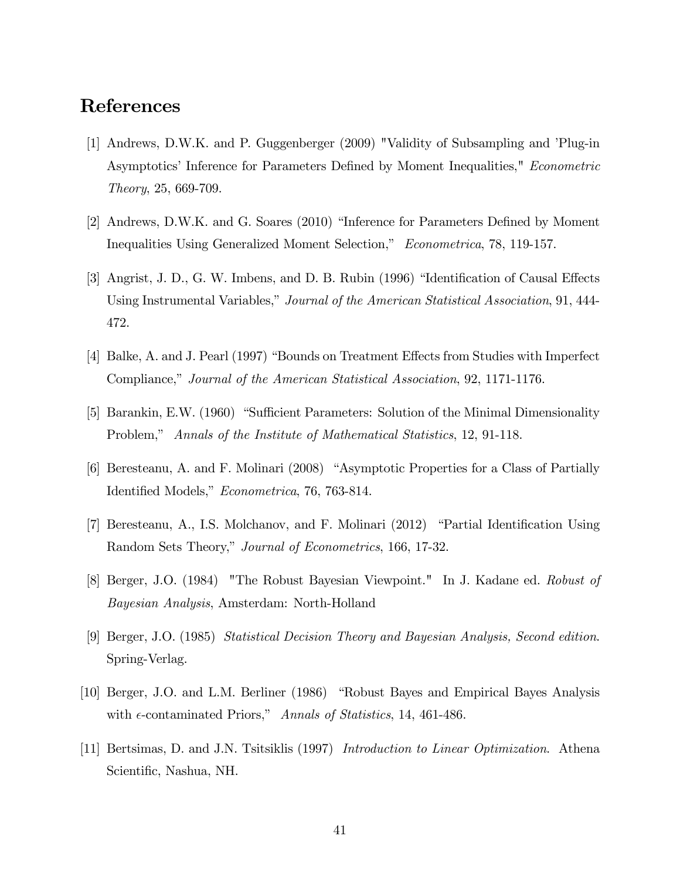# References

- [1] Andrews, D.W.K. and P. Guggenberger (2009) "Validity of Subsampling and íPlug-in Asymptotics' Inference for Parameters Defined by Moment Inequalities," Econometric Theory, 25, 669-709.
- [2] Andrews, D.W.K. and G. Soares (2010) "Inference for Parameters Defined by Moment Inequalities Using Generalized Moment Selection," Econometrica, 78, 119-157.
- [3] Angrist, J. D., G. W. Imbens, and D. B. Rubin (1996) "Identification of Causal Effects Using Instrumental Variables," Journal of the American Statistical Association, 91, 444-472.
- [4] Balke, A. and J. Pearl (1997) "Bounds on Treatment Effects from Studies with Imperfect Compliance," Journal of the American Statistical Association, 92, 1171-1176.
- [5] Barankin, E.W. (1960) "Sufficient Parameters: Solution of the Minimal Dimensionality Problem," Annals of the Institute of Mathematical Statistics, 12, 91-118.
- [6] Beresteanu, A. and F. Molinari (2008) "Asymptotic Properties for a Class of Partially Identified Models," Econometrica, 76, 763-814.
- [7] Beresteanu, A., I.S. Molchanov, and F. Molinari (2012) "Partial Identification Using Random Sets Theory," Journal of Econometrics, 166, 17-32.
- [8] Berger, J.O. (1984) "The Robust Bayesian Viewpoint." In J. Kadane ed. Robust of Bayesian Analysis, Amsterdam: North-Holland
- [9] Berger, J.O. (1985) Statistical Decision Theory and Bayesian Analysis, Second edition. Spring-Verlag.
- [10] Berger, J.O. and L.M. Berliner (1986) "Robust Bayes and Empirical Bayes Analysis with  $\epsilon$ -contaminated Priors," Annals of Statistics, 14, 461-486.
- [11] Bertsimas, D. and J.N. Tsitsiklis (1997) Introduction to Linear Optimization. Athena Scientific, Nashua, NH.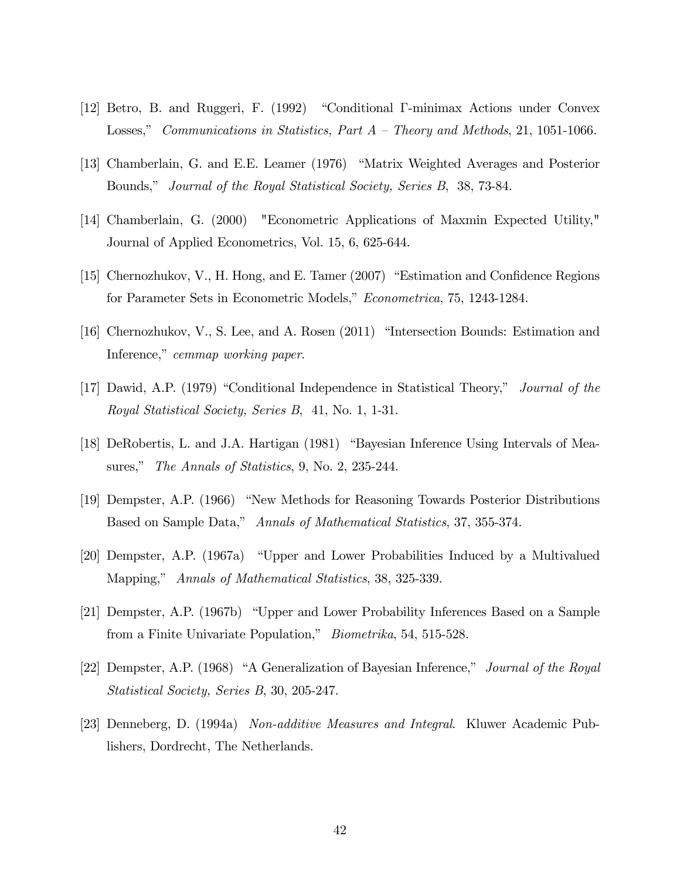- [12] Betro, B. and Ruggeri, F. (1992) "Conditional I-minimax Actions under Convex Losses," Communications in Statistics, Part  $A$  – Theory and Methods, 21, 1051-1066.
- [13] Chamberlain, G. and E.E. Leamer (1976) "Matrix Weighted Averages and Posterior Bounds,î Journal of the Royal Statistical Society, Series B, 38, 73-84.
- [14] Chamberlain, G. (2000) "Econometric Applications of Maxmin Expected Utility," Journal of Applied Econometrics, Vol. 15, 6, 625-644.
- [15] Chernozhukov, V., H. Hong, and E. Tamer  $(2007)$  "Estimation and Confidence Regions for Parameter Sets in Econometric Models," Econometrica, 75, 1243-1284.
- [16] Chernozhukov, V., S. Lee, and A. Rosen  $(2011)$  "Intersection Bounds: Estimation and Inference," cemmap working paper.
- [17] Dawid, A.P. (1979) "Conditional Independence in Statistical Theory," *Journal of the* Royal Statistical Society, Series B, 41, No. 1, 1-31.
- [18] DeRobertis, L. and J.A. Hartigan (1981) "Bayesian Inference Using Intervals of Measures," The Annals of Statistics, 9, No. 2, 235-244.
- [19] Dempster, A.P. (1966) "New Methods for Reasoning Towards Posterior Distributions Based on Sample Data," Annals of Mathematical Statistics, 37, 355-374.
- [20] Dempster, A.P. (1967a) "Upper and Lower Probabilities Induced by a Multivalued Mapping," Annals of Mathematical Statistics, 38, 325-339.
- [21] Dempster, A.P. (1967b) "Upper and Lower Probability Inferences Based on a Sample from a Finite Univariate Population," *Biometrika*, 54, 515-528.
- [22] Dempster, A.P. (1968) "A Generalization of Bayesian Inference," Journal of the Royal Statistical Society, Series B, 30, 205-247.
- [23] Denneberg, D. (1994a) Non-additive Measures and Integral. Kluwer Academic Publishers, Dordrecht, The Netherlands.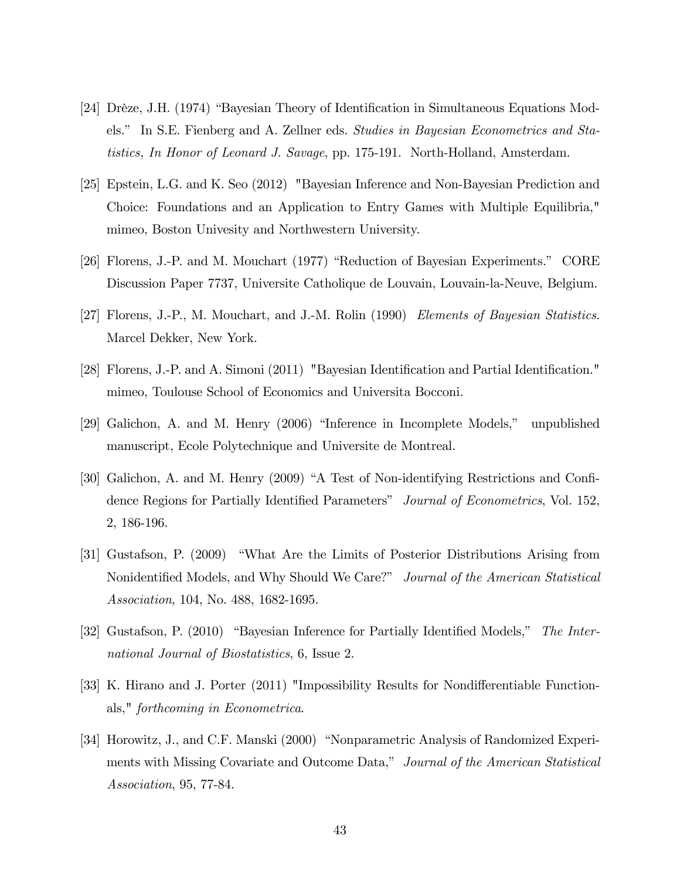- [24] Drèze, J.H. (1974) "Bayesian Theory of Identification in Simultaneous Equations Models." In S.E. Fienberg and A. Zellner eds. Studies in Bayesian Econometrics and Statistics, In Honor of Leonard J. Savage, pp. 175-191. North-Holland, Amsterdam.
- [25] Epstein, L.G. and K. Seo (2012) "Bayesian Inference and Non-Bayesian Prediction and Choice: Foundations and an Application to Entry Games with Multiple Equilibria," mimeo, Boston Univesity and Northwestern University.
- [26] Florens, J.-P. and M. Mouchart (1977) "Reduction of Bayesian Experiments." CORE Discussion Paper 7737, Universite Catholique de Louvain, Louvain-la-Neuve, Belgium.
- [27] Florens, J.-P., M. Mouchart, and J.-M. Rolin (1990) Elements of Bayesian Statistics. Marcel Dekker, New York.
- [28] Florens, J.-P. and A. Simoni (2011) "Bayesian Identification and Partial Identification." mimeo, Toulouse School of Economics and Universita Bocconi.
- $[29]$  Galichon, A. and M. Henry  $(2006)$  "Inference in Incomplete Models," unpublished manuscript, Ecole Polytechnique and Universite de Montreal.
- [30] Galichon, A. and M. Henry (2009) "A Test of Non-identifying Restrictions and Confidence Regions for Partially Identified Parameters" Journal of Econometrics, Vol. 152, 2, 186-196.
- [31] Gustafson, P. (2009) "What Are the Limits of Posterior Distributions Arising from Nonidentified Models, and Why Should We Care?" Journal of the American Statistical Association, 104, No. 488, 1682-1695.
- [32] Gustafson, P. (2010) "Bayesian Inference for Partially Identified Models," The International Journal of Biostatistics, 6, Issue 2.
- [33] K. Hirano and J. Porter (2011) "Impossibility Results for Nondifferentiable Functionals," forthcoming in Econometrica.
- [34] Horowitz, J., and C.F. Manski (2000) "Nonparametric Analysis of Randomized Experiments with Missing Covariate and Outcome Data," Journal of the American Statistical Association, 95, 77-84.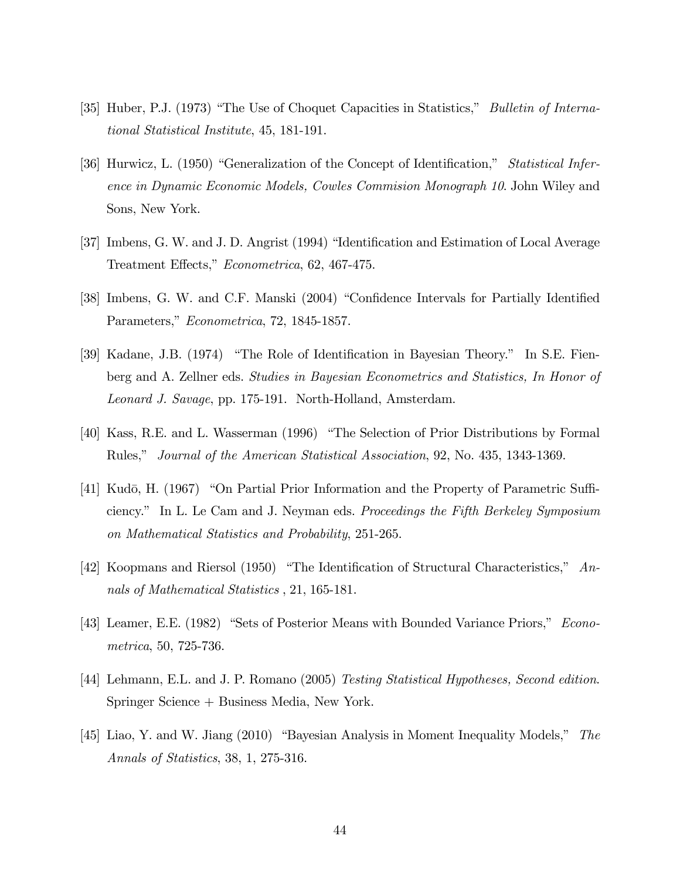- [35] Huber, P.J. (1973) "The Use of Choquet Capacities in Statistics," *Bulletin of Interna*tional Statistical Institute, 45, 181-191.
- [36] Hurwicz, L. (1950) "Generalization of the Concept of Identification," Statistical Inference in Dynamic Economic Models, Cowles Commision Monograph 10. John Wiley and Sons, New York.
- [37] Imbens, G. W. and J. D. Angrist (1994) "Identification and Estimation of Local Average Treatment Effects," Econometrica, 62, 467-475.
- [38] Imbens, G. W. and C.F. Manski (2004) "Confidence Intervals for Partially Identified Parameters," Econometrica, 72, 1845-1857.
- [39] Kadane, J.B. (1974) "The Role of Identification in Bayesian Theory." In S.E. Fienberg and A. Zellner eds. Studies in Bayesian Econometrics and Statistics, In Honor of Leonard J. Savage, pp. 175-191. North-Holland, Amsterdam.
- [40] Kass, R.E. and L. Wasserman (1996) "The Selection of Prior Distributions by Formal Rules," Journal of the American Statistical Association, 92, No. 435, 1343-1369.
- [41] Kudō, H. (1967) "On Partial Prior Information and the Property of Parametric Sufficiency." In L. Le Cam and J. Neyman eds. Proceedings the Fifth Berkeley Symposium on Mathematical Statistics and Probability, 251-265.
- [42] Koopmans and Riersol (1950) "The Identification of Structural Characteristics,"  $An$ nals of Mathematical Statistics , 21, 165-181.
- [43] Leamer, E.E. (1982) "Sets of Posterior Means with Bounded Variance Priors," Econometrica, 50, 725-736.
- [44] Lehmann, E.L. and J. P. Romano (2005) Testing Statistical Hypotheses, Second edition. Springer Science + Business Media, New York.
- [45] Liao, Y. and W. Jiang  $(2010)$  "Bayesian Analysis in Moment Inequality Models," The Annals of Statistics, 38, 1, 275-316.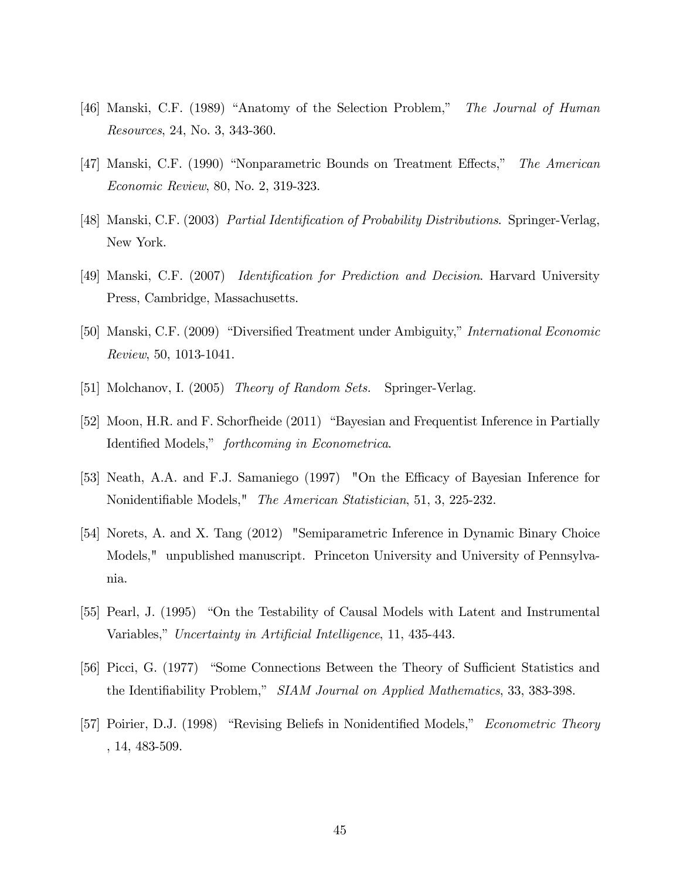- [46] Manski, C.F. (1989) "Anatomy of the Selection Problem," The Journal of Human Resources, 24, No. 3, 343-360.
- [47] Manski, C.F. (1990) "Nonparametric Bounds on Treatment Effects," The American Economic Review, 80, No. 2, 319-323.
- [48] Manski, C.F. (2003) Partial Identification of Probability Distributions. Springer-Verlag, New York.
- [49] Manski, C.F. (2007) *Identification for Prediction and Decision*. Harvard University Press, Cambridge, Massachusetts.
- [50] Manski, C.F. (2009) "Diversified Treatment under Ambiguity," International Economic Review, 50, 1013-1041.
- [51] Molchanov, I. (2005) *Theory of Random Sets.* Springer-Verlag.
- [52] Moon, H.R. and F. Schorfheide (2011) "Bayesian and Frequentist Inference in Partially Identified Models," forthcoming in Econometrica.
- [53] Neath, A.A. and F.J. Samaniego (1997) "On the Efficacy of Bayesian Inference for Nonidentifiable Models," The American Statistician, 51, 3, 225-232.
- [54] Norets, A. and X. Tang (2012) "Semiparametric Inference in Dynamic Binary Choice Models," unpublished manuscript. Princeton University and University of Pennsylvania.
- [55] Pearl, J. (1995) "On the Testability of Causal Models with Latent and Instrumental Variables," Uncertainty in Artificial Intelligence, 11, 435-443.
- [56] Picci, G. (1977) "Some Connections Between the Theory of Sufficient Statistics and the Identifiability Problem," SIAM Journal on Applied Mathematics, 33, 383-398.
- [57] Poirier, D.J. (1998) "Revising Beliefs in Nonidentified Models," *Econometric Theory* , 14, 483-509.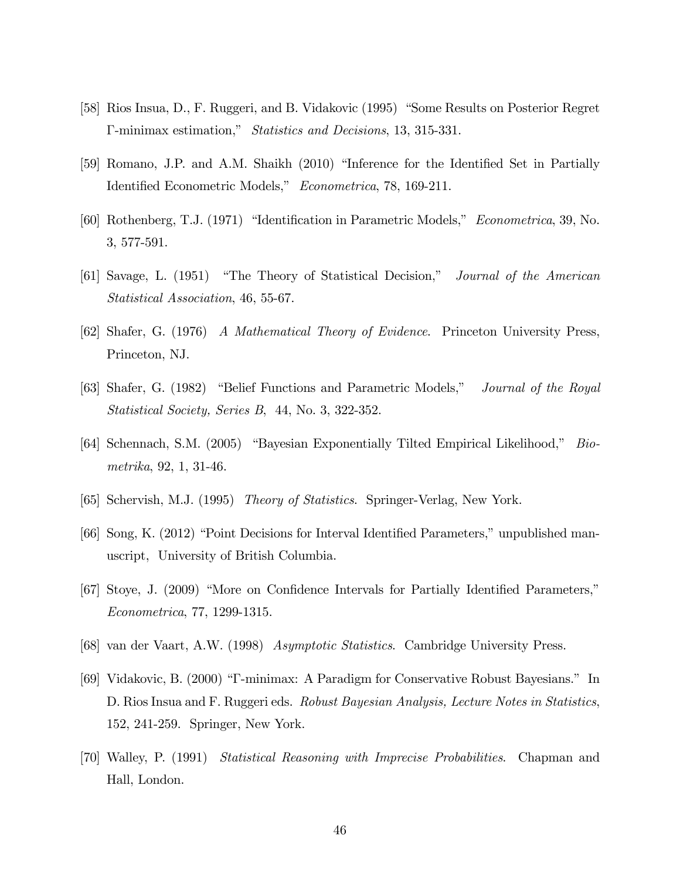- [58] Rios Insua, D., F. Ruggeri, and B. Vidakovic (1995) "Some Results on Posterior Regret  $\Gamma$ -minimax estimation," *Statistics and Decisions*, 13, 315-331.
- [59] Romano, J.P. and A.M. Shaikh (2010) "Inference for the Identified Set in Partially Identified Econometric Models," Econometrica, 78, 169-211.
- [60] Rothenberg, T.J. (1971) "Identification in Parametric Models," Econometrica, 39, No. 3, 577-591.
- [61] Savage, L. (1951) "The Theory of Statistical Decision," Journal of the American Statistical Association, 46, 55-67.
- [62] Shafer, G. (1976) A Mathematical Theory of Evidence. Princeton University Press, Princeton, NJ.
- [63] Shafer, G. (1982) "Belief Functions and Parametric Models," Journal of the Royal Statistical Society, Series B, 44, No. 3, 322-352.
- [64] Schennach, S.M. (2005) "Bayesian Exponentially Tilted Empirical Likelihood," Biometrika, 92, 1, 31-46.
- [65] Schervish, M.J. (1995) Theory of Statistics. Springer-Verlag, New York.
- [66] Song, K. (2012) "Point Decisions for Interval Identified Parameters," unpublished manuscript, University of British Columbia.
- [67] Stoye, J. (2009) "More on Confidence Intervals for Partially Identified Parameters," Econometrica, 77, 1299-1315.
- [68] van der Vaart, A.W. (1998) Asymptotic Statistics. Cambridge University Press.
- [69] Vidakovic, B. (2000) "T-minimax: A Paradigm for Conservative Robust Bayesians." In D. Rios Insua and F. Ruggeri eds. *Robust Bayesian Analysis, Lecture Notes in Statistics*, 152, 241-259. Springer, New York.
- [70] Walley, P. (1991) Statistical Reasoning with Imprecise Probabilities. Chapman and Hall, London.